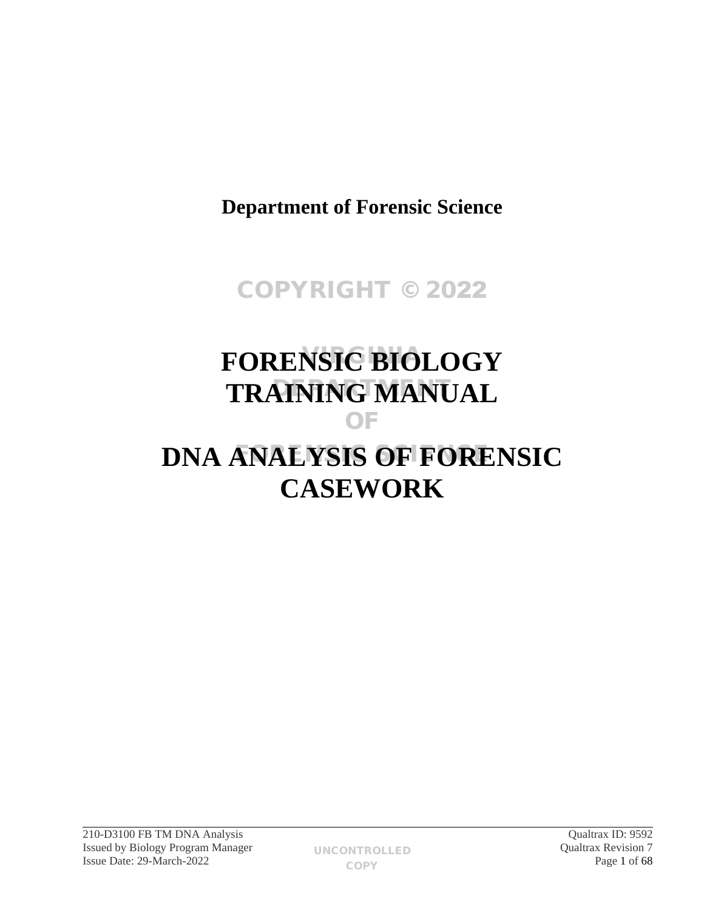**Department of Forensic Science**

# COPYRIGHT © 2022

# **FORENSIC BIOLOGY TRAINING MANUAL** OF

# **DNA ANALYSIS OF FORENSIC CASEWORK**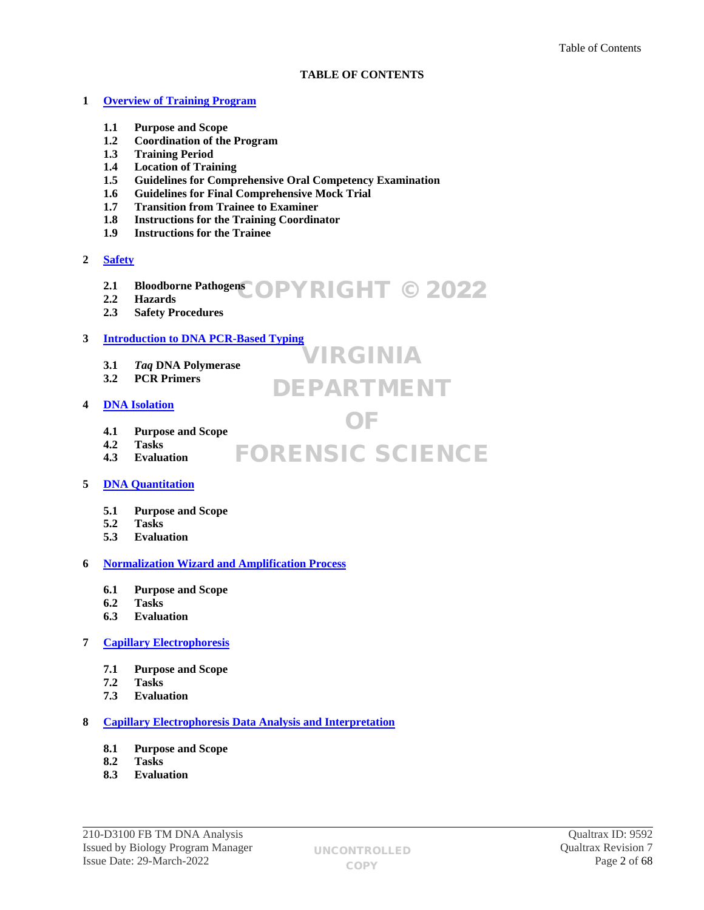# **TABLE OF CONTENTS**

VIRGINIA

DEPARTMENT

OF

# **1 [Overview of Training Program](#page-4-0)**

- **1.1 Purpose and Scope**
- **1.2 Coordination of the Program**
- **1.3 Training Period**
- **1.4 Location of Training**
- **1.5 Guidelines for Comprehensive Oral Competency Examination**
- **1.6 Guidelines for Final Comprehensive Mock Trial**
- **1.7 Transition from Trainee to Examiner**
- **1.8 Instructions for the Training Coordinator**
- **1.9 Instructions for the Trainee**
- **2 [Safety](#page-9-0)**
	- **2.1 Bloodborne Pathogens** COPYRIGHT © 2022
	- **2.2 Hazards**
	- **2.3 Safety Procedures**

# **3 [Introduction to DNA PCR-Based Typing](#page-10-0)**

- **3.1** *Taq* **DNA Polymerase**
- **3.2 PCR Primers**

# **4 [DNA Isolation](#page-12-0)**

- **4.1 Purpose and Scope**
- **4.2 Tasks**
- **4.3 Evaluation** FORENSIC SCIENCE
- **5 [DNA Quantitation](#page-15-0)**
	- **5.1 Purpose and Scope**
	- **5.2 Tasks**
	- **5.3 Evaluation**

# **6 [Normalization Wizard and Amplification Process](#page-16-0)**

- **6.1 Purpose and Scope**
- **6.2 Tasks**
- **6.3 Evaluation**

## **7 [Capillary Electrophoresis](#page-17-0)**

- **7.1 Purpose and Scope**
- **7.2 Tasks**
- **7.3 Evaluation**

## **8 [Capillary Electrophoresis Data Analysis and Interpretation](#page-18-0)**

- **8.1 Purpose and Scope**
- **8.2 Tasks**
- **8.3 Evaluation**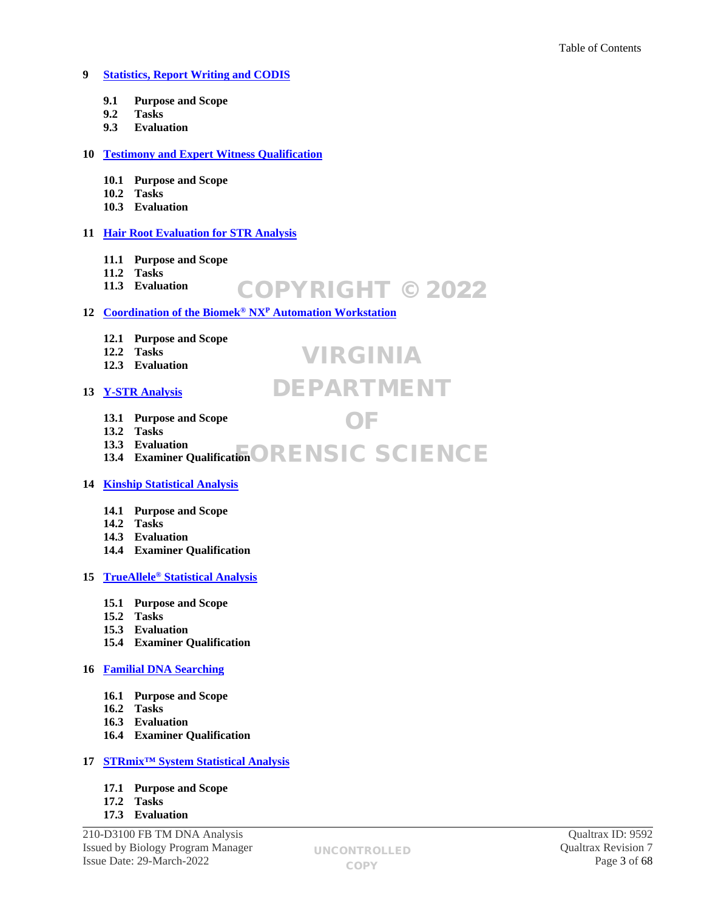# **9 [Statistics, Report Writing and CODIS](#page-19-0)**

- **9.1 Purpose and Scope**
- **9.2 Tasks**
- **9.3 Evaluation**

## **10 [Testimony and Expert Witness Qualification](#page-21-0)**

- **10.1 Purpose and Scope**
- **10.2 Tasks**
- **10.3 Evaluation**

# **11 [Hair Root Evaluation for STR Analysis](#page-22-0)**

- **11.1 Purpose and Scope**
- **11.2 Tasks**

#### **11.3 Evaluation** COPYRIGHT © 2022

# **12 [Coordination of the Biomek](#page-24-0)® NX<sup>P</sup> Automation Workstation**

- **12.1 Purpose and Scope**
- **12.2 Tasks**
- **12.3 Evaluation**

# **13 [Y-STR Analysis](#page-26-0)**

# DEPARTMENT

VIRGINIA

OF

- **13.1 Purpose and Scope**
- **13.2 Tasks**
- **13.3 Evaluation** 13.3 Evanuation<br>13.4 Examiner Qualification **ORENSIC SCIENCE**

# **14 [Kinship Statistical Analysis](#page-29-0)**

- **14.1 Purpose and Scope**
- **14.2 Tasks**
- **14.3 Evaluation**
- **14.4 Examiner Qualification**

## **15 TrueAllele® [Statistical Analysis](#page-31-0)**

- **15.1 Purpose and Scope**
- **15.2 Tasks**
- **15.3 Evaluation**
- **15.4 Examiner Qualification**

# **16 [Familial DNA Searching](#page-34-0)**

- **16.1 Purpose and Scope**
- **16.2 Tasks**
- **16.3 Evaluation**
- **16.4 Examiner Qualification**

## **17 [STRmix™ System Statistical Analysis](#page-37-0)**

- **17.1 Purpose and Scope**
- **17.2 Tasks**
- **17.3 Evaluation**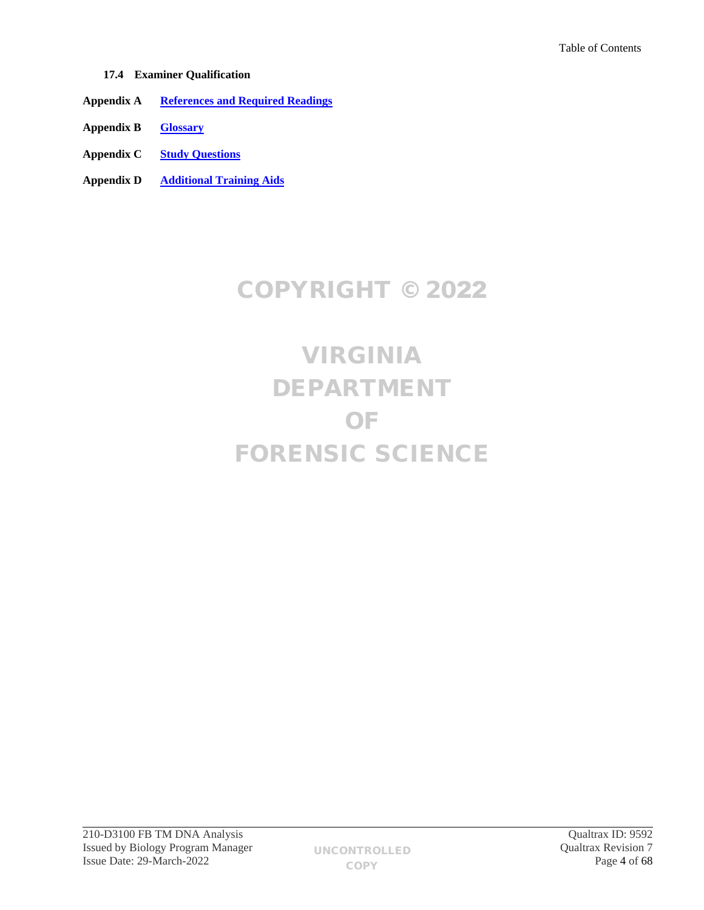- **17.4 Examiner Qualification**
- **Appendix A [References and Required Readings](#page-39-0)**
- **Appendix B [Glossary](#page-47-0)**
- **Appendix C [Study Questions](#page-52-0)**
- **Appendix D [Additional Training Aids](#page-58-0)**

# COPYRIGHT © 2022

# VIRGINIA DEPARTMENT OF FORENSIC SCIENCE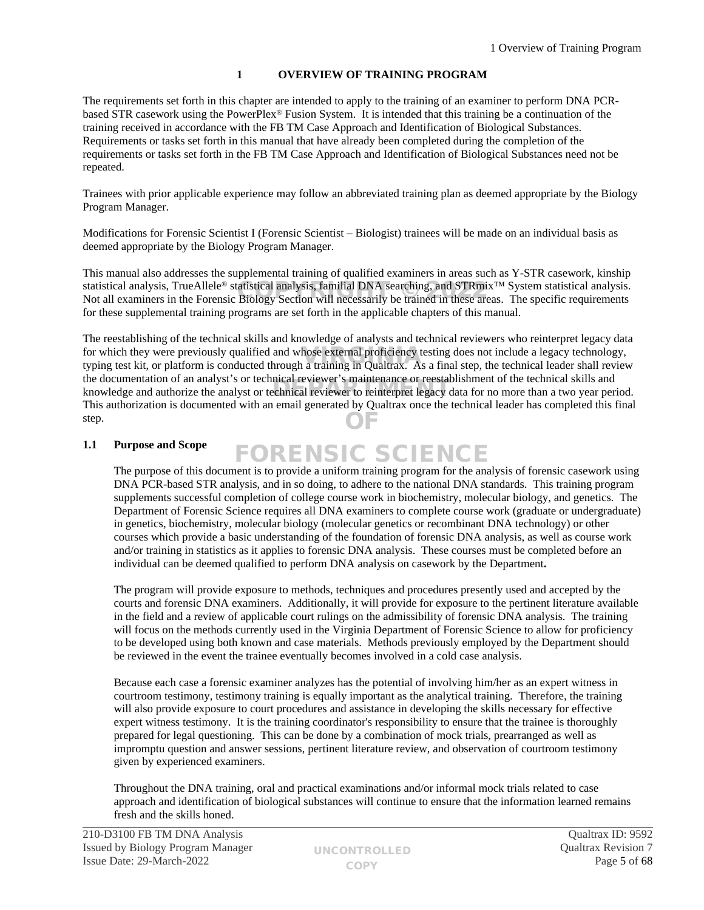# <span id="page-4-0"></span>**1 OVERVIEW OF TRAINING PROGRAM**

The requirements set forth in this chapter are intended to apply to the training of an examiner to perform DNA PCRbased STR casework using the PowerPlex® Fusion System. It is intended that this training be a continuation of the training received in accordance with the FB TM Case Approach and Identification of Biological Substances. Requirements or tasks set forth in this manual that have already been completed during the completion of the requirements or tasks set forth in the FB TM Case Approach and Identification of Biological Substances need not be repeated.

Trainees with prior applicable experience may follow an abbreviated training plan as deemed appropriate by the Biology Program Manager.

Modifications for Forensic Scientist I (Forensic Scientist – Biologist) trainees will be made on an individual basis as deemed appropriate by the Biology Program Manager.

This manual also addresses the supplemental training of qualified examiners in areas such as Y-STR casework, kinship statistical analysis, TrueAllele<sup>®</sup> statistical analysis, familial DNA searching, and STRmix<sup>™</sup> System statistical analysis. statistical analysis, TrueAllele® statistical analysis, familial DNA searching, and STRmix<sup>™</sup> System statistical analysis.<br>Not all examiners in the Forensic Biology Section will necessarily be trained in these areas. The s for these supplemental training programs are set forth in the applicable chapters of this manual.

The reestablishing of the technical skills and knowledge of analysts and technical reviewers who reinterpret legacy data for which they were previously qualified and whose external proficiency testing does not include a legacy technology,<br>typing test kit, or platform is conducted through a training in Qualtrax. As a final step, the technical typing test kit, or platform is conducted through a training in Qualtrax. As a final step, the technical leader shall review the documentation of an analyst's or technical reviewer's maintenance or reestablishment of the technical skills and Ine documentation of an analyst s of technical reviewer is maintenance of reestablishment of the technical skins and knowledge and authorize the analyst or technical reviewer to reinterpret legacy data for no more than a t This authorization is documented with an email generated by Qualtrax once the technical leader has completed this final step. OF

# **1.1 Purpose and Scope**

The purpose of this document is to provide a uniform training program for the analysis of forensic casework using DNA PCR-based STR analysis, and in so doing, to adhere to the national DNA standards. This training program supplements successful completion of college course work in biochemistry, molecular biology, and genetics. The Department of Forensic Science requires all DNA examiners to complete course work (graduate or undergraduate) in genetics, biochemistry, molecular biology (molecular genetics or recombinant DNA technology) or other courses which provide a basic understanding of the foundation of forensic DNA analysis, as well as course work and/or training in statistics as it applies to forensic DNA analysis. These courses must be completed before an individual can be deemed qualified to perform DNA analysis on casework by the Department**.** FORENSIC SCIENCE

The program will provide exposure to methods, techniques and procedures presently used and accepted by the courts and forensic DNA examiners. Additionally, it will provide for exposure to the pertinent literature available in the field and a review of applicable court rulings on the admissibility of forensic DNA analysis. The training will focus on the methods currently used in the Virginia Department of Forensic Science to allow for proficiency to be developed using both known and case materials. Methods previously employed by the Department should be reviewed in the event the trainee eventually becomes involved in a cold case analysis.

Because each case a forensic examiner analyzes has the potential of involving him/her as an expert witness in courtroom testimony, testimony training is equally important as the analytical training. Therefore, the training will also provide exposure to court procedures and assistance in developing the skills necessary for effective expert witness testimony. It is the training coordinator's responsibility to ensure that the trainee is thoroughly prepared for legal questioning. This can be done by a combination of mock trials, prearranged as well as impromptu question and answer sessions, pertinent literature review, and observation of courtroom testimony given by experienced examiners.

Throughout the DNA training, oral and practical examinations and/or informal mock trials related to case approach and identification of biological substances will continue to ensure that the information learned remains fresh and the skills honed.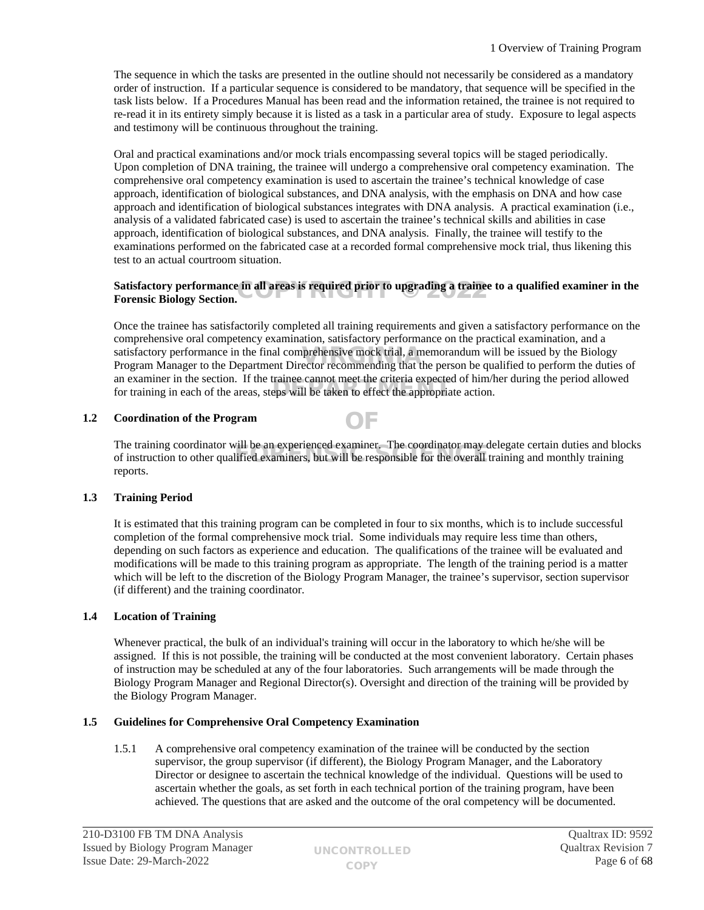The sequence in which the tasks are presented in the outline should not necessarily be considered as a mandatory order of instruction. If a particular sequence is considered to be mandatory, that sequence will be specified in the task lists below. If a Procedures Manual has been read and the information retained, the trainee is not required to re-read it in its entirety simply because it is listed as a task in a particular area of study. Exposure to legal aspects and testimony will be continuous throughout the training.

Oral and practical examinations and/or mock trials encompassing several topics will be staged periodically. Upon completion of DNA training, the trainee will undergo a comprehensive oral competency examination. The comprehensive oral competency examination is used to ascertain the trainee's technical knowledge of case approach, identification of biological substances, and DNA analysis, with the emphasis on DNA and how case approach and identification of biological substances integrates with DNA analysis. A practical examination (i.e., analysis of a validated fabricated case) is used to ascertain the trainee's technical skills and abilities in case approach, identification of biological substances, and DNA analysis. Finally, the trainee will testify to the examinations performed on the fabricated case at a recorded formal comprehensive mock trial, thus likening this test to an actual courtroom situation.

## Satisfactory performance in all areas is required prior to upgrading a trainee to a qualified examiner in the<br>Forensic Biology Section. **Forensic Biology Section.**

Once the trainee has satisfactorily completed all training requirements and given a satisfactory performance on the comprehensive oral competency examination, satisfactory performance on the practical examination, and a satisfactory performance in the final comprehensive mock trial, a memorandum will be issued by the Biology<br>Program Manager to the Department Director recommending that the person be qualified to perform the duties Program Manager to the Department Director recommending that the person be qualified to perform the duties of an examiner in the section. If the trainee cannot meet the criteria expected of him/her during the period allowed an examiner in the section. If the trainee cannot meet the criteria expected of film/h<br>for training in each of the areas, steps will be taken to effect the appropriate action.

# **1.2 Coordination of the Program**

The training coordinator will be an experienced examiner. The coordinator may delegate certain duties and blocks Ine training coordinator will be an experienced examiner. The coordinator may delegate certain duties and bio<br>of instruction to other qualified examiners, but will be responsible for the overall training and monthly traini reports.

OF

## **1.3 Training Period**

It is estimated that this training program can be completed in four to six months, which is to include successful completion of the formal comprehensive mock trial. Some individuals may require less time than others, depending on such factors as experience and education. The qualifications of the trainee will be evaluated and modifications will be made to this training program as appropriate. The length of the training period is a matter which will be left to the discretion of the Biology Program Manager, the trainee's supervisor, section supervisor (if different) and the training coordinator.

# **1.4 Location of Training**

Whenever practical, the bulk of an individual's training will occur in the laboratory to which he/she will be assigned. If this is not possible, the training will be conducted at the most convenient laboratory. Certain phases of instruction may be scheduled at any of the four laboratories. Such arrangements will be made through the Biology Program Manager and Regional Director(s). Oversight and direction of the training will be provided by the Biology Program Manager.

## **1.5 Guidelines for Comprehensive Oral Competency Examination**

1.5.1 A comprehensive oral competency examination of the trainee will be conducted by the section supervisor, the group supervisor (if different), the Biology Program Manager, and the Laboratory Director or designee to ascertain the technical knowledge of the individual. Questions will be used to ascertain whether the goals, as set forth in each technical portion of the training program, have been achieved. The questions that are asked and the outcome of the oral competency will be documented.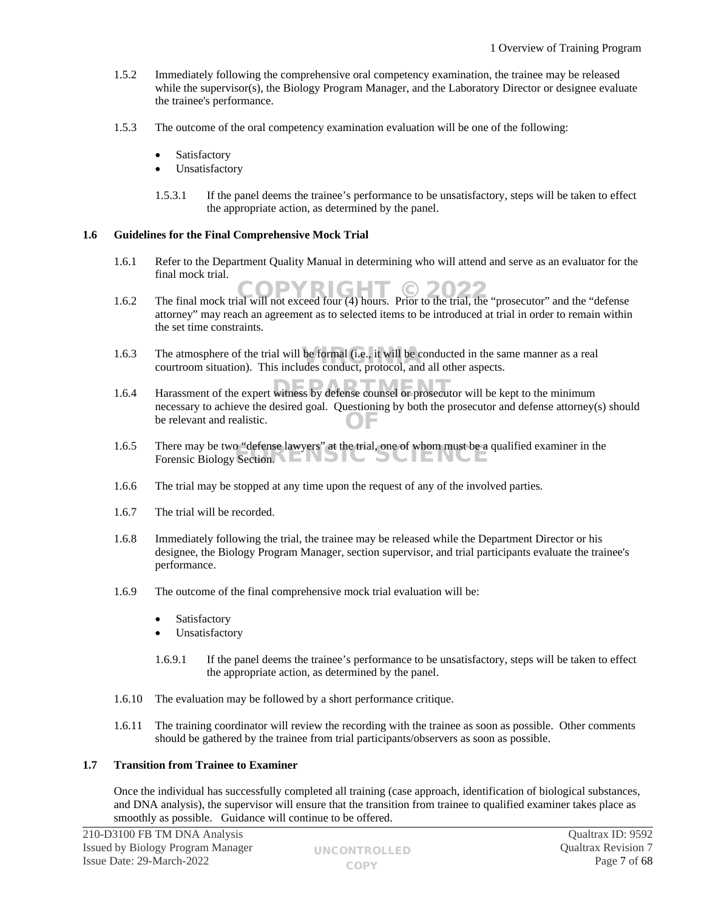- 1.5.2 Immediately following the comprehensive oral competency examination, the trainee may be released while the supervisor(s), the Biology Program Manager, and the Laboratory Director or designee evaluate the trainee's performance.
- 1.5.3 The outcome of the oral competency examination evaluation will be one of the following:
	- Satisfactory
	- Unsatisfactory
	- 1.5.3.1 If the panel deems the trainee's performance to be unsatisfactory, steps will be taken to effect the appropriate action, as determined by the panel.

## **1.6 Guidelines for the Final Comprehensive Mock Trial**

- 1.6.1 Refer to the Department Quality Manual in determining who will attend and serve as an evaluator for the final mock trial.
- 1.6.2 The final mock trial will not exceed four (4) hours. Prior to the trial, the "prosecutor" and the "defense attorney" may reach an agreement as to selected items to be introduced at trial in order to remain within the set time constraints.
- 1.6.3 The atmosphere of the trial will be formal (i.e., it will be conducted in the same manner as a real courtroom situation). This includes conduct protocol and all other aspects courtroom situation). This includes conduct, protocol, and all other aspects.
- 1.6.4 Harassment of the expert witness by defense counsel or prosecutor will be kept to the minimum necessary to achieve the desired goal. Questioning by both the prosecutor and defense attorney(s) should be relevant and realistic. OF
- 1.6.5 There may be two "defense lawyers" at the trial, one of whom must be a qualified examiner in the There may be two "defense lawyers" at the trial, one of whom must be a<br>Forensic Biology Section.
- 1.6.6 The trial may be stopped at any time upon the request of any of the involved parties.
- 1.6.7 The trial will be recorded.
- 1.6.8 Immediately following the trial, the trainee may be released while the Department Director or his designee, the Biology Program Manager, section supervisor, and trial participants evaluate the trainee's performance.
- 1.6.9 The outcome of the final comprehensive mock trial evaluation will be:
	- Satisfactory
	- Unsatisfactory
	- 1.6.9.1 If the panel deems the trainee's performance to be unsatisfactory, steps will be taken to effect the appropriate action, as determined by the panel.
- 1.6.10 The evaluation may be followed by a short performance critique.
- 1.6.11 The training coordinator will review the recording with the trainee as soon as possible. Other comments should be gathered by the trainee from trial participants/observers as soon as possible.

## **1.7 Transition from Trainee to Examiner**

Once the individual has successfully completed all training (case approach, identification of biological substances, and DNA analysis), the supervisor will ensure that the transition from trainee to qualified examiner takes place as smoothly as possible. Guidance will continue to be offered.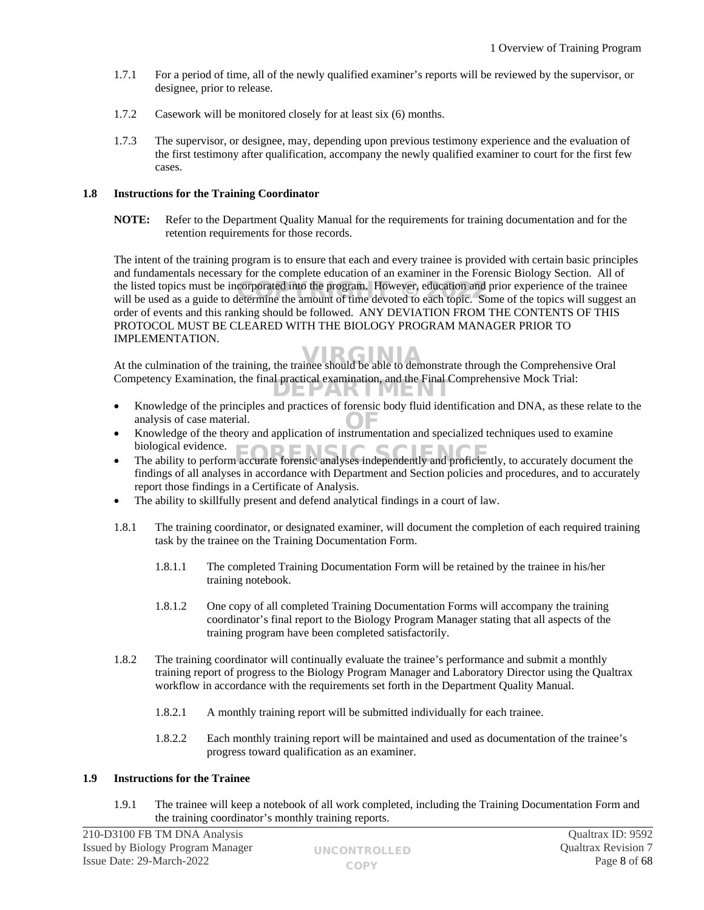- 1.7.1 For a period of time, all of the newly qualified examiner's reports will be reviewed by the supervisor, or designee, prior to release.
- 1.7.2 Casework will be monitored closely for at least six (6) months.
- 1.7.3 The supervisor, or designee, may, depending upon previous testimony experience and the evaluation of the first testimony after qualification, accompany the newly qualified examiner to court for the first few cases.

## **1.8 Instructions for the Training Coordinator**

**NOTE:** Refer to the Department Quality Manual for the requirements for training documentation and for the retention requirements for those records.

The intent of the training program is to ensure that each and every trainee is provided with certain basic principles and fundamentals necessary for the complete education of an examiner in the Forensic Biology Section. All of the listed topics must be incorporated into the program. However, education and prior experience of the trainee the listed topics must be incorporated into the program. However, education and prior experience of the trainee<br>will be used as a guide to determine the amount of time devoted to each topic. Some of the topics will suggest order of events and this ranking should be followed. ANY DEVIATION FROM THE CONTENTS OF THIS PROTOCOL MUST BE CLEARED WITH THE BIOLOGY PROGRAM MANAGER PRIOR TO IMPLEMENTATION.

At the culmination of the training, the trainee should be able to demonstrate through the Comprehensive Oral Competency Examination, the final practical examination, and the Final Comprehensive Mock Trial: EPARTMEN

- Knowledge of the principles and practices of forensic body fluid identification and DNA, as these relate to the analysis of case material.
- analysis of case material.<br>
 Knowledge of the theory and application of instrumentation and specialized techniques used to examine biological evidence.
- biological evidence.<br>
 The ability to perform accurate forensic analyses independently and proficiently, to accurately document the findings of all analyses in accordance with Department and Section policies and procedures, and to accurately report those findings in a Certificate of Analysis.
- The ability to skillfully present and defend analytical findings in a court of law.
- 1.8.1 The training coordinator, or designated examiner, will document the completion of each required training task by the trainee on the Training Documentation Form.
	- 1.8.1.1 The completed Training Documentation Form will be retained by the trainee in his/her training notebook.
	- 1.8.1.2 One copy of all completed Training Documentation Forms will accompany the training coordinator's final report to the Biology Program Manager stating that all aspects of the training program have been completed satisfactorily.
- 1.8.2 The training coordinator will continually evaluate the trainee's performance and submit a monthly training report of progress to the Biology Program Manager and Laboratory Director using the Qualtrax workflow in accordance with the requirements set forth in the Department Quality Manual.
	- 1.8.2.1 A monthly training report will be submitted individually for each trainee.
	- 1.8.2.2 Each monthly training report will be maintained and used as documentation of the trainee's progress toward qualification as an examiner.

## **1.9 Instructions for the Trainee**

1.9.1 The trainee will keep a notebook of all work completed, including the Training Documentation Form and the training coordinator's monthly training reports.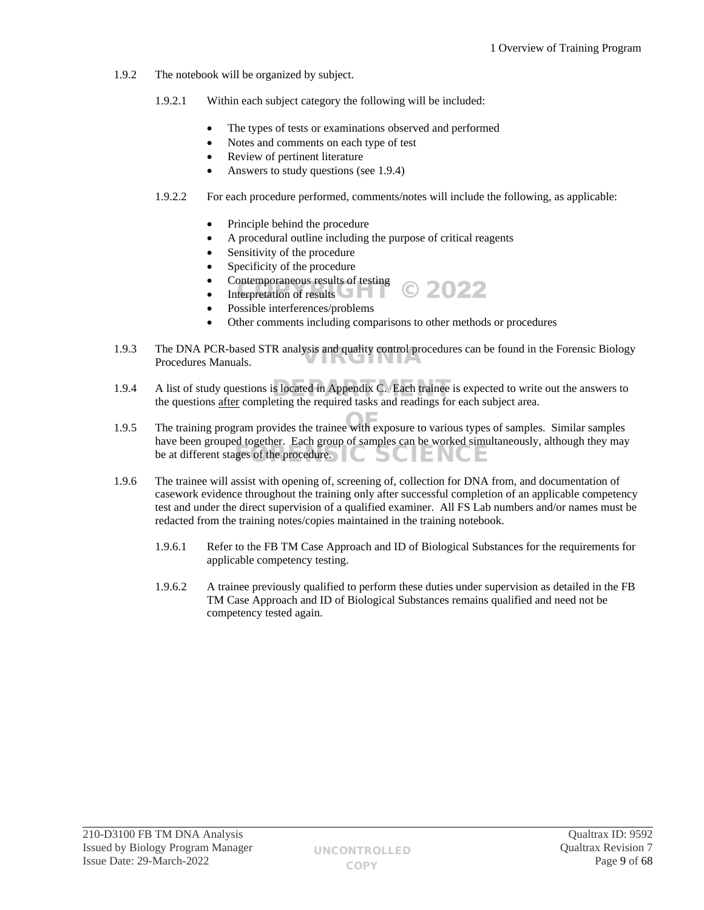- 1.9.2 The notebook will be organized by subject.
	- 1.9.2.1 Within each subject category the following will be included:
		- The types of tests or examinations observed and performed
		- Notes and comments on each type of test
		- Review of pertinent literature
		- Answers to study questions (see 1.9.4)
	- 1.9.2.2 For each procedure performed, comments/notes will include the following, as applicable:
		- Principle behind the procedure
		- A procedural outline including the purpose of critical reagents
		- Sensitivity of the procedure
		- Specificity of the procedure
		- Contemporaneous results of testing Interpretation of results COPYRIGHT COPYRIGHT COPYRIGHT OF THE COPYRIGHT OF THE COPYRIGHT OF THE COPYRIGHT OF THE COPYRIGHT OF THE COPYRIGHT OF THE COPYRIGHT OF THE COPYRIGHT OF THE COPYRIGHT OF THE COPYRIGHT OF THE COPYRI
		-
		- Possible interferences/problems
		- Other comments including comparisons to other methods or procedures
- 1.9.3 The DNA PCR-based STR analysis and quality control procedures can be found in the Forensic Biology Procedures Manuals. Procedures Manuals.
- 1.9.4 A list of study questions is located in Appendix C. Each trainee is expected to write out the answers to the answers to the answers to the answers to the answers to the answers to the answers to the answers to the se the questions after completing the required tasks and readings for each subject area.
- 1.9.5 The training program provides the trainee with exposure to various types of samples. Similar samples have been grouped together. Each group of samples can be worked simultaneously, although they may  $\frac{1}{2}$  be at different stages of the procedure.
- 1.9.6 The trainee will assist with opening of, screening of, collection for DNA from, and documentation of casework evidence throughout the training only after successful completion of an applicable competency test and under the direct supervision of a qualified examiner. All FS Lab numbers and/or names must be redacted from the training notes/copies maintained in the training notebook.
	- 1.9.6.1 Refer to the FB TM Case Approach and ID of Biological Substances for the requirements for applicable competency testing.
	- 1.9.6.2 A trainee previously qualified to perform these duties under supervision as detailed in the FB TM Case Approach and ID of Biological Substances remains qualified and need not be competency tested again.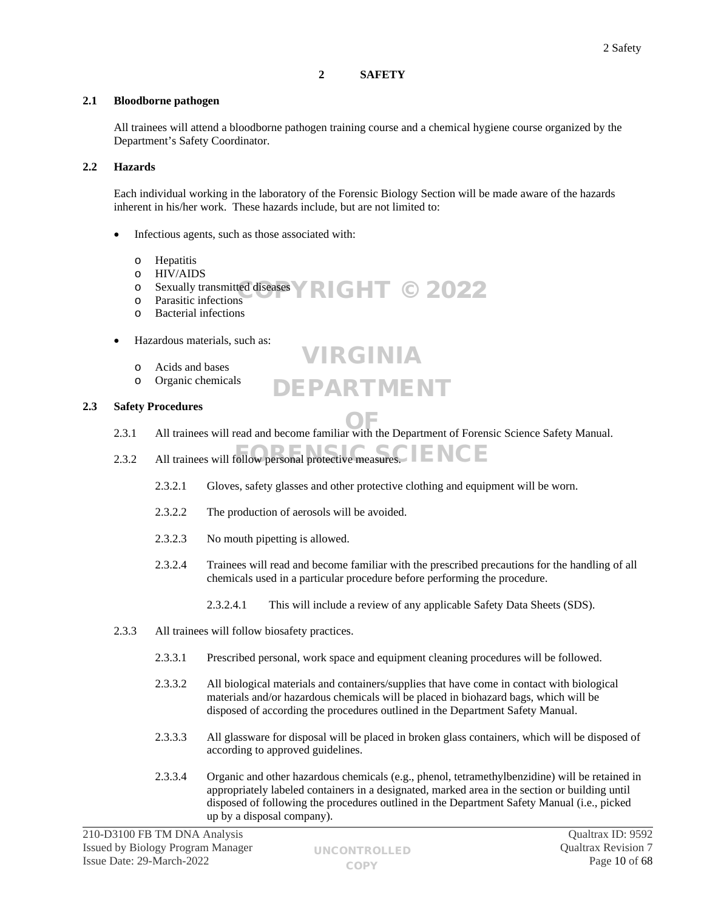# <span id="page-9-0"></span>**2 SAFETY**

# **2.1 Bloodborne pathogen**

All trainees will attend a bloodborne pathogen training course and a chemical hygiene course organized by the Department's Safety Coordinator.

# **2.2 Hazards**

Each individual working in the laboratory of the Forensic Biology Section will be made aware of the hazards inherent in his/her work. These hazards include, but are not limited to:

- Infectious agents, such as those associated with:
	- o Hepatitis
	- o HIV/AIDS
	- $\circ$  Sexually transmitted diseases  $\triangledown$  RIGHT © 2022
	- o Parasitic infections
	- o Bacterial infections
- Hazardous materials, such as:
	- o Acids and bases
	- o Organic chemicals

# **2.3 Safety Procedures**

2.3.1 All trainees will read and become familiar with the Department of Forensic Science Safety Manual.

VIRGINIA

DEPARTMENT

- 2.3.2 All trainees will follow personal protective measures.
	- 2.3.2.1 Gloves, safety glasses and other protective clothing and equipment will be worn.
	- 2.3.2.2 The production of aerosols will be avoided.
	- 2.3.2.3 No mouth pipetting is allowed.
	- 2.3.2.4 Trainees will read and become familiar with the prescribed precautions for the handling of all chemicals used in a particular procedure before performing the procedure.
		- 2.3.2.4.1 This will include a review of any applicable Safety Data Sheets (SDS).
- 2.3.3 All trainees will follow biosafety practices.
	- 2.3.3.1 Prescribed personal, work space and equipment cleaning procedures will be followed.
	- 2.3.3.2 All biological materials and containers/supplies that have come in contact with biological materials and/or hazardous chemicals will be placed in biohazard bags, which will be disposed of according the procedures outlined in the Department Safety Manual.
	- 2.3.3.3 All glassware for disposal will be placed in broken glass containers, which will be disposed of according to approved guidelines.
	- 2.3.3.4 Organic and other hazardous chemicals (e.g., phenol, tetramethylbenzidine) will be retained in appropriately labeled containers in a designated, marked area in the section or building until disposed of following the procedures outlined in the Department Safety Manual (i.e., picked up by a disposal company).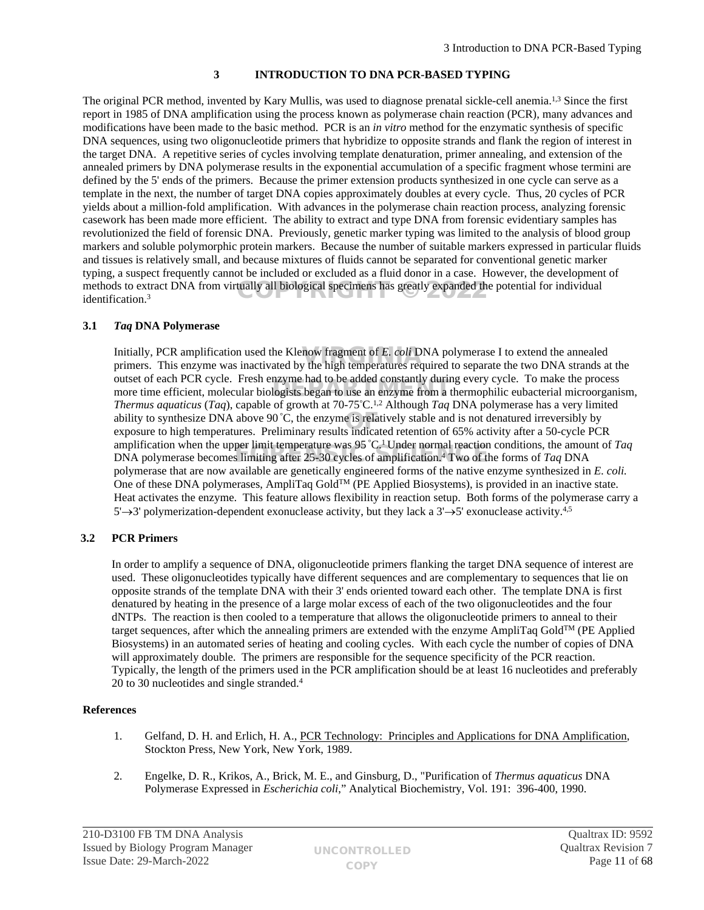# <span id="page-10-0"></span>**3 INTRODUCTION TO DNA PCR-BASED TYPING**

The original PCR method, invented by Kary Mullis, was used to diagnose prenatal sickle-cell anemia.<sup>1,3</sup> Since the first report in 1985 of DNA amplification using the process known as polymerase chain reaction (PCR), many advances and modifications have been made to the basic method. PCR is an *in vitro* method for the enzymatic synthesis of specific DNA sequences, using two oligonucleotide primers that hybridize to opposite strands and flank the region of interest in the target DNA. A repetitive series of cycles involving template denaturation, primer annealing, and extension of the annealed primers by DNA polymerase results in the exponential accumulation of a specific fragment whose termini are defined by the 5' ends of the primers. Because the primer extension products synthesized in one cycle can serve as a template in the next, the number of target DNA copies approximately doubles at every cycle. Thus, 20 cycles of PCR yields about a million-fold amplification. With advances in the polymerase chain reaction process, analyzing forensic casework has been made more efficient. The ability to extract and type DNA from forensic evidentiary samples has revolutionized the field of forensic DNA. Previously, genetic marker typing was limited to the analysis of blood group markers and soluble polymorphic protein markers. Because the number of suitable markers expressed in particular fluids and tissues is relatively small, and because mixtures of fluids cannot be separated for conventional genetic marker typing, a suspect frequently cannot be included or excluded as a fluid donor in a case. However, the development of methods to extract DNA from virtually all biological specimens has greatly expanded the potential for individual<br>identification.<sup>3</sup> identification.<sup>3</sup>

# **3.1** *Taq* **DNA Polymerase**

Initially, PCR amplification used the Klenow fragment of *E. coli* DNA polymerase I to extend the annealed primers. This enzyme was inactivated by the high temperatures required to separate the two DNA strands at primers. This enzyme was inactivated by the high temperatures required to separate the two DNA strands at the outset of each PCR cycle. Fresh enzyme had to be added constantly during every cycle. To make the process outset of each PCK cycle. First enzyme had to be added constantly during every cycle. To make the process more time efficient, molecular biologists began to use an enzyme from a thermophilic eubacterial microorganism, *Thermus aquaticus* (*Taq*), capable of growth at 70-75°C.1,2 Although *Taq* DNA polymerase has a very limited ability to synthesize DNA above 90 °C, the enzyme is relatively stable and is not denatured irreversibly by exposure to high temperatures. Preliminary results indicated retention of 65% activity after a 50-cycle PCI exposure to high temperatures. Preliminary results indicated retention of 65% activity after a 50-cycle PCR amplification when the upper limit temperature was 95 °C.<sup>1</sup>Under normal reaction conditions, the amount of *Taq* amplification when the upper limit temperature was 95 °C. Onder normal reaction conditions, the amount DNA polymerase becomes limiting after 25-30 cycles of amplification.<sup>4</sup> Two of the forms of *Taq* DNA polymerase that are now available are genetically engineered forms of the native enzyme synthesized in *E. coli.* One of these DNA polymerases, AmpliTaq GoldTM (PE Applied Biosystems), is provided in an inactive state. Heat activates the enzyme. This feature allows flexibility in reaction setup. Both forms of the polymerase carry a  $5'$  > 3' polymerization-dependent exonuclease activity, but they lack a  $3' \rightarrow 5'$  exonuclease activity.<sup>4,5</sup>

# **3.2 PCR Primers**

In order to amplify a sequence of DNA, oligonucleotide primers flanking the target DNA sequence of interest are used. These oligonucleotides typically have different sequences and are complementary to sequences that lie on opposite strands of the template DNA with their 3' ends oriented toward each other. The template DNA is first denatured by heating in the presence of a large molar excess of each of the two oligonucleotides and the four dNTPs. The reaction is then cooled to a temperature that allows the oligonucleotide primers to anneal to their target sequences, after which the annealing primers are extended with the enzyme AmpliTaq GoldTM (PE Applied Biosystems) in an automated series of heating and cooling cycles. With each cycle the number of copies of DNA will approximately double. The primers are responsible for the sequence specificity of the PCR reaction. Typically, the length of the primers used in the PCR amplification should be at least 16 nucleotides and preferably 20 to 30 nucleotides and single stranded.<sup>4</sup>

# **References**

- 1. Gelfand, D. H. and Erlich, H. A., PCR Technology: Principles and Applications for DNA Amplification, Stockton Press, New York, New York, 1989.
- 2. Engelke, D. R., Krikos, A., Brick, M. E., and Ginsburg, D., "Purification of *Thermus aquaticus* DNA Polymerase Expressed in *Escherichia coli*," Analytical Biochemistry, Vol. 191: 396-400, 1990.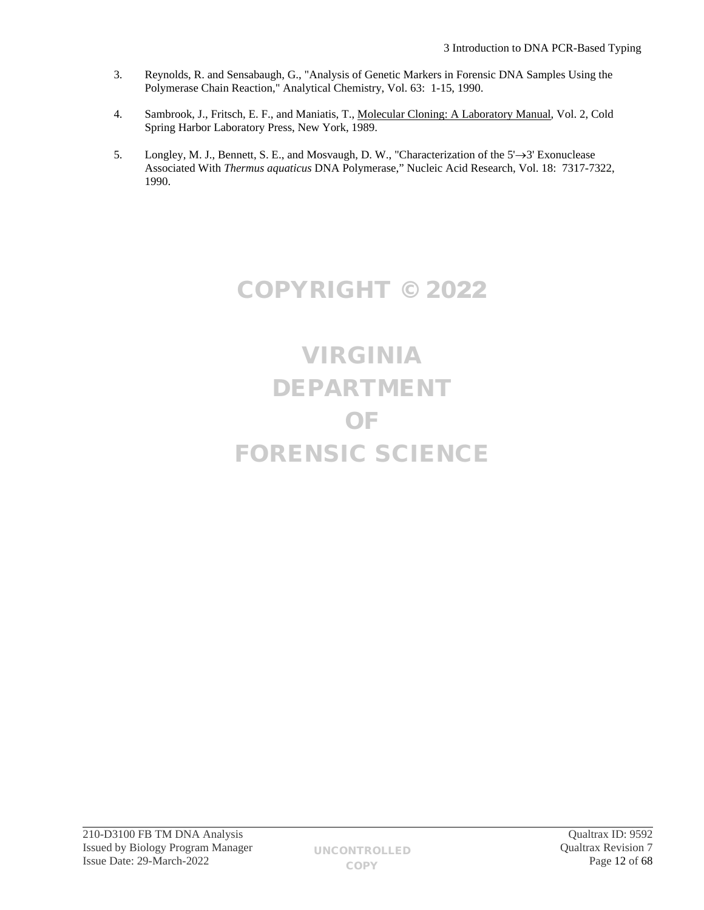- 3. Reynolds, R. and Sensabaugh, G., "Analysis of Genetic Markers in Forensic DNA Samples Using the Polymerase Chain Reaction," Analytical Chemistry, Vol. 63: 1-15, 1990.
- 4. Sambrook, J., Fritsch, E. F., and Maniatis, T., Molecular Cloning: A Laboratory Manual, Vol. 2, Cold Spring Harbor Laboratory Press, New York, 1989.
- 5. Longley, M. J., Bennett, S. E., and Mosvaugh, D. W., "Characterization of the  $5' \rightarrow 3'$  Exonuclease Associated With *Thermus aquaticus* DNA Polymerase," Nucleic Acid Research, Vol. 18: 7317-7322, 1990.

# COPYRIGHT © 2022

# VIRGINIA DEPARTMENT OF FORENSIC SCIENCE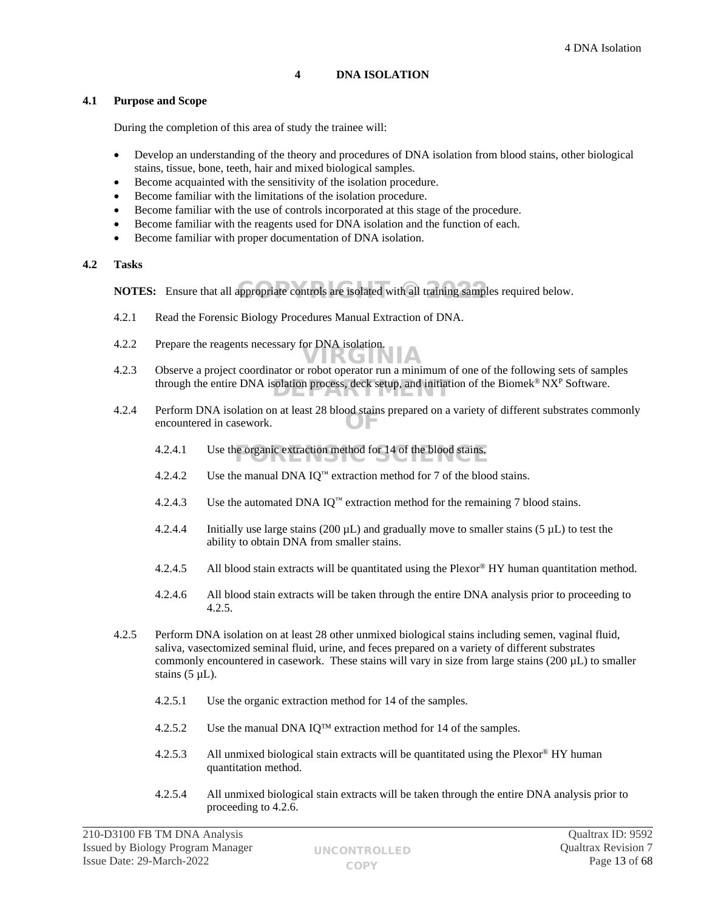# <span id="page-12-0"></span>**4 DNA ISOLATION**

#### **4.1 Purpose and Scope**

During the completion of this area of study the trainee will:

- Develop an understanding of the theory and procedures of DNA isolation from blood stains, other biological stains, tissue, bone, teeth, hair and mixed biological samples.
- Become acquainted with the sensitivity of the isolation procedure.
- Become familiar with the limitations of the isolation procedure.
- Become familiar with the use of controls incorporated at this stage of the procedure.
- Become familiar with the reagents used for DNA isolation and the function of each.
- Become familiar with proper documentation of DNA isolation.

## **4.2 Tasks**

**NOTES:** Ensure that all appropriate controls are isolated with all training samples required below.

- 4.2.1 Read the Forensic Biology Procedures Manual Extraction of DNA.
- 4.2.2 Prepare the reagents necessary for DNA isolation.
- 4.2.3 Observe a project coordinator or robot operator run a minimum of one of the following sets of samples through the entire DNA isolation process, deck setup, and initiation of the Biomek<sup>®</sup> NX<sup>P</sup> Software. VIRGINIA
	- 4.2.4 Perform DNA isolation on at least 28 blood stains prepared on a variety of different substrates commonly OF encountered in casework.
		- 4.2.4.1 Use the organic extraction method for  $14$  of the blood stains.
		- 4.2.4.2 Use the manual DNA IQ<sup>™</sup> extraction method for 7 of the blood stains.
		- 4.2.4.3 Use the automated DNA IO<sup> $m$ </sup> extraction method for the remaining 7 blood stains.
		- 4.2.4.4 Initially use large stains (200  $\mu$ L) and gradually move to smaller stains (5  $\mu$ L) to test the ability to obtain DNA from smaller stains.
		- 4.2.4.5 All blood stain extracts will be quantitated using the Plexor® HY human quantitation method.
		- 4.2.4.6 All blood stain extracts will be taken through the entire DNA analysis prior to proceeding to 4.2.5.
	- 4.2.5 Perform DNA isolation on at least 28 other unmixed biological stains including semen, vaginal fluid, saliva, vasectomized seminal fluid, urine, and feces prepared on a variety of different substrates commonly encountered in casework. These stains will vary in size from large stains  $(200 \mu L)$  to smaller stains  $(5 \mu L)$ .
		- 4.2.5.1 Use the organic extraction method for 14 of the samples.
		- 4.2.5.2 Use the manual DNA IQ<sup>TM</sup> extraction method for 14 of the samples.
		- 4.2.5.3 All unmixed biological stain extracts will be quantitated using the Plexor® HY human quantitation method.
		- 4.2.5.4 All unmixed biological stain extracts will be taken through the entire DNA analysis prior to proceeding to 4.2.6.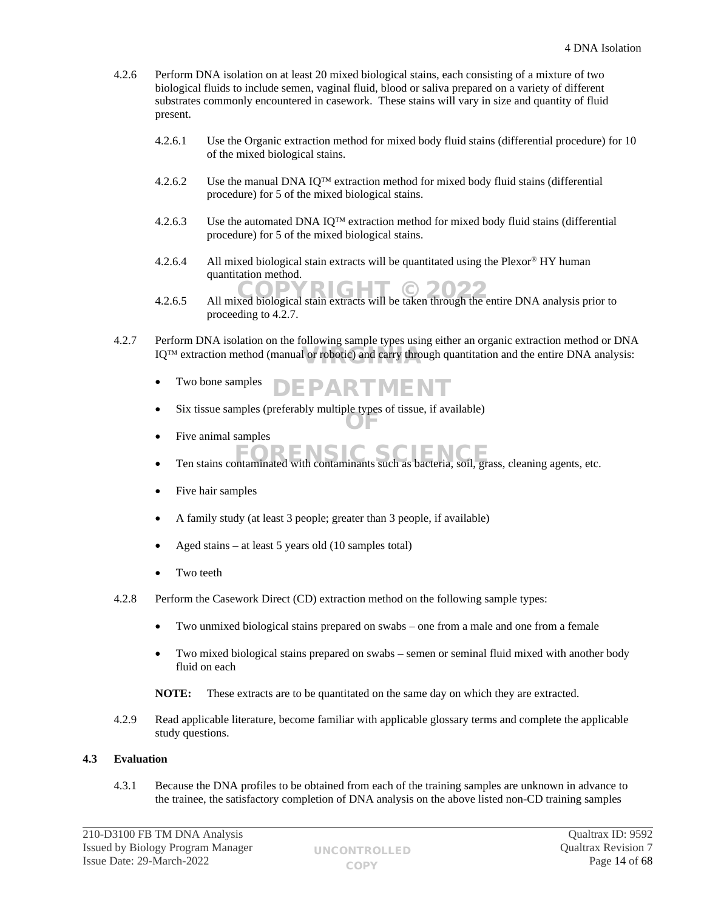- 4.2.6 Perform DNA isolation on at least 20 mixed biological stains, each consisting of a mixture of two biological fluids to include semen, vaginal fluid, blood or saliva prepared on a variety of different substrates commonly encountered in casework. These stains will vary in size and quantity of fluid present.
	- 4.2.6.1 Use the Organic extraction method for mixed body fluid stains (differential procedure) for 10 of the mixed biological stains.
	- 4.2.6.2 Use the manual DNA IQ<sup>TM</sup> extraction method for mixed body fluid stains (differential procedure) for 5 of the mixed biological stains.
	- 4.2.6.3 Use the automated DNA IQ<sup>TM</sup> extraction method for mixed body fluid stains (differential procedure) for 5 of the mixed biological stains.
	- 4.2.6.4 All mixed biological stain extracts will be quantitated using the Plexor<sup>®</sup> HY human quantitation method.
	- 4.2.6.5 All mixed biological stain extracts will be taken through the entire DNA analysis prior to proceeding to 4.2.7.
- 4.2.7 Perform DNA isolation on the following sample types using either an organic extraction method or DNA  $IQ^{TM}$  extraction method (manual or robotic) and carry through quantitation and the entire DNA analysis:
	- Two bone samples DEPARTMENT
	- Six tissue samples (preferably multiple types of tissue, if available) OF
	- Five animal samples
	- Ten stains contaminated with contaminants such as bacteria, soil, grass, cleaning agents, etc.
	- Five hair samples
	- A family study (at least 3 people; greater than 3 people, if available)
	- Aged stains at least 5 years old (10 samples total)
	- Two teeth
- 4.2.8 Perform the Casework Direct (CD) extraction method on the following sample types:
	- Two unmixed biological stains prepared on swabs one from a male and one from a female
	- Two mixed biological stains prepared on swabs semen or seminal fluid mixed with another body fluid on each
	- **NOTE:** These extracts are to be quantitated on the same day on which they are extracted.
- 4.2.9 Read applicable literature, become familiar with applicable glossary terms and complete the applicable study questions.

# **4.3 Evaluation**

4.3.1 Because the DNA profiles to be obtained from each of the training samples are unknown in advance to the trainee, the satisfactory completion of DNA analysis on the above listed non-CD training samples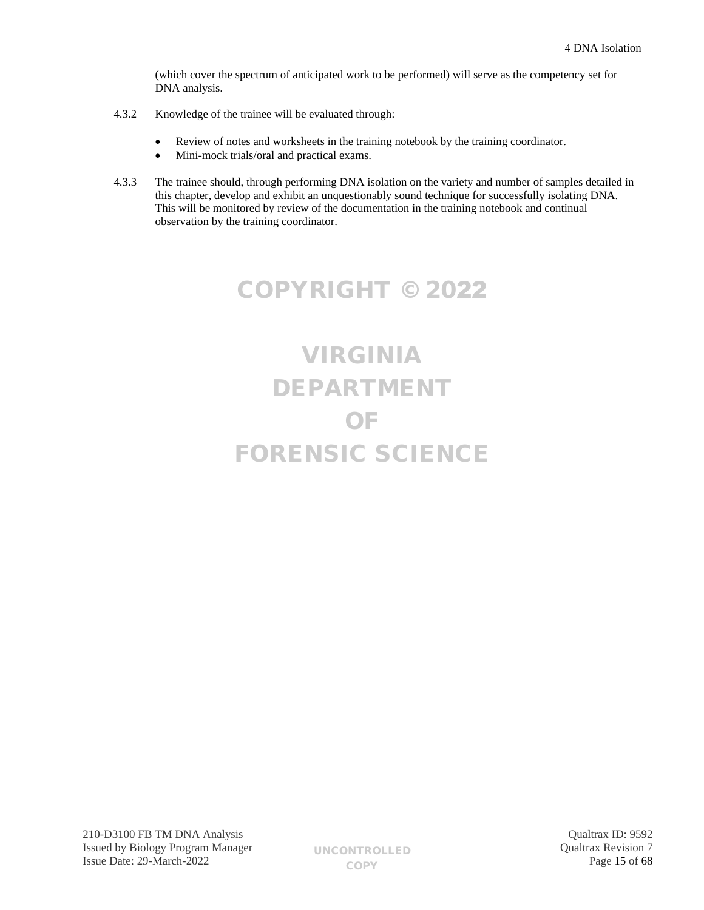(which cover the spectrum of anticipated work to be performed) will serve as the competency set for DNA analysis.

- 4.3.2 Knowledge of the trainee will be evaluated through:
	- Review of notes and worksheets in the training notebook by the training coordinator.
	- Mini-mock trials/oral and practical exams.
- 4.3.3 The trainee should, through performing DNA isolation on the variety and number of samples detailed in this chapter, develop and exhibit an unquestionably sound technique for successfully isolating DNA. This will be monitored by review of the documentation in the training notebook and continual observation by the training coordinator.

# COPYRIGHT © 2022

# VIRGINIA DEPARTMENT OF FORENSIC SCIENCE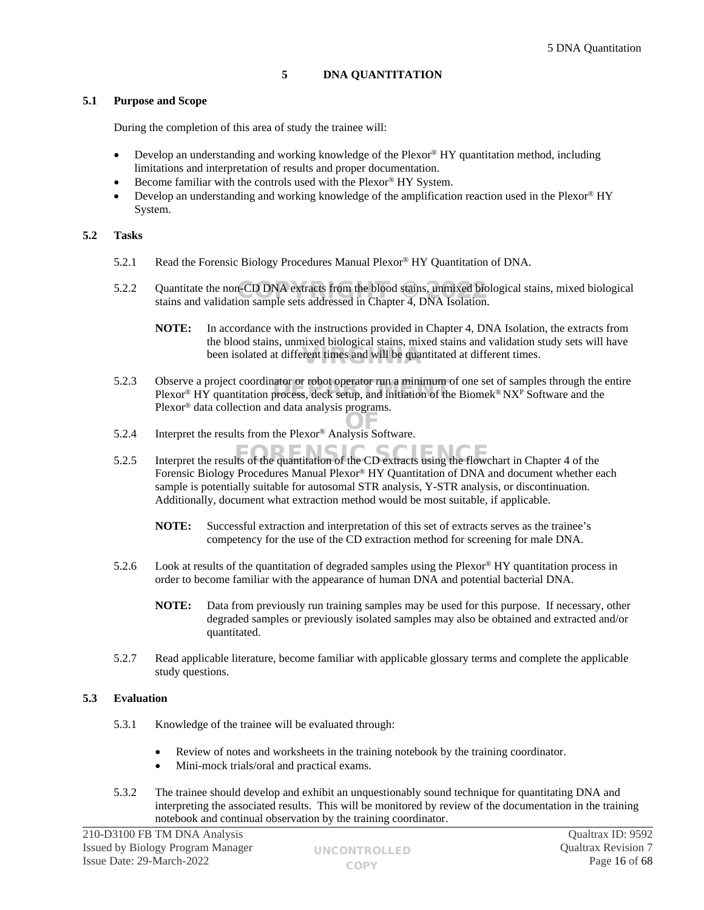# <span id="page-15-0"></span>**5 DNA QUANTITATION**

## **5.1 Purpose and Scope**

During the completion of this area of study the trainee will:

- Develop an understanding and working knowledge of the Plexor® HY quantitation method, including limitations and interpretation of results and proper documentation.
- Become familiar with the controls used with the Plexor® HY System.
- Develop an understanding and working knowledge of the amplification reaction used in the Plexor® HY System.

## **5.2 Tasks**

- 5.2.1 Read the Forensic Biology Procedures Manual Plexor® HY Quantitation of DNA.
- 5.2.2 Quantitate the non-CD DNA extracts from the blood stains, unmixed biological stains, mixed biological stains and validation sample sets addressed in Chanter 4, DNA Isolation stains and validation sample sets addressed in Chapter 4, DNA Isolation.
	- **NOTE:** In accordance with the instructions provided in Chapter 4, DNA Isolation, the extracts from the blood stains, unmixed biological stains, mixed stains and validation study sets will have been isolated at different times and will be quantitated at different times.
- 5.2.3 Observe a project coordinator or robot operator run a minimum of one set of samples through the entire Observe a project coordinator or robot operator run a minimum of one set of samples through the  $\epsilon$ <br>Plexor® HY quantitation process, deck setup, and initiation of the Biomek® NX<sup>p</sup> Software and the Plexor® data collection and data analysis programs.
- 5.2.4 Interpret the results from the Plexor® Analysis Software.
- 5.2.5 Interpret the results of the quantitation of the CD extracts using the flowchart in Chapter 4 of the Forensic Biology Procedures Manual Plexor® HY Quantitation of DNA and document whether each sample is potentially suitable for autosomal STR analysis, Y-STR analysis, or discontinuation. Additionally, document what extraction method would be most suitable, if applicable.
	- **NOTE:** Successful extraction and interpretation of this set of extracts serves as the trainee's competency for the use of the CD extraction method for screening for male DNA.
- 5.2.6 Look at results of the quantitation of degraded samples using the Plexor® HY quantitation process in order to become familiar with the appearance of human DNA and potential bacterial DNA.
	- **NOTE:** Data from previously run training samples may be used for this purpose. If necessary, other degraded samples or previously isolated samples may also be obtained and extracted and/or quantitated.
- 5.2.7 Read applicable literature, become familiar with applicable glossary terms and complete the applicable study questions.

## **5.3 Evaluation**

- 5.3.1 Knowledge of the trainee will be evaluated through:
	- Review of notes and worksheets in the training notebook by the training coordinator.
	- Mini-mock trials/oral and practical exams.
- 5.3.2 The trainee should develop and exhibit an unquestionably sound technique for quantitating DNA and interpreting the associated results. This will be monitored by review of the documentation in the training notebook and continual observation by the training coordinator.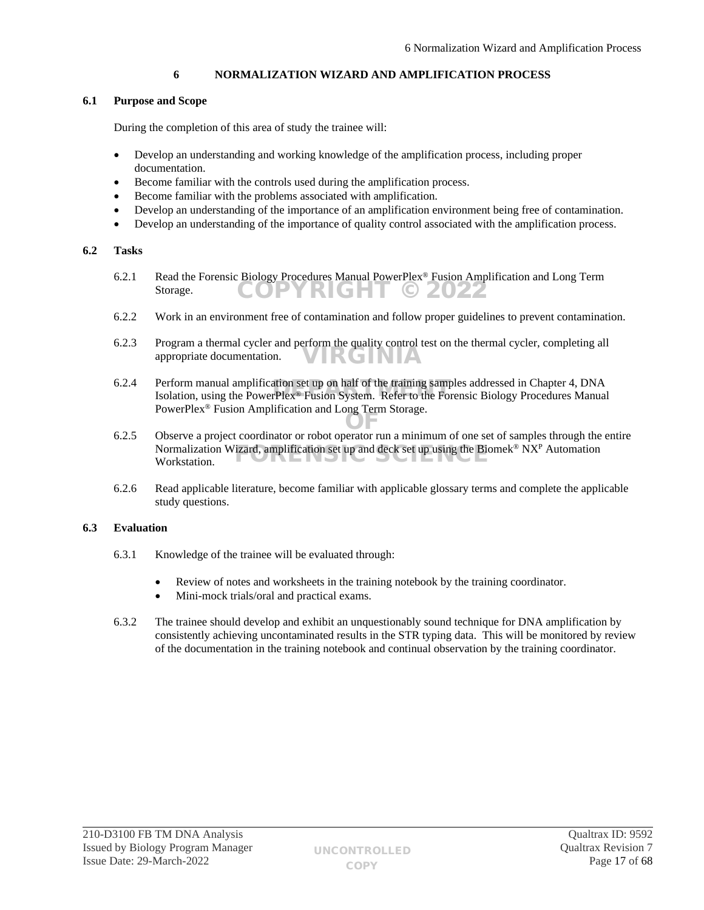# <span id="page-16-0"></span>**6 NORMALIZATION WIZARD AND AMPLIFICATION PROCESS**

# **6.1 Purpose and Scope**

During the completion of this area of study the trainee will:

- Develop an understanding and working knowledge of the amplification process, including proper documentation.
- Become familiar with the controls used during the amplification process.
- Become familiar with the problems associated with amplification.
- Develop an understanding of the importance of an amplification environment being free of contamination.
- Develop an understanding of the importance of quality control associated with the amplification process.

## **6.2 Tasks**

- 6.2.1 Read the Forensic Biology Procedures Manual PowerPlex® Fusion Amplification and Long Term Storage. COPYRIGHT © 2022
- 6.2.2 Work in an environment free of contamination and follow proper guidelines to prevent contamination.
- 6.2.3 Program a thermal cycler and perform the quality control test on the thermal cycler, completing all appropriate documentation. VIRGINIA
- 6.2.4 Perform manual amplification set up on half of the training samples addressed in Chapter 4, DNA Perform manual amplification set up on half of the training samples addressed in Chapter 4, DNA<br>Isolation, using the PowerPlex® Fusion System. Refer to the Forensic Biology Procedures Manual PowerPlex® Fusion Amplification and Long Term Storage.
- 6.2.5 Observe a project coordinator or robot operator run a minimum of one set of samples through the entire Normalization Wizard, amplification set up and deck set up using the Biomek® NX<sup>P</sup> Automation<br>Workstation. Workstation.
- 6.2.6 Read applicable literature, become familiar with applicable glossary terms and complete the applicable study questions.

# **6.3 Evaluation**

- 6.3.1 Knowledge of the trainee will be evaluated through:
	- Review of notes and worksheets in the training notebook by the training coordinator.
	- Mini-mock trials/oral and practical exams.
- 6.3.2 The trainee should develop and exhibit an unquestionably sound technique for DNA amplification by consistently achieving uncontaminated results in the STR typing data. This will be monitored by review of the documentation in the training notebook and continual observation by the training coordinator.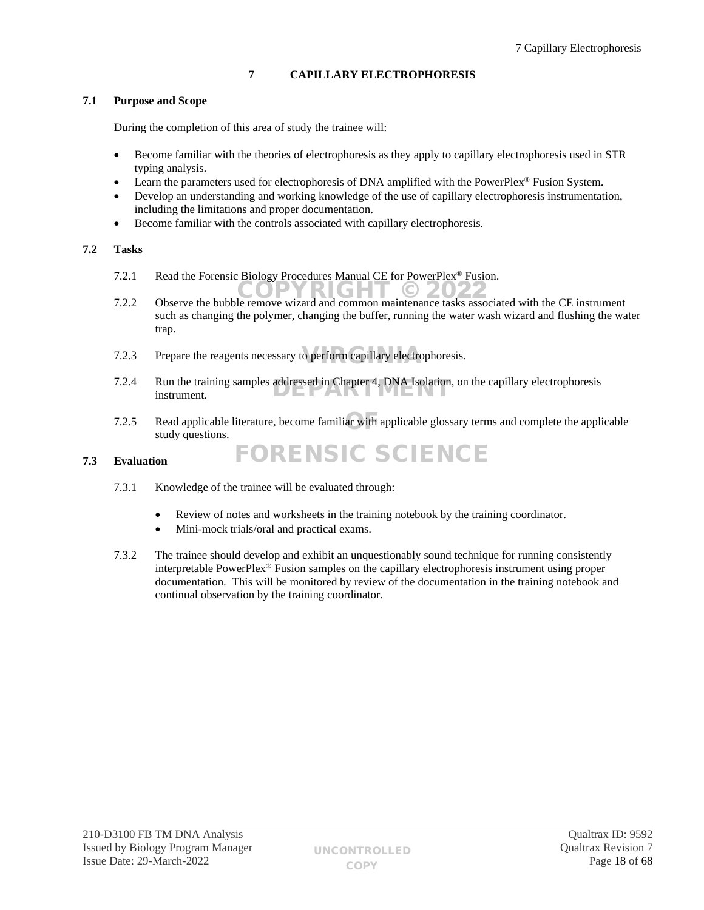# <span id="page-17-0"></span>**7 CAPILLARY ELECTROPHORESIS**

# **7.1 Purpose and Scope**

During the completion of this area of study the trainee will:

- Become familiar with the theories of electrophoresis as they apply to capillary electrophoresis used in STR typing analysis.
- Learn the parameters used for electrophoresis of DNA amplified with the PowerPlex® Fusion System.
- Develop an understanding and working knowledge of the use of capillary electrophoresis instrumentation, including the limitations and proper documentation.
- Become familiar with the controls associated with capillary electrophoresis.

# **7.2 Tasks**

- 7.2.1 Read the Forensic Biology Procedures Manual CE for PowerPlex® Fusion.
- T.2.2 Observe the bubble remove wizard and common maintenance tasks associated with the CE instrument such as changing the polymer, changing the buffer, running the water wash wizard and flushing the water trap.
- 7.2.3 Prepare the reagents necessary to perform capillary electrophoresis.
- 7.2.4 Run the training samples addressed in Chapter 4, DNA Isolation, on the capillary electrophoresis instrument. instrument.
- 7.2.5 Read applicable literature, become familiar with applicable glossary terms and complete the applicable etudy quantions study questions.

## **7.3 Evaluation**

- 7.3.1 Knowledge of the trainee will be evaluated through:
	- Review of notes and worksheets in the training notebook by the training coordinator.

FORENSIC SCIENCE

- Mini-mock trials/oral and practical exams.
- 7.3.2 The trainee should develop and exhibit an unquestionably sound technique for running consistently interpretable PowerPlex® Fusion samples on the capillary electrophoresis instrument using proper documentation. This will be monitored by review of the documentation in the training notebook and continual observation by the training coordinator.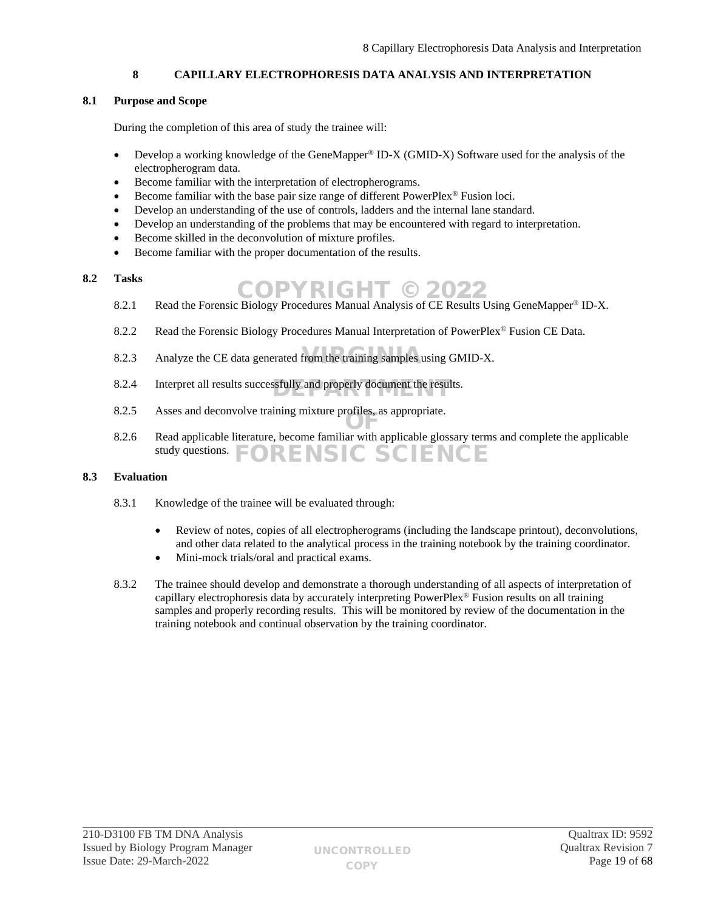# <span id="page-18-0"></span>**8 CAPILLARY ELECTROPHORESIS DATA ANALYSIS AND INTERPRETATION**

# **8.1 Purpose and Scope**

During the completion of this area of study the trainee will:

- Develop a working knowledge of the GeneMapper® ID-X (GMID-X) Software used for the analysis of the electropherogram data.
- Become familiar with the interpretation of electropherograms.
- Become familiar with the base pair size range of different PowerPlex® Fusion loci.
- Develop an understanding of the use of controls, ladders and the internal lane standard.
- Develop an understanding of the problems that may be encountered with regard to interpretation.
- Become skilled in the deconvolution of mixture profiles.
- Become familiar with the proper documentation of the results.

# **8.2 Tasks**

- 1 asks<br>8.2.1 Read the Forensic Biology Procedures Manual Analysis of CE Results Using GeneMapper® ID-X.
- 8.2.2 Read the Forensic Biology Procedures Manual Interpretation of PowerPlex<sup>®</sup> Fusion CE Data.
- 8.2.3 Analyze the CE data generated from the training samples using GMID-X.
- 8.2.4 Interpret all results successfully and properly document the results.
- 8.2.5 Asses and deconvolve training mixture profiles, as appropriate.
- 8.2.6 Read applicable literature, become familiar with applicable glossary terms and complete the applicable study questions. **DRENSIC SCIENCE**

## **8.3 Evaluation**

- 8.3.1 Knowledge of the trainee will be evaluated through:
	- Review of notes, copies of all electropherograms (including the landscape printout), deconvolutions, and other data related to the analytical process in the training notebook by the training coordinator.
	- Mini-mock trials/oral and practical exams.
- 8.3.2 The trainee should develop and demonstrate a thorough understanding of all aspects of interpretation of capillary electrophoresis data by accurately interpreting PowerPlex® Fusion results on all training samples and properly recording results. This will be monitored by review of the documentation in the training notebook and continual observation by the training coordinator.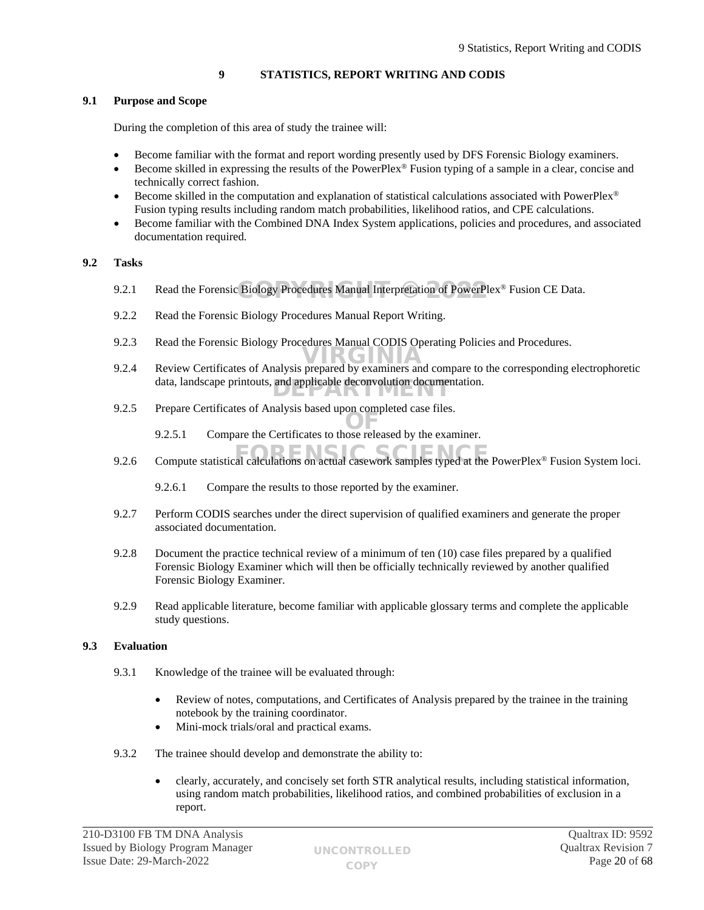# <span id="page-19-0"></span>**9 STATISTICS, REPORT WRITING AND CODIS**

# **9.1 Purpose and Scope**

During the completion of this area of study the trainee will:

- Become familiar with the format and report wording presently used by DFS Forensic Biology examiners.
- Become skilled in expressing the results of the PowerPlex® Fusion typing of a sample in a clear, concise and technically correct fashion.
- Become skilled in the computation and explanation of statistical calculations associated with PowerPlex® Fusion typing results including random match probabilities, likelihood ratios, and CPE calculations.
- Become familiar with the Combined DNA Index System applications, policies and procedures, and associated documentation required.

# **9.2 Tasks**

- 9.2.1 Read the Forensic Biology Procedures Manual Interpretation of PowerPlex® Fusion CE Data.
- 9.2.2 Read the Forensic Biology Procedures Manual Report Writing.
- 9.2.3 Read the Forensic Biology Procedures Manual CODIS Operating Policies and Procedures.
- 9.2.4 Review Certificates of Analysis prepared by examiners and compare to the corresponding electrophoretic political states of Analysis prepared by examiners and compare to the corresponding electrophoretic metal data, landscape printouts, and applicable deconvolution documentation.
- 9.2.5 Prepare Certificates of Analysis based upon completed case files.
	- 9.2.5.1 Compare the Certificates to those released by the examiner.
- 9.2.6 Compute statistical calculations on actual casework samples typed at the PowerPlex® Fusion System loci.
	- 9.2.6.1 Compare the results to those reported by the examiner.
- 9.2.7 Perform CODIS searches under the direct supervision of qualified examiners and generate the proper associated documentation.
- 9.2.8 Document the practice technical review of a minimum of ten (10) case files prepared by a qualified Forensic Biology Examiner which will then be officially technically reviewed by another qualified Forensic Biology Examiner.
- 9.2.9 Read applicable literature, become familiar with applicable glossary terms and complete the applicable study questions.

## **9.3 Evaluation**

- 9.3.1 Knowledge of the trainee will be evaluated through:
	- Review of notes, computations, and Certificates of Analysis prepared by the trainee in the training notebook by the training coordinator.
	- Mini-mock trials/oral and practical exams.
- 9.3.2 The trainee should develop and demonstrate the ability to:
	- clearly, accurately, and concisely set forth STR analytical results, including statistical information, using random match probabilities, likelihood ratios, and combined probabilities of exclusion in a report.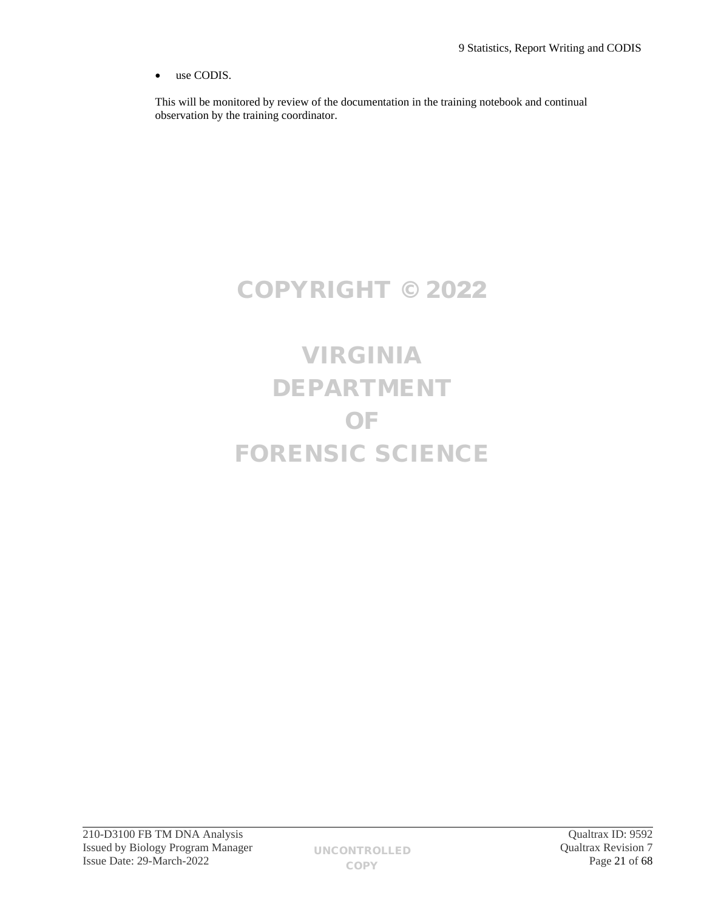use CODIS.

This will be monitored by review of the documentation in the training notebook and continual observation by the training coordinator.

# COPYRIGHT © 2022

# VIRGINIA DEPARTMENT OF FORENSIC SCIENCE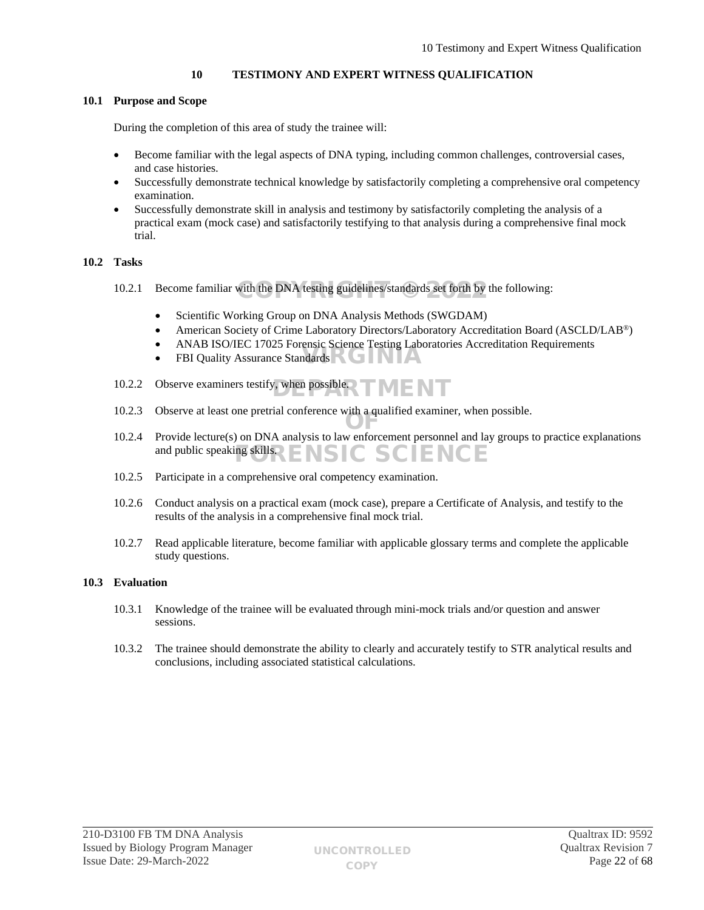# <span id="page-21-0"></span>**10 TESTIMONY AND EXPERT WITNESS QUALIFICATION**

## **10.1 Purpose and Scope**

During the completion of this area of study the trainee will:

- Become familiar with the legal aspects of DNA typing, including common challenges, controversial cases, and case histories.
- Successfully demonstrate technical knowledge by satisfactorily completing a comprehensive oral competency examination.
- Successfully demonstrate skill in analysis and testimony by satisfactorily completing the analysis of a practical exam (mock case) and satisfactorily testifying to that analysis during a comprehensive final mock trial.

## **10.2 Tasks**

- 10.2.1 Become familiar with the DNA testing guidelines/standards set forth by the following:
	- Scientific Working Group on DNA Analysis Methods (SWGDAM)
	- American Society of Crime Laboratory Directors/Laboratory Accreditation Board (ASCLD/LAB®)
	- ANAB ISO/IEC 17025 Forensic Science Testing Laboratories Accreditation Requirements
	- FBI Quality Assurance Standards
- 10.2.2 Observe examiners testify, when possible $\Box$
- 10.2.3 Observe at least one pretrial conference with a qualified examiner, when possible.
- 10.2.4 Provide lecture(s) on DNA analysis to law enforcement personnel and lay groups to practice explanations and public speaking skills. ISIC SCIENCE
- 10.2.5 Participate in a comprehensive oral competency examination.
- 10.2.6 Conduct analysis on a practical exam (mock case), prepare a Certificate of Analysis, and testify to the results of the analysis in a comprehensive final mock trial.
- 10.2.7 Read applicable literature, become familiar with applicable glossary terms and complete the applicable study questions.

# **10.3 Evaluation**

- 10.3.1 Knowledge of the trainee will be evaluated through mini-mock trials and/or question and answer sessions.
- 10.3.2 The trainee should demonstrate the ability to clearly and accurately testify to STR analytical results and conclusions, including associated statistical calculations.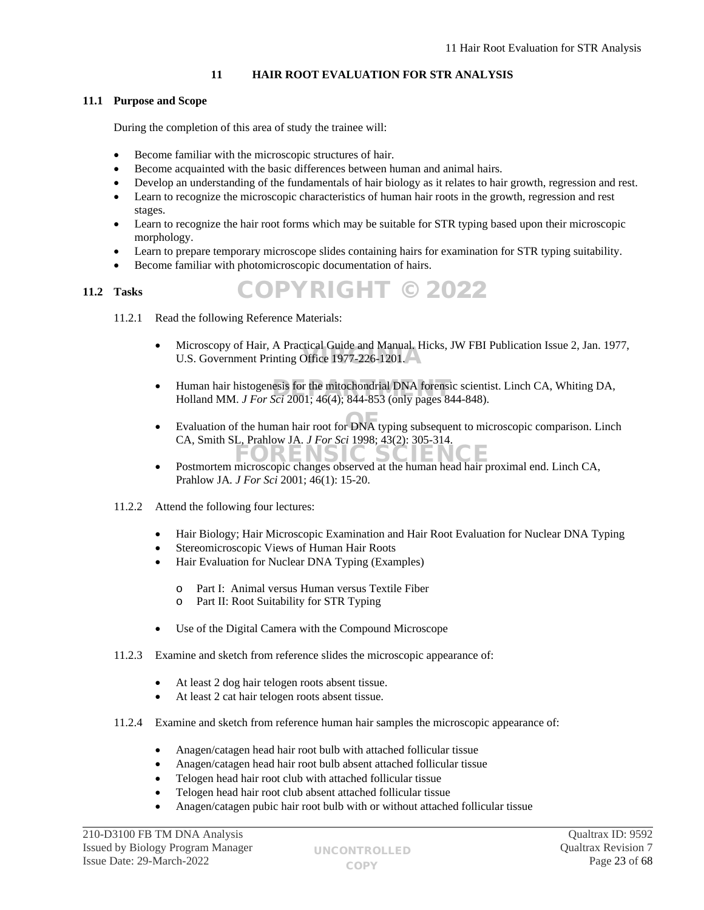# <span id="page-22-0"></span>**11 HAIR ROOT EVALUATION FOR STR ANALYSIS**

# **11.1 Purpose and Scope**

During the completion of this area of study the trainee will:

- Become familiar with the microscopic structures of hair.
- Become acquainted with the basic differences between human and animal hairs.
- Develop an understanding of the fundamentals of hair biology as it relates to hair growth, regression and rest.
- Learn to recognize the microscopic characteristics of human hair roots in the growth, regression and rest stages.
- Learn to recognize the hair root forms which may be suitable for STR typing based upon their microscopic morphology.
- Learn to prepare temporary microscope slides containing hairs for examination for STR typing suitability.

COPYRIGHT © 2022

Become familiar with photomicroscopic documentation of hairs.

## **11.2 Tasks**

11.2.1 Read the following Reference Materials:

- Microscopy of Hair, A Practical Guide and Manual. Hicks, JW FBI Publication Issue 2, Jan. 1977, Wicroscopy of Half, A Fractical Guide and Manual. His
- Human hair histogenesis for the mitochondrial DNA forensic scientist. Linch CA, Whiting DA, Holland MM *J For Sci* 2001:  $46(4)$ : 844-853 (only pages 844-848) Holland MM. *J For Sci* 2001; 46(4); 844-853 (only pages 844-848).
- Evaluation of the human hair root for DNA typing subsequent to microscopic comparison. Linch CA, Smith SL, Prahlow JA*. J For Sci* 1998; 43(2): 305-314.
- Postmortem microscopic changes observed at the human head hair proximal end. Linch CA, Prahlow JA*. J For Sci* 2001; 46(1): 15-20.
- 11.2.2 Attend the following four lectures:
	- Hair Biology; Hair Microscopic Examination and Hair Root Evaluation for Nuclear DNA Typing
	- Stereomicroscopic Views of Human Hair Roots
	- Hair Evaluation for Nuclear DNA Typing (Examples)
		- o Part I: Animal versus Human versus Textile Fiber
		- o Part II: Root Suitability for STR Typing
	- Use of the Digital Camera with the Compound Microscope
- 11.2.3 Examine and sketch from reference slides the microscopic appearance of:
	- At least 2 dog hair telogen roots absent tissue.
	- At least 2 cat hair telogen roots absent tissue.
- 11.2.4 Examine and sketch from reference human hair samples the microscopic appearance of:
	- Anagen/catagen head hair root bulb with attached follicular tissue
	- Anagen/catagen head hair root bulb absent attached follicular tissue
	- Telogen head hair root club with attached follicular tissue
	- Telogen head hair root club absent attached follicular tissue
	- Anagen/catagen pubic hair root bulb with or without attached follicular tissue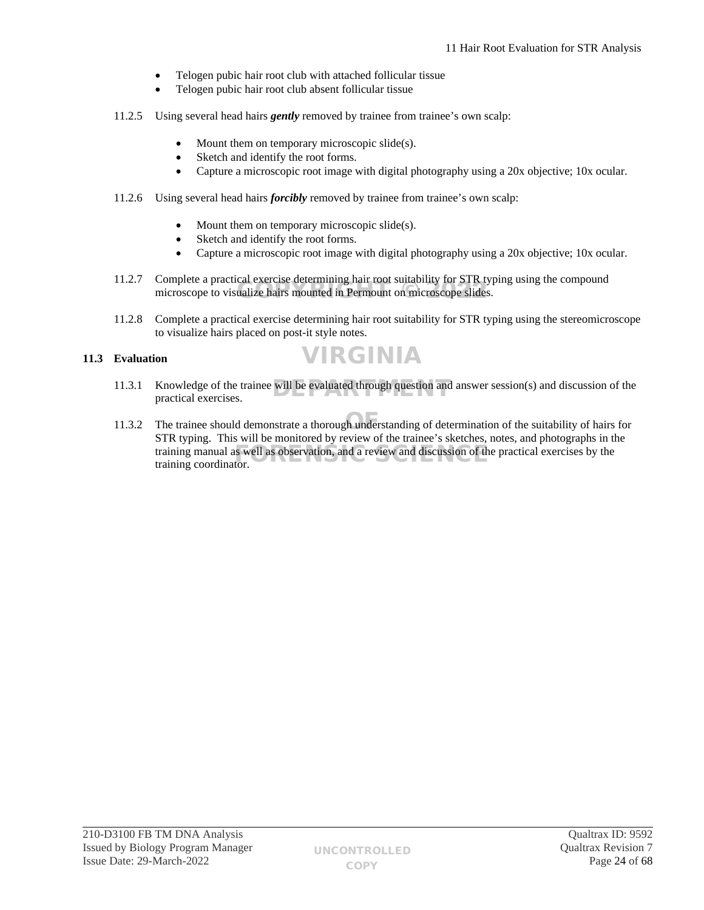- Telogen pubic hair root club with attached follicular tissue
- Telogen pubic hair root club absent follicular tissue
- 11.2.5 Using several head hairs *gently* removed by trainee from trainee's own scalp:
	- Mount them on temporary microscopic slide(s).
	- Sketch and identify the root forms.
	- Capture a microscopic root image with digital photography using a 20x objective; 10x ocular.
- 11.2.6 Using several head hairs *forcibly* removed by trainee from trainee's own scalp:
	- Mount them on temporary microscopic slide(s).
	- Sketch and identify the root forms.
	- Capture a microscopic root image with digital photography using a 20x objective; 10x ocular.
- 11.2.7 Complete a practical exercise determining hair root suitability for STR typing using the compound Complete a practical exercise determining name from surability for STK typerformance of the complete states.
- 11.2.8 Complete a practical exercise determining hair root suitability for STR typing using the stereomicroscope to visualize hairs placed on post-it style notes.

# **11.3 Evaluation**



- 11.3.1 Knowledge of the trainee will be evaluated through question and answer session(s) and discussion of the practical exercises. practical exercises.
- 11.3.2 The trainee should demonstrate a thorough understanding of determination of the suitability of hairs for STR typing. This will be monitored by review of the trainee's sketches, notes, and photographs in the training manual as well as observation, and a review and discussion of the practical exercises by the training coordinator training coordinator.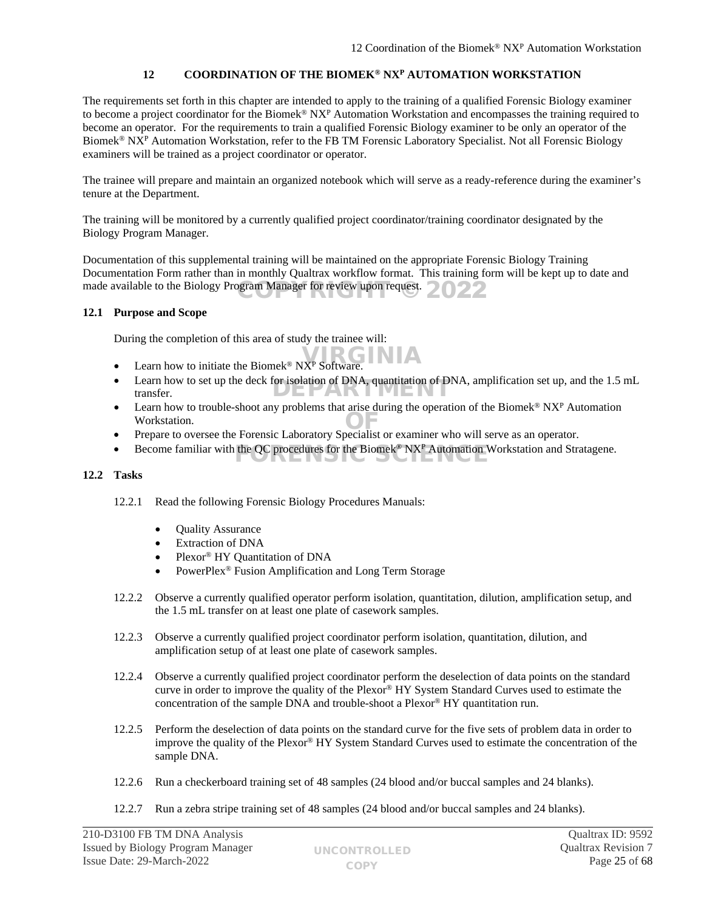# <span id="page-24-0"></span>**12 COORDINATION OF THE BIOMEK® NX<sup>P</sup> AUTOMATION WORKSTATION**

The requirements set forth in this chapter are intended to apply to the training of a qualified Forensic Biology examiner to become a project coordinator for the Biomek<sup>®</sup>  $NX<sup>p</sup>$  Automation Workstation and encompasses the training required to become an operator. For the requirements to train a qualified Forensic Biology examiner to be only an operator of the Biomek<sup>®</sup> NX<sup>P</sup> Automation Workstation, refer to the FB TM Forensic Laboratory Specialist. Not all Forensic Biology examiners will be trained as a project coordinator or operator.

The trainee will prepare and maintain an organized notebook which will serve as a ready-reference during the examiner's tenure at the Department.

The training will be monitored by a currently qualified project coordinator/training coordinator designated by the Biology Program Manager.

Documentation of this supplemental training will be maintained on the appropriate Forensic Biology Training Documentation Form rather than in monthly Qualtrax workflow format. This training form will be kept up to date and made available to the Biology Program Manager for review upon request.  $2022$ 

## **12.1 Purpose and Scope**

During the completion of this area of study the trainee will:

- Learn how to initiate the Biomek<sup>®</sup> NX<sup>P</sup> Software.
- Learn how to set up the deck for isolation of DNA, quantitation of DNA, amplification set up, and the 1.5 mL transfer. transfer.
- Earn how to trouble-shoot any problems that arise during the operation of the Biomek<sup>®</sup> NX<sup>P</sup> Automation Workstation. Prepare to oversee the Forensic Laboratory Specialist or examiner who will serve as an operator.
- 
- Become familiar with the QC procedures for the Biomek<sup>®</sup> NX<sup>P</sup> Automation Workstation and Stratagene.

## **12.2 Tasks**

- 12.2.1 Read the following Forensic Biology Procedures Manuals:
	- Quality Assurance
	- Extraction of DNA
	- Plexor® HY Quantitation of DNA
	- PowerPlex® Fusion Amplification and Long Term Storage
- 12.2.2 Observe a currently qualified operator perform isolation, quantitation, dilution, amplification setup, and the 1.5 mL transfer on at least one plate of casework samples.
- 12.2.3 Observe a currently qualified project coordinator perform isolation, quantitation, dilution, and amplification setup of at least one plate of casework samples.
- 12.2.4 Observe a currently qualified project coordinator perform the deselection of data points on the standard curve in order to improve the quality of the Plexor® HY System Standard Curves used to estimate the concentration of the sample DNA and trouble-shoot a Plexor® HY quantitation run.
- 12.2.5 Perform the deselection of data points on the standard curve for the five sets of problem data in order to improve the quality of the Plexor® HY System Standard Curves used to estimate the concentration of the sample DNA.
- 12.2.6 Run a checkerboard training set of 48 samples (24 blood and/or buccal samples and 24 blanks).
- 12.2.7 Run a zebra stripe training set of 48 samples (24 blood and/or buccal samples and 24 blanks).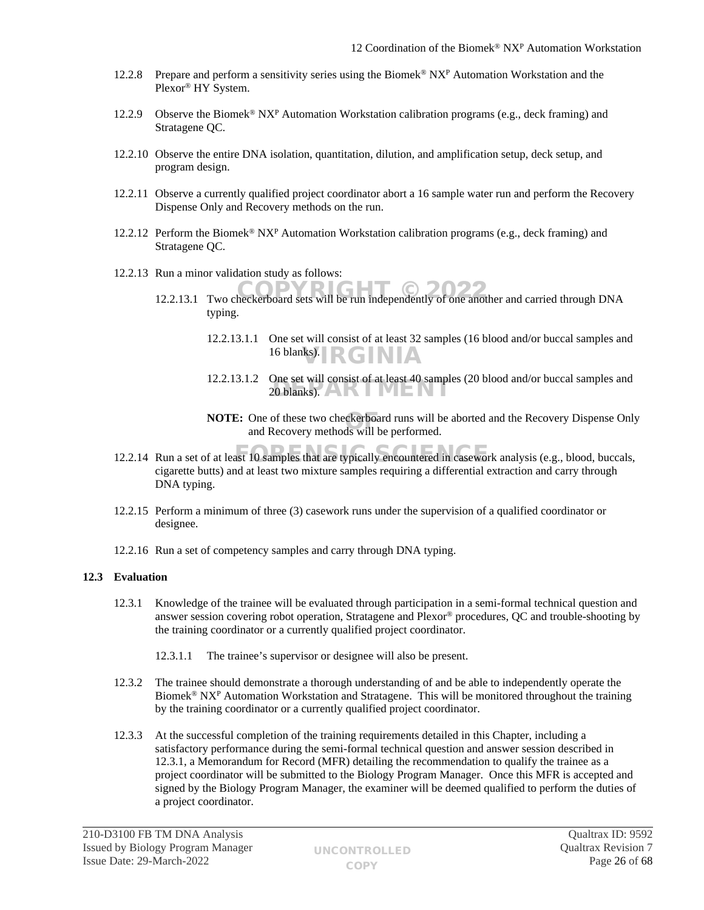- 12.2.8 Prepare and perform a sensitivity series using the Biomek<sup>®</sup> NX<sup>P</sup> Automation Workstation and the Plexor® HY System.
- 12.2.9 Observe the Biomek<sup>®</sup> NX<sup>P</sup> Automation Workstation calibration programs (e.g., deck framing) and Stratagene QC.
- 12.2.10 Observe the entire DNA isolation, quantitation, dilution, and amplification setup, deck setup, and program design.
- 12.2.11 Observe a currently qualified project coordinator abort a 16 sample water run and perform the Recovery Dispense Only and Recovery methods on the run.
- 12.2.12 Perform the Biomek<sup>®</sup> NX<sup>P</sup> Automation Workstation calibration programs (e.g., deck framing) and Stratagene QC.
- 12.2.13 Run a minor validation study as follows:
	- 12.2.13.1 Two checkerboard sets will be run independently of one another and carried through DNA typing.
		- 12.2.13.1.1 One set will consist of at least 32 samples (16 blood and/or buccal samples and 16 blanks). RGINIA
		- 12.2.13.1.2 One set will consist of at least 40 samples (20 blood and/or buccal samples and One set win consist of at least 40 sample.<br>20 blanks).
		- **NOTE:** One of these two checkerboard runs will be aborted and the Recovery Dispense Only and Recovery methods will be performed. and Recovery methods will be performed.
- 12.2.14 Run a set of at least 10 samples that are typically encountered in casework analysis (e.g., blood, buccals, cigarette butts) and at least two mixture samples requiring a differential extraction and carry through DNA typing.
- 12.2.15 Perform a minimum of three (3) casework runs under the supervision of a qualified coordinator or designee.
- 12.2.16 Run a set of competency samples and carry through DNA typing.

## **12.3 Evaluation**

- 12.3.1 Knowledge of the trainee will be evaluated through participation in a semi-formal technical question and answer session covering robot operation, Stratagene and Plexor® procedures, QC and trouble-shooting by the training coordinator or a currently qualified project coordinator.
	- 12.3.1.1 The trainee's supervisor or designee will also be present.
- 12.3.2 The trainee should demonstrate a thorough understanding of and be able to independently operate the Biomek<sup>®</sup> NX<sup>P</sup> Automation Workstation and Stratagene. This will be monitored throughout the training by the training coordinator or a currently qualified project coordinator.
- 12.3.3 At the successful completion of the training requirements detailed in this Chapter, including a satisfactory performance during the semi-formal technical question and answer session described in 12.3.1, a Memorandum for Record (MFR) detailing the recommendation to qualify the trainee as a project coordinator will be submitted to the Biology Program Manager. Once this MFR is accepted and signed by the Biology Program Manager, the examiner will be deemed qualified to perform the duties of a project coordinator.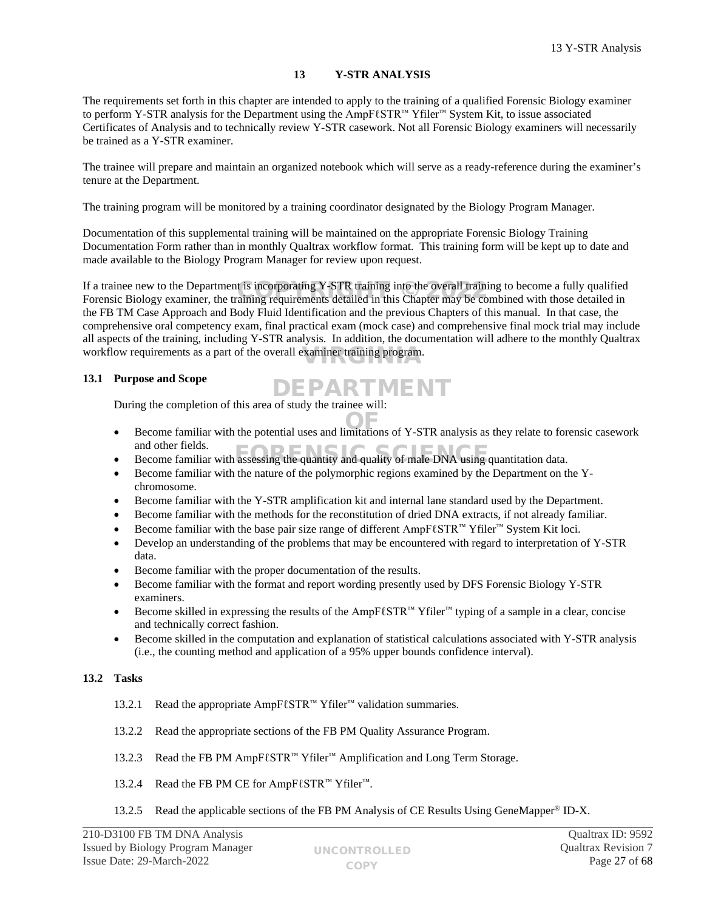# <span id="page-26-0"></span>**13 Y-STR ANALYSIS**

The requirements set forth in this chapter are intended to apply to the training of a qualified Forensic Biology examiner to perform Y-STR analysis for the Department using the AmpFℓSTR™ Yfiler™ System Kit, to issue associated Certificates of Analysis and to technically review Y-STR casework. Not all Forensic Biology examiners will necessarily be trained as a Y-STR examiner.

The trainee will prepare and maintain an organized notebook which will serve as a ready-reference during the examiner's tenure at the Department.

The training program will be monitored by a training coordinator designated by the Biology Program Manager.

Documentation of this supplemental training will be maintained on the appropriate Forensic Biology Training Documentation Form rather than in monthly Qualtrax workflow format. This training form will be kept up to date and made available to the Biology Program Manager for review upon request.

If a trainee new to the Department is incorporating Y-STR training into the overall training to become a fully qualified If a trainee new to the Department is incorporating Y-STR training into the overall training to become a fully qualified<br>Forensic Biology examiner, the training requirements detailed in this Chapter may be combined with th the FB TM Case Approach and Body Fluid Identification and the previous Chapters of this manual. In that case, the comprehensive oral competency exam, final practical exam (mock case) and comprehensive final mock trial may include all aspects of the training, including Y-STR analysis. In addition, the documentation will adhere to the monthly Qualtrax workflow requirements as a part of the overall examiner training program.

# **13.1 Purpose and Scope**

During the completion of this area of study the trainee will: DEPARTMENT

- Become familiar with the potential uses and limitations of Y-STR analysis as they relate to forensic casework and other fields.
- and other fields.<br>Become familiar with assessing the quantity and quality of male DNA using quantitation data.
- Become familiar with the nature of the polymorphic regions examined by the Department on the Ychromosome.
- Become familiar with the Y-STR amplification kit and internal lane standard used by the Department.
- Become familiar with the methods for the reconstitution of dried DNA extracts, if not already familiar.
- Become familiar with the base pair size range of different AmpFℓSTR™ Yfiler™ System Kit loci.
- Develop an understanding of the problems that may be encountered with regard to interpretation of Y-STR data.
- Become familiar with the proper documentation of the results.
- Become familiar with the format and report wording presently used by DFS Forensic Biology Y-STR examiners.
- Become skilled in expressing the results of the AmpFℓSTR™ Yfiler™ typing of a sample in a clear, concise and technically correct fashion.
- Become skilled in the computation and explanation of statistical calculations associated with Y-STR analysis (i.e., the counting method and application of a 95% upper bounds confidence interval).

# **13.2 Tasks**

- 13.2.1 Read the appropriate AmpFℓSTR™ Yfiler™ validation summaries.
- 13.2.2 Read the appropriate sections of the FB PM Quality Assurance Program.
- 13.2.3 Read the FB PM AmpFℓSTR™ Yfiler™ Amplification and Long Term Storage.
- 13.2.4 Read the FB PM CE for AmpFℓSTR™ Yfiler<sup>™</sup>.
- 13.2.5 Read the applicable sections of the FB PM Analysis of CE Results Using GeneMapper® ID-X.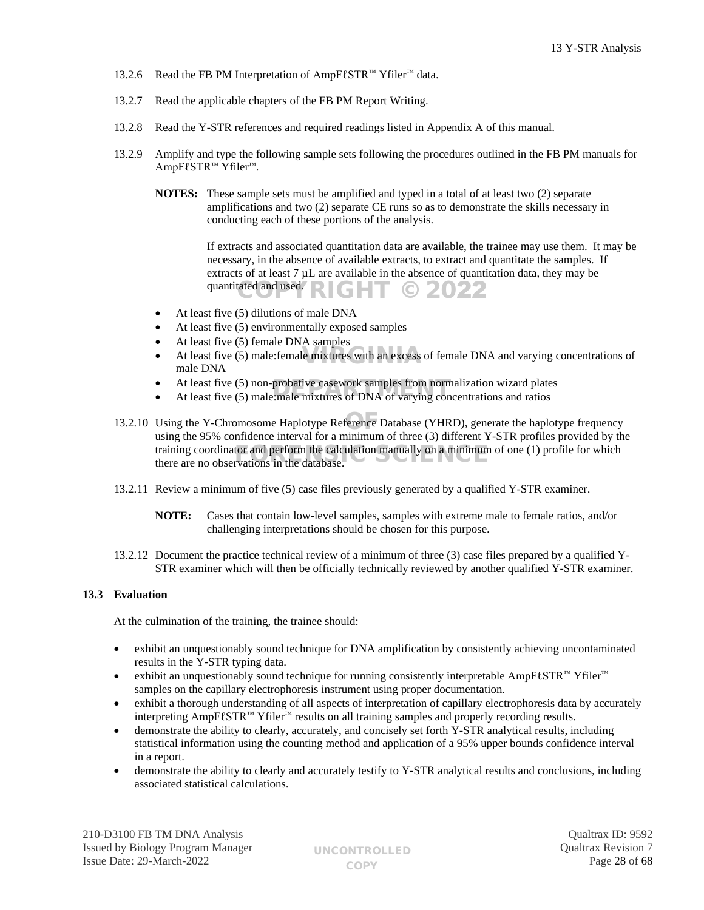- 13.2.6 Read the FB PM Interpretation of AmpFℓSTR™ Yfiler™ data.
- 13.2.7 Read the applicable chapters of the FB PM Report Writing.
- 13.2.8 Read the Y-STR references and required readings listed in Appendix A of this manual.
- 13.2.9 Amplify and type the following sample sets following the procedures outlined in the FB PM manuals for AmpFℓSTR™ Yfiler™.
	- **NOTES:** These sample sets must be amplified and typed in a total of at least two (2) separate amplifications and two (2) separate CE runs so as to demonstrate the skills necessary in conducting each of these portions of the analysis.

If extracts and associated quantitation data are available, the trainee may use them. It may be necessary, in the absence of available extracts, to extract and quantitate the samples. If extracts of at least 7 µL are available in the absence of quantitation data, they may be quantitated and used. HT © 2022

- At least five (5) dilutions of male DNA
- At least five (5) environmentally exposed samples
- At least five (5) female DNA samples
- At least five  $(5)$  male:female mixtures with an excess of female DNA and varying concentrations of male DNA male DNA
- At least five (5) non-probative casework samples from normalization wizard plates
- At least five (5) non-probative casework samples from normalization wizard plate<br>• At least five (5) male:male mixtures of DNA of varying concentrations and ratios
- 13.2.10 Using the Y-Chromosome Haplotype Reference Database (YHRD), generate the haplotype frequency using the 95% confidence interval for a minimum of three (3) different Y-STR profiles provided by the training coordinator and perform the calculation manually on a minimum of one (1) profile for which there are no observations in the database. there are no observations in the database.
- 13.2.11 Review a minimum of five (5) case files previously generated by a qualified Y-STR examiner.
	- **NOTE:** Cases that contain low-level samples, samples with extreme male to female ratios, and/or challenging interpretations should be chosen for this purpose.
- 13.2.12 Document the practice technical review of a minimum of three (3) case files prepared by a qualified Y-STR examiner which will then be officially technically reviewed by another qualified Y-STR examiner.

# **13.3 Evaluation**

At the culmination of the training, the trainee should:

- exhibit an unquestionably sound technique for DNA amplification by consistently achieving uncontaminated results in the Y-STR typing data.
- exhibit an unquestionably sound technique for running consistently interpretable AmpFℓSTR™ Yfiler™ samples on the capillary electrophoresis instrument using proper documentation.
- exhibit a thorough understanding of all aspects of interpretation of capillary electrophoresis data by accurately interpreting AmpFℓSTR™ Yfiler™ results on all training samples and properly recording results.
- demonstrate the ability to clearly, accurately, and concisely set forth Y-STR analytical results, including statistical information using the counting method and application of a 95% upper bounds confidence interval in a report.
- demonstrate the ability to clearly and accurately testify to Y-STR analytical results and conclusions, including associated statistical calculations.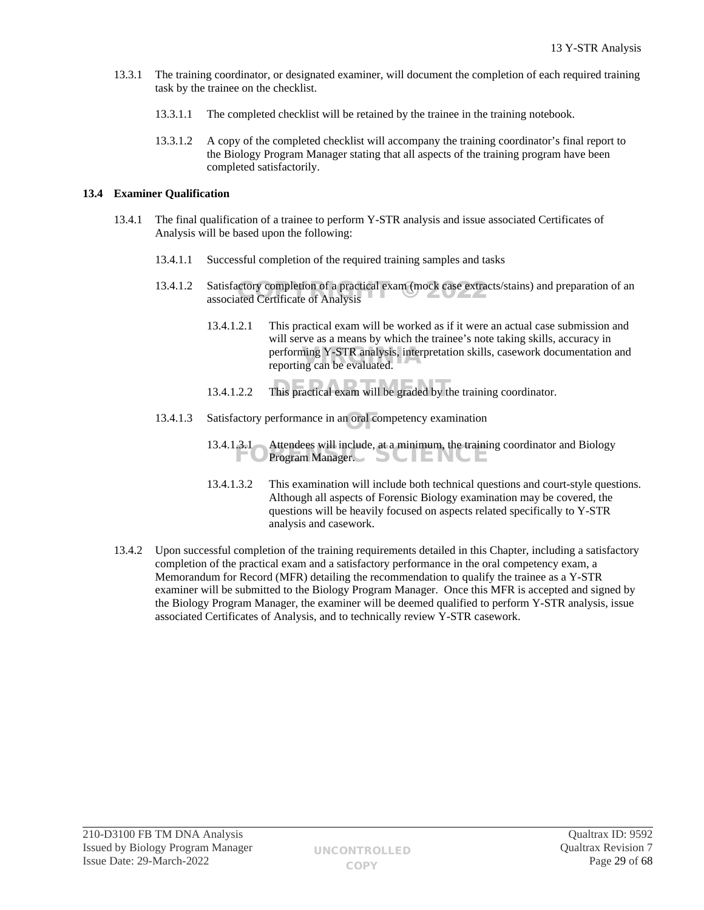- 13.3.1 The training coordinator, or designated examiner, will document the completion of each required training task by the trainee on the checklist.
	- 13.3.1.1 The completed checklist will be retained by the trainee in the training notebook.
	- 13.3.1.2 A copy of the completed checklist will accompany the training coordinator's final report to the Biology Program Manager stating that all aspects of the training program have been completed satisfactorily.

# **13.4 Examiner Qualification**

- 13.4.1 The final qualification of a trainee to perform Y-STR analysis and issue associated Certificates of Analysis will be based upon the following:
	- 13.4.1.1 Successful completion of the required training samples and tasks
	- 13.4.1.2 Satisfactory completion of a practical exam (mock case extracts/stains) and preparation of an associated Certificate of Analysis associated Certificate of Analysis
		- 13.4.1.2.1 This practical exam will be worked as if it were an actual case submission and will serve as a means by which the trainee's note taking skills, accuracy in performing Y-STR analysis, interpretation skills, casework documentation and reporting can be evaluated. reporting can be evaluated.
		- 13.4.1.2.2 This practical exam will be graded by the training coordinator.
	- 13.4.1.3 Satisfactory performance in an oral competency examination
		- 13.4.1.3.1 Attendees will include, at a minimum, the training coordinator and Biology S.1 Attendees will include, at a minimum, the train:
		- 13.4.1.3.2 This examination will include both technical questions and court-style questions. Although all aspects of Forensic Biology examination may be covered, the questions will be heavily focused on aspects related specifically to Y-STR analysis and casework.
- 13.4.2 Upon successful completion of the training requirements detailed in this Chapter, including a satisfactory completion of the practical exam and a satisfactory performance in the oral competency exam, a Memorandum for Record (MFR) detailing the recommendation to qualify the trainee as a Y-STR examiner will be submitted to the Biology Program Manager. Once this MFR is accepted and signed by the Biology Program Manager, the examiner will be deemed qualified to perform Y-STR analysis, issue associated Certificates of Analysis, and to technically review Y-STR casework.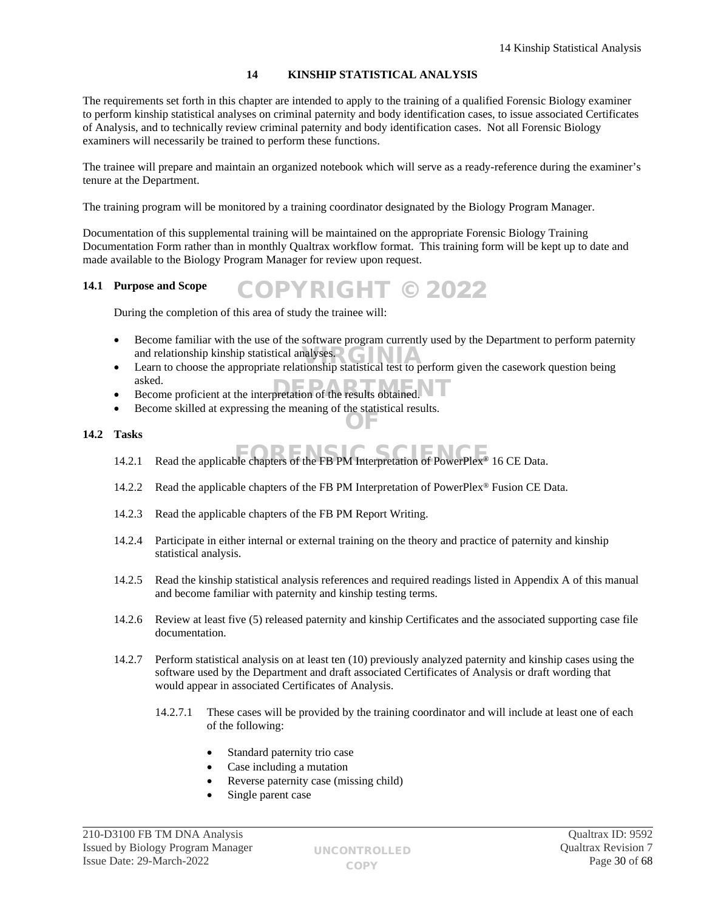# <span id="page-29-0"></span>**14 KINSHIP STATISTICAL ANALYSIS**

The requirements set forth in this chapter are intended to apply to the training of a qualified Forensic Biology examiner to perform kinship statistical analyses on criminal paternity and body identification cases, to issue associated Certificates of Analysis, and to technically review criminal paternity and body identification cases. Not all Forensic Biology examiners will necessarily be trained to perform these functions.

The trainee will prepare and maintain an organized notebook which will serve as a ready-reference during the examiner's tenure at the Department.

The training program will be monitored by a training coordinator designated by the Biology Program Manager.

Documentation of this supplemental training will be maintained on the appropriate Forensic Biology Training Documentation Form rather than in monthly Qualtrax workflow format. This training form will be kept up to date and made available to the Biology Program Manager for review upon request.

COPYRIGHT © 2022

#### **14.1 Purpose and Scope**

During the completion of this area of study the trainee will:

- Become familiar with the use of the software program currently used by the Department to perform paternity and relationship kinship statistical analyses.
- Learn to choose the appropriate relationship statistical test to perform given the casework question being asked.
- asked.<br>Become proficient at the interpretation of the results obtained.
- Become skilled at expressing the meaning of the statistical results. OF

## **14.2 Tasks**

- 14.2.1 Read the applicable chapters of the FB PM Interpretation of PowerPlex<sup>®</sup> 16 CE Data.
- 14.2.2 Read the applicable chapters of the FB PM Interpretation of PowerPlex<sup>®</sup> Fusion CE Data.
- 14.2.3 Read the applicable chapters of the FB PM Report Writing.
- 14.2.4 Participate in either internal or external training on the theory and practice of paternity and kinship statistical analysis.
- 14.2.5 Read the kinship statistical analysis references and required readings listed in Appendix A of this manual and become familiar with paternity and kinship testing terms.
- 14.2.6 Review at least five (5) released paternity and kinship Certificates and the associated supporting case file documentation.
- 14.2.7 Perform statistical analysis on at least ten (10) previously analyzed paternity and kinship cases using the software used by the Department and draft associated Certificates of Analysis or draft wording that would appear in associated Certificates of Analysis.
	- 14.2.7.1 These cases will be provided by the training coordinator and will include at least one of each of the following:
		- Standard paternity trio case
		- Case including a mutation
		- Reverse paternity case (missing child)
		- Single parent case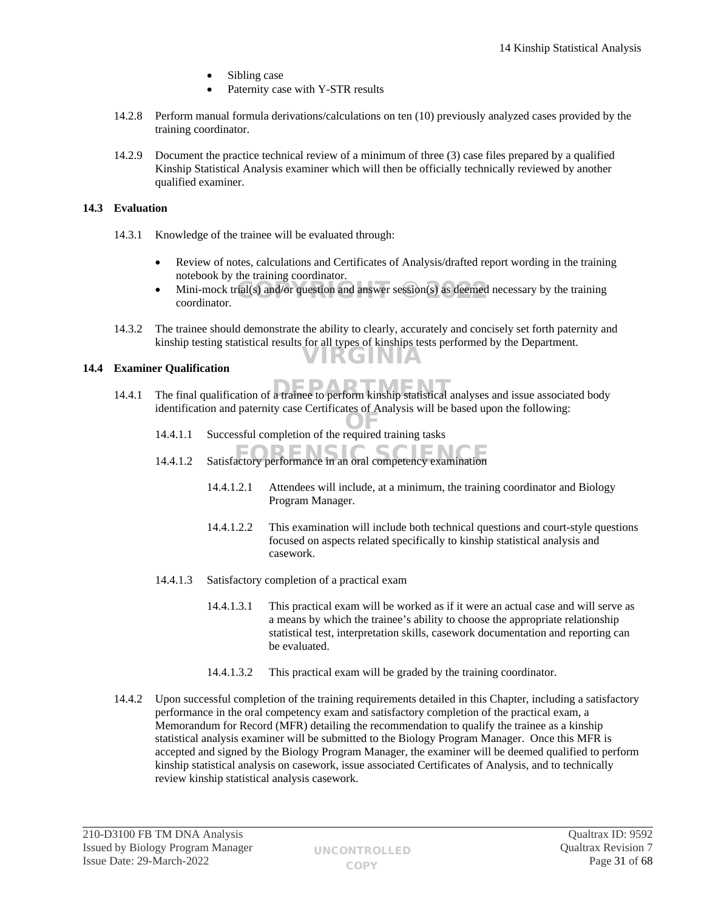- Sibling case
- Paternity case with Y-STR results
- 14.2.8 Perform manual formula derivations/calculations on ten (10) previously analyzed cases provided by the training coordinator.
- 14.2.9 Document the practice technical review of a minimum of three (3) case files prepared by a qualified Kinship Statistical Analysis examiner which will then be officially technically reviewed by another qualified examiner.

# **14.3 Evaluation**

- 14.3.1 Knowledge of the trainee will be evaluated through:
	- Review of notes, calculations and Certificates of Analysis/drafted report wording in the training notebook by the training coordinator.
	- $\bullet$  Mini-mock trial(s) and/or question and answer session(s) as deemed necessary by the training coordinator coordinator.
- 14.3.2 The trainee should demonstrate the ability to clearly, accurately and concisely set forth paternity and kinship testing statistical results for all types of kinships tests performed by the Department. VIRGINIA

# **14.4 Examiner Qualification**

- 14.4.1 The final qualification of a trainee to perform kinship statistical analyses and issue associated body identification and paternity case Certificates of Analysis will be based upon the following:
	- 14.4.1.1 Successful completion of the required training tasks
	- 14.4.1.2 Satisfactory performance in an oral competency examination
		- 14.4.1.2.1 Attendees will include, at a minimum, the training coordinator and Biology Program Manager.
		- 14.4.1.2.2 This examination will include both technical questions and court-style questions focused on aspects related specifically to kinship statistical analysis and casework.
	- 14.4.1.3 Satisfactory completion of a practical exam
		- 14.4.1.3.1 This practical exam will be worked as if it were an actual case and will serve as a means by which the trainee's ability to choose the appropriate relationship statistical test, interpretation skills, casework documentation and reporting can be evaluated.
		- 14.4.1.3.2 This practical exam will be graded by the training coordinator.
- 14.4.2 Upon successful completion of the training requirements detailed in this Chapter, including a satisfactory performance in the oral competency exam and satisfactory completion of the practical exam, a Memorandum for Record (MFR) detailing the recommendation to qualify the trainee as a kinship statistical analysis examiner will be submitted to the Biology Program Manager. Once this MFR is accepted and signed by the Biology Program Manager, the examiner will be deemed qualified to perform kinship statistical analysis on casework, issue associated Certificates of Analysis, and to technically review kinship statistical analysis casework.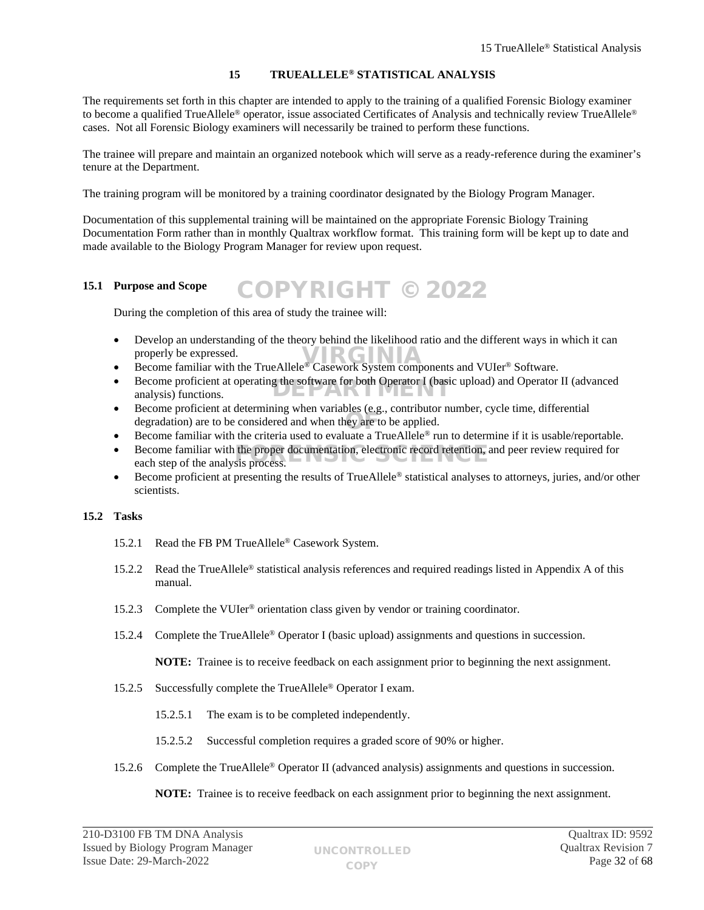# <span id="page-31-0"></span>**15 TRUEALLELE® STATISTICAL ANALYSIS**

The requirements set forth in this chapter are intended to apply to the training of a qualified Forensic Biology examiner to become a qualified TrueAllele® operator, issue associated Certificates of Analysis and technically review TrueAllele® cases. Not all Forensic Biology examiners will necessarily be trained to perform these functions.

The trainee will prepare and maintain an organized notebook which will serve as a ready-reference during the examiner's tenure at the Department.

The training program will be monitored by a training coordinator designated by the Biology Program Manager.

Documentation of this supplemental training will be maintained on the appropriate Forensic Biology Training Documentation Form rather than in monthly Qualtrax workflow format. This training form will be kept up to date and made available to the Biology Program Manager for review upon request.

#### **15.1 Purpose and Scope** COPYRIGHT © 2022

During the completion of this area of study the trainee will:

- Develop an understanding of the theory behind the likelihood ratio and the different ways in which it can properly be expressed. properly be expressed.<br>
Become familiar with the TrueAllele® Casework System components and VUIer® Software.
- 
- Become proficient at operating the software for both Operator I (basic upload) and Operator II (advanced analysis) functions. analysis) functions.
- Become proficient at determining when variables (e.g., contributor number, cycle time, differential degradation) are to be considered and when they are to be applied. OF
- Become familiar with the criteria used to evaluate a TrueAllele® run to determine if it is usable/reportable.
- Become familiar with the proper documentation, electronic record retention, and peer review required for each step of the analysis process. each step of the analysis process.
- Become proficient at presenting the results of TrueAllele® statistical analyses to attorneys, juries, and/or other scientists.

# **15.2 Tasks**

- 15.2.1 Read the FB PM TrueAllele® Casework System.
- 15.2.2 Read the TrueAllele® statistical analysis references and required readings listed in Appendix A of this manual.
- 15.2.3 Complete the VUIer® orientation class given by vendor or training coordinator.
- 15.2.4 Complete the TrueAllele® Operator I (basic upload) assignments and questions in succession.

**NOTE:** Trainee is to receive feedback on each assignment prior to beginning the next assignment.

- 15.2.5 Successfully complete the TrueAllele® Operator I exam.
	- 15.2.5.1 The exam is to be completed independently.
	- 15.2.5.2 Successful completion requires a graded score of 90% or higher.
- 15.2.6 Complete the TrueAllele® Operator II (advanced analysis) assignments and questions in succession.

**NOTE:** Trainee is to receive feedback on each assignment prior to beginning the next assignment.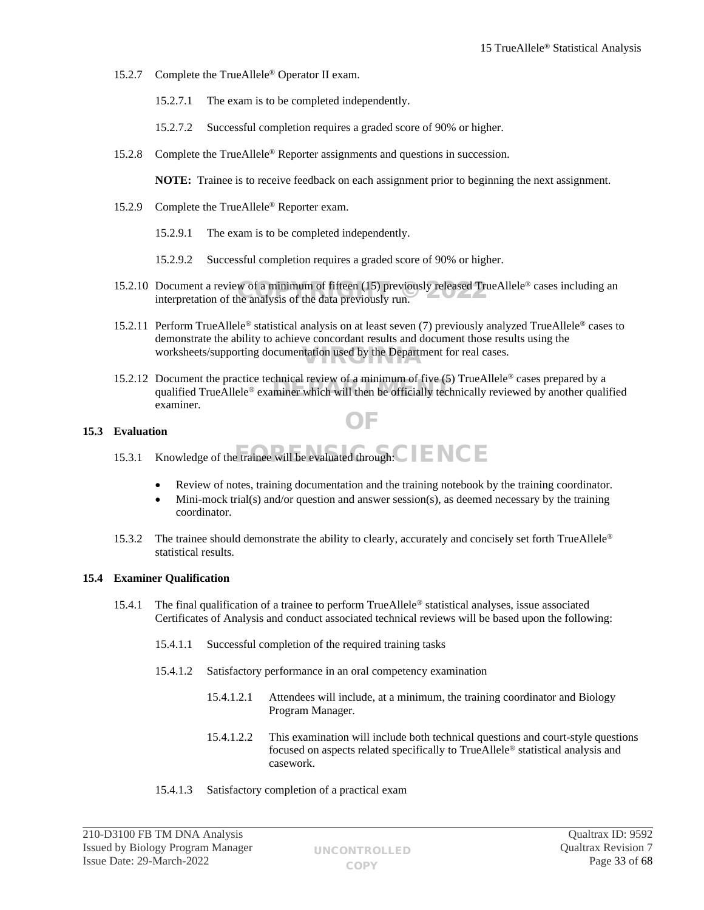- 15.2.7 Complete the TrueAllele® Operator II exam.
	- 15.2.7.1 The exam is to be completed independently.
	- 15.2.7.2 Successful completion requires a graded score of 90% or higher.
- 15.2.8 Complete the TrueAllele® Reporter assignments and questions in succession.

**NOTE:** Trainee is to receive feedback on each assignment prior to beginning the next assignment.

- 15.2.9 Complete the TrueAllele® Reporter exam.
	- 15.2.9.1 The exam is to be completed independently.
	- 15.2.9.2 Successful completion requires a graded score of 90% or higher.
- 15.2.10 Document a review of a minimum of fifteen (15) previously released TrueAllele<sup>®</sup> cases including an interpretation of the analysis of the data previously run. interpretation of the analysis of the data previously run.
- 15.2.11 Perform TrueAllele® statistical analysis on at least seven (7) previously analyzed TrueAllele® cases to demonstrate the ability to achieve concordant results and document those results using the worksheets/supporting documentation used by the Department for real cases.
- 15.2.12 Document the practice technical review of a minimum of five (5) TrueAllele® cases prepared by a Document the practice technical review of a minimum of rive  $(3)$  TrueAllele<sup>®</sup> cases prepared by a particular qualified TrueAllele<sup>®</sup> examiner which will then be officially technically reviewed by another qualified examiner. OF

## **15.3 Evaluation**

- 15.3.1 Knowledge of the trainee will be evaluated through:  $\text{C}$   $\text{F}$   $\text{C}$   $\text{F}$ 
	- Review of notes, training documentation and the training notebook by the training coordinator.
	- Mini-mock trial(s) and/or question and answer session(s), as deemed necessary by the training coordinator.
- 15.3.2 The trainee should demonstrate the ability to clearly, accurately and concisely set forth TrueAllele<sup>®</sup> statistical results.

## **15.4 Examiner Qualification**

- 15.4.1 The final qualification of a trainee to perform  $True$  Allele<sup>®</sup> statistical analyses, issue associated Certificates of Analysis and conduct associated technical reviews will be based upon the following:
	- 15.4.1.1 Successful completion of the required training tasks
	- 15.4.1.2 Satisfactory performance in an oral competency examination
		- 15.4.1.2.1 Attendees will include, at a minimum, the training coordinator and Biology Program Manager.
		- 15.4.1.2.2 This examination will include both technical questions and court-style questions focused on aspects related specifically to TrueAllele® statistical analysis and casework.
	- 15.4.1.3 Satisfactory completion of a practical exam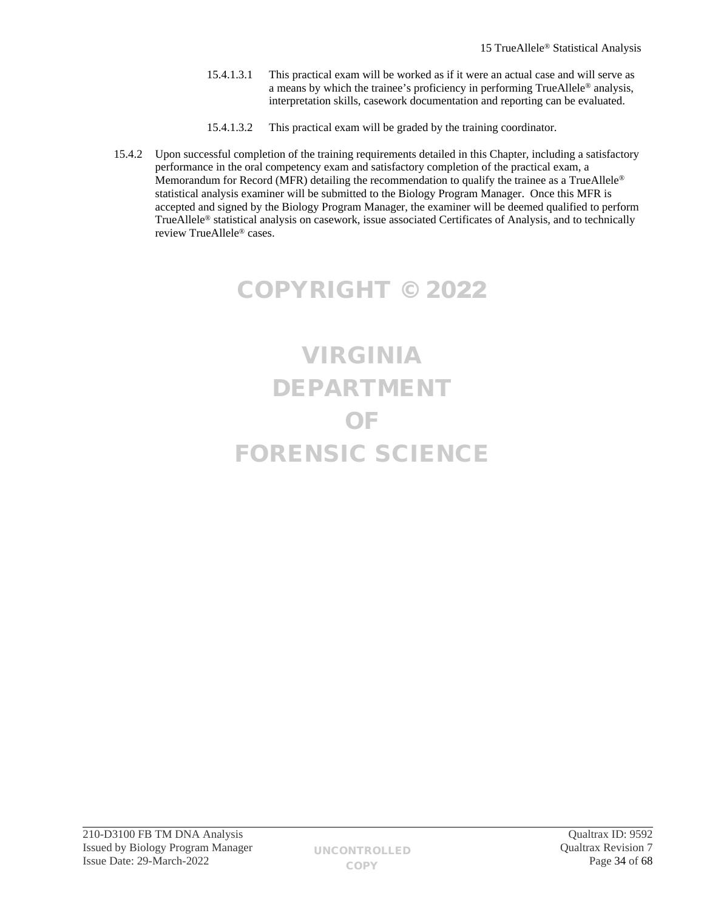- 15.4.1.3.1 This practical exam will be worked as if it were an actual case and will serve as a means by which the trainee's proficiency in performing TrueAllele® analysis, interpretation skills, casework documentation and reporting can be evaluated.
- 15.4.1.3.2 This practical exam will be graded by the training coordinator.
- 15.4.2 Upon successful completion of the training requirements detailed in this Chapter, including a satisfactory performance in the oral competency exam and satisfactory completion of the practical exam, a Memorandum for Record (MFR) detailing the recommendation to qualify the trainee as a TrueAllele<sup>®</sup> statistical analysis examiner will be submitted to the Biology Program Manager. Once this MFR is accepted and signed by the Biology Program Manager, the examiner will be deemed qualified to perform TrueAllele® statistical analysis on casework, issue associated Certificates of Analysis, and to technically review TrueAllele® cases.

# COPYRIGHT © 2022

# VIRGINIA DEPARTMENT OF FORENSIC SCIENCE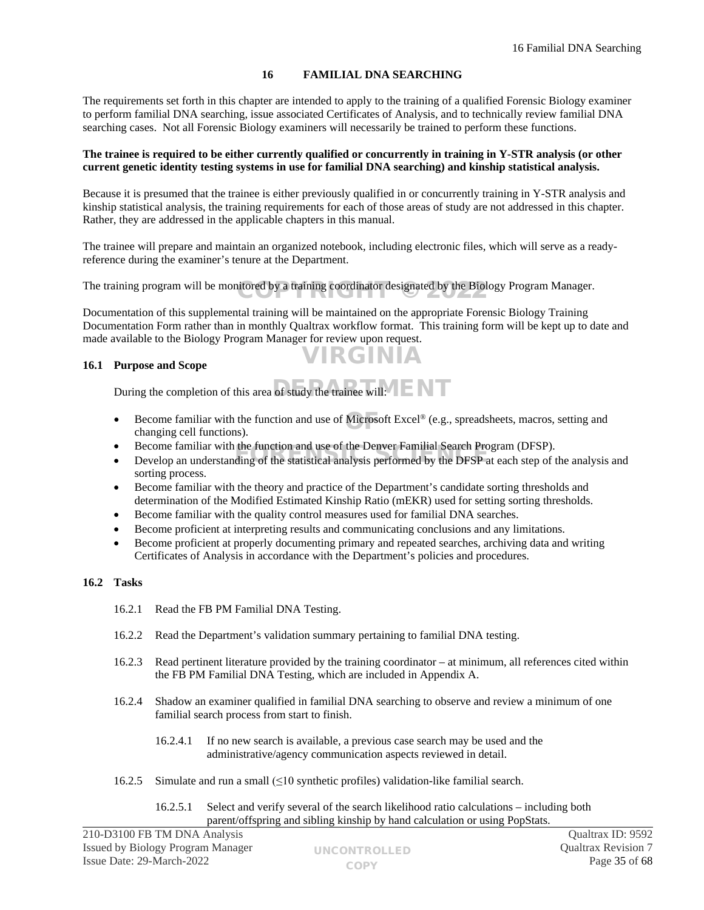# <span id="page-34-0"></span>**16 FAMILIAL DNA SEARCHING**

The requirements set forth in this chapter are intended to apply to the training of a qualified Forensic Biology examiner to perform familial DNA searching, issue associated Certificates of Analysis, and to technically review familial DNA searching cases. Not all Forensic Biology examiners will necessarily be trained to perform these functions.

## **The trainee is required to be either currently qualified or concurrently in training in Y-STR analysis (or other current genetic identity testing systems in use for familial DNA searching) and kinship statistical analysis.**

Because it is presumed that the trainee is either previously qualified in or concurrently training in Y-STR analysis and kinship statistical analysis, the training requirements for each of those areas of study are not addressed in this chapter. Rather, they are addressed in the applicable chapters in this manual.

The trainee will prepare and maintain an organized notebook, including electronic files, which will serve as a readyreference during the examiner's tenure at the Department.

The training program will be monitored by a training coordinator designated by the Biology Program Manager.

Documentation of this supplemental training will be maintained on the appropriate Forensic Biology Training Documentation Form rather than in monthly Qualtrax workflow format. This training form will be kept up to date and made available to the Biology Program Manager for review upon request.

VIRGINIA

## **16.1 Purpose and Scope**

During the completion of this area of study the trainee will:

- Become familiar with the function and use of Microsoft Excel<sup>®</sup> (e.g., spreadsheets, macros, setting and changing cell functions) changing cell functions).
- Become familiar with the function and use of the Denver Familial Search Program (DFSP).
- Become familiar with the function and use of the Denver Familial Search Program (DFSP).<br>• Develop an understanding of the statistical analysis performed by the DFSP at each step of the analysis and sorting process.
- Become familiar with the theory and practice of the Department's candidate sorting thresholds and determination of the Modified Estimated Kinship Ratio (mEKR) used for setting sorting thresholds.
- Become familiar with the quality control measures used for familial DNA searches.
- Become proficient at interpreting results and communicating conclusions and any limitations.
- Become proficient at properly documenting primary and repeated searches, archiving data and writing Certificates of Analysis in accordance with the Department's policies and procedures.

# **16.2 Tasks**

- 16.2.1 Read the FB PM Familial DNA Testing.
- 16.2.2 Read the Department's validation summary pertaining to familial DNA testing.
- 16.2.3 Read pertinent literature provided by the training coordinator at minimum, all references cited within the FB PM Familial DNA Testing, which are included in Appendix A.
- 16.2.4 Shadow an examiner qualified in familial DNA searching to observe and review a minimum of one familial search process from start to finish.
	- 16.2.4.1 If no new search is available, a previous case search may be used and the administrative/agency communication aspects reviewed in detail.
- 16.2.5 Simulate and run a small (≤10 synthetic profiles) validation-like familial search.
	- 16.2.5.1 Select and verify several of the search likelihood ratio calculations including both parent/offspring and sibling kinship by hand calculation or using PopStats.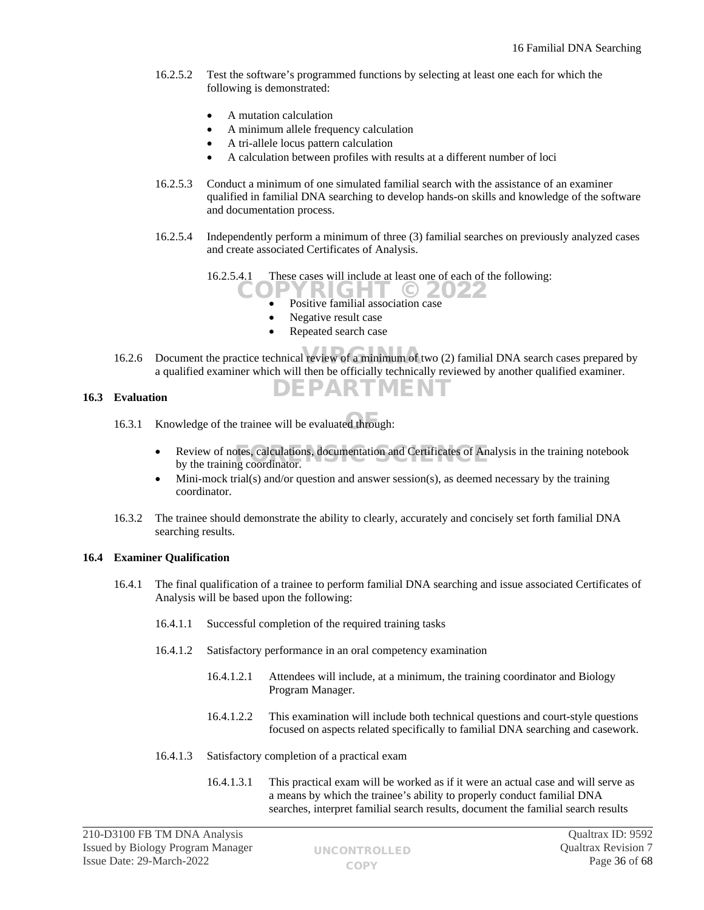- 16.2.5.2 Test the software's programmed functions by selecting at least one each for which the following is demonstrated:
	- A mutation calculation
	- A minimum allele frequency calculation
	- A tri-allele locus pattern calculation
	- A calculation between profiles with results at a different number of loci
- 16.2.5.3 Conduct a minimum of one simulated familial search with the assistance of an examiner qualified in familial DNA searching to develop hands-on skills and knowledge of the software and documentation process.
- 16.2.5.4 Independently perform a minimum of three (3) familial searches on previously analyzed cases and create associated Certificates of Analysis.

16.2.5.4.1 These cases will include at least one of each of the following:

 Positive familial association case RIGHT © 2022

DEPARTMENT

- Negative result case
- Repeated search case
- 
- 16.2.6 Document the practice technical review of a minimum of two (2) familial DNA search cases prepared by a qualified examiner which will then be officially technically reviewed by another qualified examiner.

## **16.3 Evaluation**

- 16.3.1 Knowledge of the trainee will be evaluated through:
	- Review of notes, calculations, documentation and Certificates of Analysis in the training notebook by the training coordinator by the training coordinator.
	- Mini-mock trial(s) and/or question and answer session(s), as deemed necessary by the training coordinator.
- 16.3.2 The trainee should demonstrate the ability to clearly, accurately and concisely set forth familial DNA searching results.

# **16.4 Examiner Qualification**

- 16.4.1 The final qualification of a trainee to perform familial DNA searching and issue associated Certificates of Analysis will be based upon the following:
	- 16.4.1.1 Successful completion of the required training tasks
	- 16.4.1.2 Satisfactory performance in an oral competency examination
		- 16.4.1.2.1 Attendees will include, at a minimum, the training coordinator and Biology Program Manager.
		- 16.4.1.2.2 This examination will include both technical questions and court-style questions focused on aspects related specifically to familial DNA searching and casework.
	- 16.4.1.3 Satisfactory completion of a practical exam
		- 16.4.1.3.1 This practical exam will be worked as if it were an actual case and will serve as a means by which the trainee's ability to properly conduct familial DNA searches, interpret familial search results, document the familial search results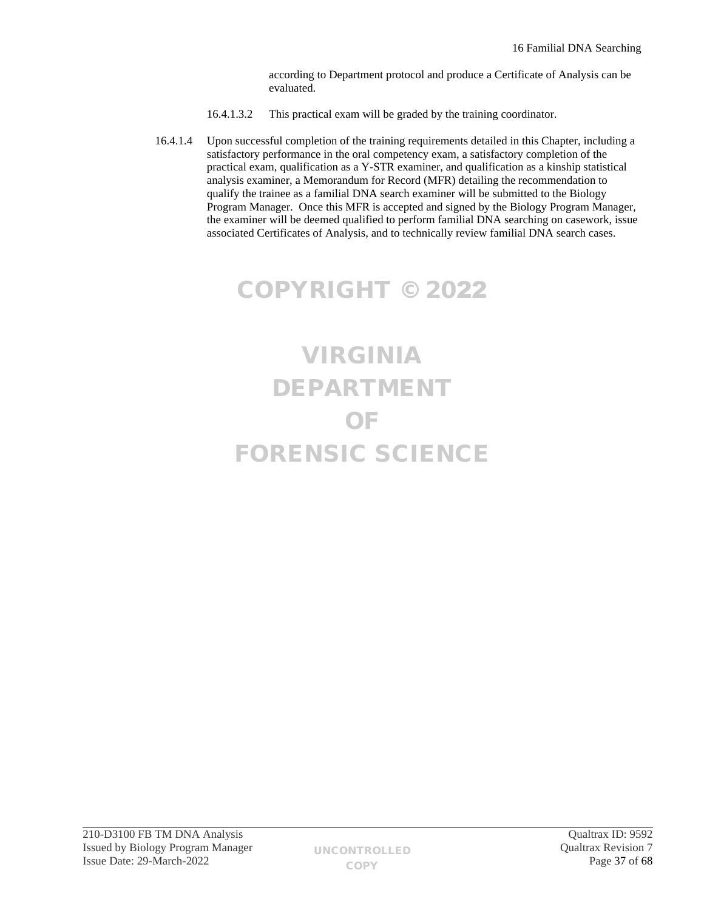according to Department protocol and produce a Certificate of Analysis can be evaluated.

- 16.4.1.3.2 This practical exam will be graded by the training coordinator.
- 16.4.1.4 Upon successful completion of the training requirements detailed in this Chapter, including a satisfactory performance in the oral competency exam, a satisfactory completion of the practical exam, qualification as a Y-STR examiner, and qualification as a kinship statistical analysis examiner, a Memorandum for Record (MFR) detailing the recommendation to qualify the trainee as a familial DNA search examiner will be submitted to the Biology Program Manager. Once this MFR is accepted and signed by the Biology Program Manager, the examiner will be deemed qualified to perform familial DNA searching on casework, issue associated Certificates of Analysis, and to technically review familial DNA search cases.

# COPYRIGHT © 2022

# VIRGINIA DEPARTMENT OF FORENSIC SCIENCE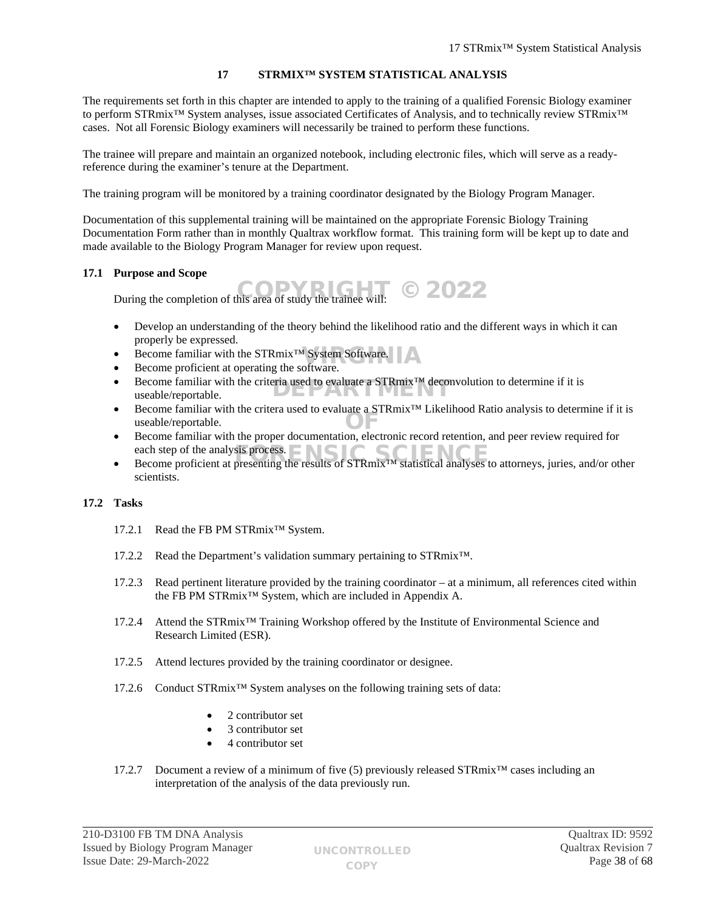# <span id="page-37-0"></span>**17 STRMIX™ SYSTEM STATISTICAL ANALYSIS**

The requirements set forth in this chapter are intended to apply to the training of a qualified Forensic Biology examiner to perform STRmix™ System analyses, issue associated Certificates of Analysis, and to technically review STRmix™ cases. Not all Forensic Biology examiners will necessarily be trained to perform these functions.

The trainee will prepare and maintain an organized notebook, including electronic files, which will serve as a readyreference during the examiner's tenure at the Department.

The training program will be monitored by a training coordinator designated by the Biology Program Manager.

Documentation of this supplemental training will be maintained on the appropriate Forensic Biology Training Documentation Form rather than in monthly Qualtrax workflow format. This training form will be kept up to date and made available to the Biology Program Manager for review upon request.

# **17.1 Purpose and Scope**

During the completion of this area of study the trainee will:  $\degree$  2022

- Develop an understanding of the theory behind the likelihood ratio and the different ways in which it can properly be expressed.
- Become familiar with the  $\text{STRmix}^{\text{TM}}$  System Software.
- Become proficient at operating the software.
- Become familiar with the criteria used to evaluate a STRmix<sup>™</sup> deconvolution to determine if it is useable/reportable. useable/reportable.
- Become familiar with the critera used to evaluate a STRmix™ Likelihood Ratio analysis to determine if it is useable/reportable. Become familiar with the proper documentation, electronic record retention, and peer review required for Become familiar with the proper documentation, electronic record retention, and peer review required for
- each step of the analysis process.  $\Box$
- each step of the analysis process.<br>■ Become proficient at presenting the results of STRmix™ statistical analyses to attorneys, juries, and/or other scientists.

# **17.2 Tasks**

- 17.2.1 Read the FB PM STRmix™ System.
- 17.2.2 Read the Department's validation summary pertaining to STRmix™.
- 17.2.3 Read pertinent literature provided by the training coordinator at a minimum, all references cited within the FB PM STRmix™ System, which are included in Appendix A.
- 17.2.4 Attend the STRmix™ Training Workshop offered by the Institute of Environmental Science and Research Limited (ESR).
- 17.2.5 Attend lectures provided by the training coordinator or designee.
- 17.2.6 Conduct STRmix™ System analyses on the following training sets of data:
	- 2 contributor set
	- 3 contributor set
	- 4 contributor set
- 17.2.7 Document a review of a minimum of five (5) previously released STRmix<sup>™</sup> cases including an interpretation of the analysis of the data previously run.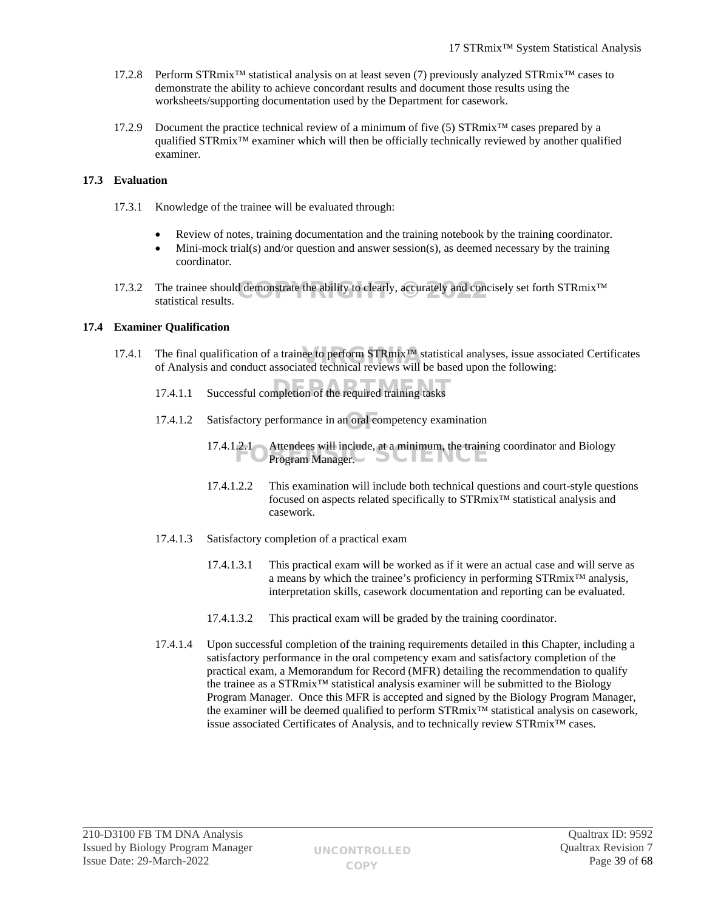- 17.2.8 Perform STRmix™ statistical analysis on at least seven (7) previously analyzed STRmix™ cases to demonstrate the ability to achieve concordant results and document those results using the worksheets/supporting documentation used by the Department for casework.
- 17.2.9 Document the practice technical review of a minimum of five (5) STRmix<sup>™</sup> cases prepared by a qualified STRmix™ examiner which will then be officially technically reviewed by another qualified examiner.

# **17.3 Evaluation**

- 17.3.1 Knowledge of the trainee will be evaluated through:
	- Review of notes, training documentation and the training notebook by the training coordinator.
	- $\bullet$  Mini-mock trial(s) and/or question and answer session(s), as deemed necessary by the training coordinator.
- 17.3.2 The trainee should demonstrate the ability to clearly, accurately and concisely set forth STRmix<sup>™</sup> statistical results statistical results.

# **17.4 Examiner Qualification**

- 17.4.1 The final qualification of a trainee to perform  $\text{STRmix}^{\text{TM}}$  statistical analyses, issue associated Certificates of Analysis and conduct associated technical reviews will be based upon the following: of Analysis and conduct associated technical reviews will be based upon the following:
	- 17.4.1.1 Successful completion of the required training tasks
	- 17.4.1.2 Satisfactory performance in an oral competency examination
		- 17.4.1.2.1 Attendees will include, at a minimum, the training coordinator and Biology 2.1 Attendees will include, at a minimum, the training Program Manager.
		- 17.4.1.2.2 This examination will include both technical questions and court-style questions focused on aspects related specifically to STRmix™ statistical analysis and casework.
	- 17.4.1.3 Satisfactory completion of a practical exam
		- 17.4.1.3.1 This practical exam will be worked as if it were an actual case and will serve as a means by which the trainee's proficiency in performing STRmix™ analysis, interpretation skills, casework documentation and reporting can be evaluated.
		- 17.4.1.3.2 This practical exam will be graded by the training coordinator.
	- 17.4.1.4 Upon successful completion of the training requirements detailed in this Chapter, including a satisfactory performance in the oral competency exam and satisfactory completion of the practical exam, a Memorandum for Record (MFR) detailing the recommendation to qualify the trainee as a STRmix™ statistical analysis examiner will be submitted to the Biology Program Manager. Once this MFR is accepted and signed by the Biology Program Manager, the examiner will be deemed qualified to perform STRmix™ statistical analysis on casework, issue associated Certificates of Analysis, and to technically review STRmix™ cases.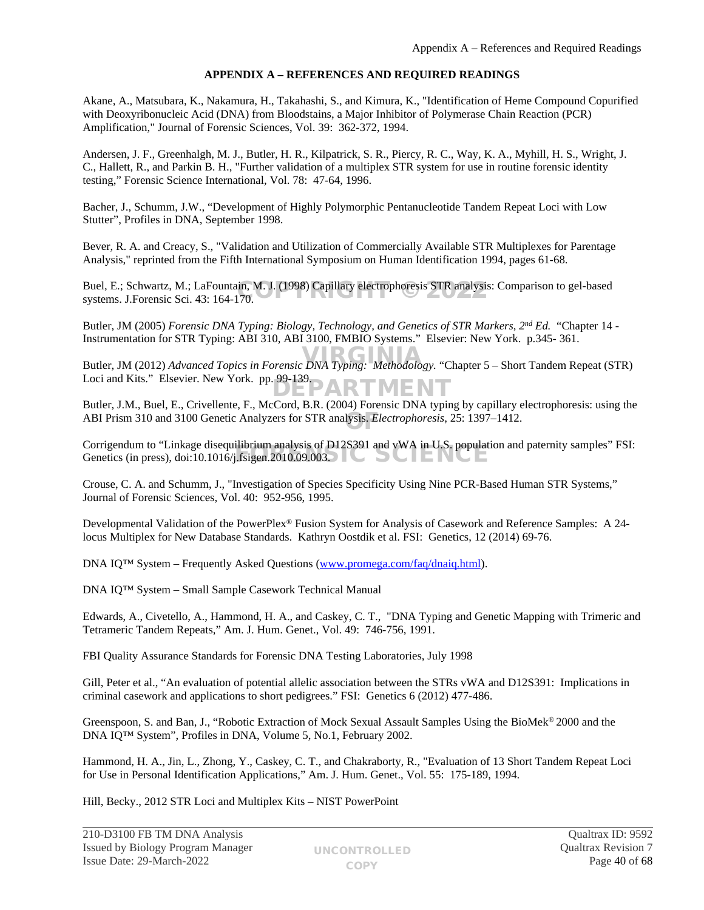# <span id="page-39-0"></span>**APPENDIX A – REFERENCES AND REQUIRED READINGS**

Akane, A., Matsubara, K., Nakamura, H., Takahashi, S., and Kimura, K., "Identification of Heme Compound Copurified with Deoxyribonucleic Acid (DNA) from Bloodstains, a Major Inhibitor of Polymerase Chain Reaction (PCR) Amplification," Journal of Forensic Sciences, Vol. 39: 362-372, 1994.

Andersen, J. F., Greenhalgh, M. J., Butler, H. R., Kilpatrick, S. R., Piercy, R. C., Way, K. A., Myhill, H. S., Wright, J. C., Hallett, R., and Parkin B. H., "Further validation of a multiplex STR system for use in routine forensic identity testing," Forensic Science International, Vol. 78: 47-64, 1996.

Bacher, J., Schumm, J.W., "Development of Highly Polymorphic Pentanucleotide Tandem Repeat Loci with Low Stutter", Profiles in DNA, September 1998.

Bever, R. A. and Creacy, S., "Validation and Utilization of Commercially Available STR Multiplexes for Parentage Analysis," reprinted from the Fifth International Symposium on Human Identification 1994, pages 61-68.

Buel, E.; Schwartz, M.; LaFountain, M. J. (1998) Capillary electrophoresis STR analysis: Comparison to gel-based<br>systems. J.Forensic Sci. 43: 164-170. systems. J.Forensic Sci. 43: 164-170.

Butler, JM (2005) *Forensic DNA Typing: Biology, Technology, and Genetics of STR Markers, 2nd Ed.* "Chapter 14 - Instrumentation for STR Typing: ABI 310, ABI 3100, FMBIO Systems." Elsevier: New York. p.345- 361.

ender, JM (2012) *Advanced Topics in Forensic DNA Typing: Methodology*. "Chapter 5 – Short Tandem Repeat (STR) Loci and Kits." Elsevier. New York. pp. 99-139.<br>
DARTMENT

Butler, J.M., Buel, E., Crivellente, F., McCord, B.R. (2004) Forensic DNA typing by capillary electrophoresis: using the ABI Prism 310 and 3100 Genetic Analyzers for STR analysis. *Electrophoresis*, 25: 1397–1412.

Corrigendum to "Linkage disequilibrium analysis of D12S391 and vWA in U.S. population and paternity samples" FSI: Corrigendum to Einkage disequilibrium analysis of  $D125391$  and VWA in U.S. populate Genetics (in press), doi:10.1016/j.fsigen.2010.09.003.

Crouse, C. A. and Schumm, J., "Investigation of Species Specificity Using Nine PCR-Based Human STR Systems," Journal of Forensic Sciences, Vol. 40: 952-956, 1995.

Developmental Validation of the PowerPlex® Fusion System for Analysis of Casework and Reference Samples: A 24 locus Multiplex for New Database Standards. Kathryn Oostdik et al. FSI: Genetics, 12 (2014) 69-76.

DNA IQ™ System – Frequently Asked Questions [\(www.promega.com/faq/dnaiq.html](http://www.promega.com/faq/dnaiq.html)).

DNA IQ™ System – Small Sample Casework Technical Manual

Edwards, A., Civetello, A., Hammond, H. A., and Caskey, C. T., "DNA Typing and Genetic Mapping with Trimeric and Tetrameric Tandem Repeats," Am. J. Hum. Genet., Vol. 49: 746-756, 1991.

FBI Quality Assurance Standards for Forensic DNA Testing Laboratories, July 1998

Gill, Peter et al., "An evaluation of potential allelic association between the STRs vWA and D12S391: Implications in criminal casework and applications to short pedigrees." FSI: Genetics 6 (2012) 477-486.

Greenspoon, S. and Ban, J., "Robotic Extraction of Mock Sexual Assault Samples Using the BioMek® 2000 and the DNA IQ™ System", Profiles in DNA, Volume 5, No.1, February 2002.

Hammond, H. A., Jin, L., Zhong, Y., Caskey, C. T., and Chakraborty, R., "Evaluation of 13 Short Tandem Repeat Loci for Use in Personal Identification Applications," Am. J. Hum. Genet., Vol. 55: 175-189, 1994.

Hill, Becky., 2012 STR Loci and Multiplex Kits – NIST PowerPoint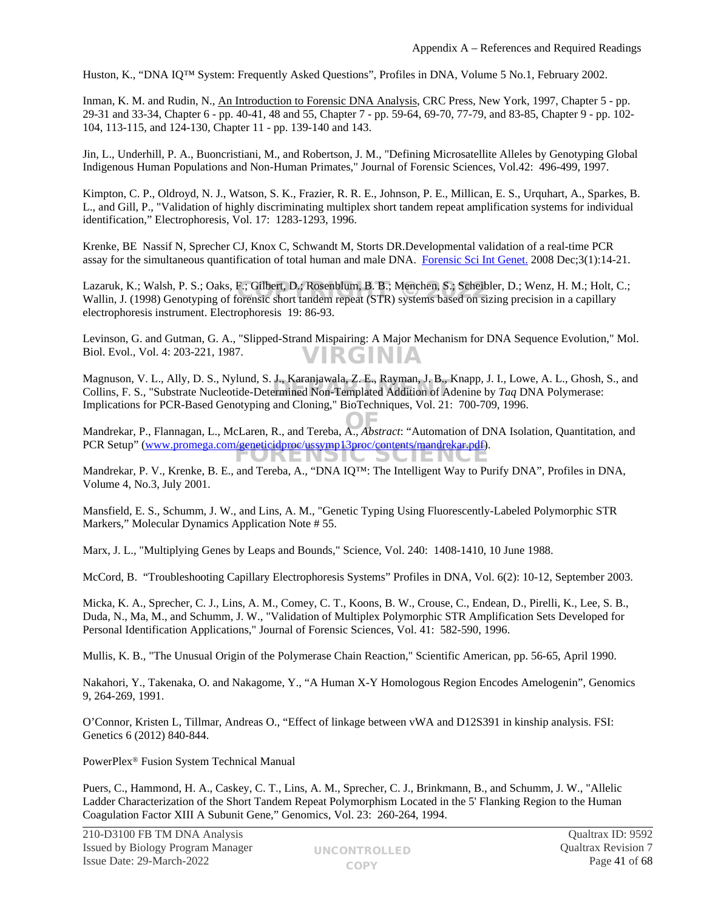Huston, K., "DNA IQ™ System: Frequently Asked Questions", Profiles in DNA, Volume 5 No.1, February 2002.

Inman, K. M. and Rudin, N., An Introduction to Forensic DNA Analysis, CRC Press, New York, 1997, Chapter 5 - pp. 29-31 and 33-34, Chapter 6 - pp. 40-41, 48 and 55, Chapter 7 - pp. 59-64, 69-70, 77-79, and 83-85, Chapter 9 - pp. 102- 104, 113-115, and 124-130, Chapter 11 - pp. 139-140 and 143.

Jin, L., Underhill, P. A., Buoncristiani, M., and Robertson, J. M., "Defining Microsatellite Alleles by Genotyping Global Indigenous Human Populations and Non-Human Primates," Journal of Forensic Sciences, Vol.42: 496-499, 1997.

Kimpton, C. P., Oldroyd, N. J., Watson, S. K., Frazier, R. R. E., Johnson, P. E., Millican, E. S., Urquhart, A., Sparkes, B. L., and Gill, P., "Validation of highly discriminating multiplex short tandem repeat amplification systems for individual identification," Electrophoresis, Vol. 17: 1283-1293, 1996.

Krenke, BE [Nassif N](http://www.ncbi.nlm.nih.gov/sites/entrez?Db=pubmed&Cmd=Search&Term=%22Nassif%20N%22[Author]&itool=EntrezSystem2.PEntrez.Pubmed.Pubmed_ResultsPanel.Pubmed_DiscoveryPanel.Pubmed_RVAbstractPlus), [Sprecher CJ](http://www.ncbi.nlm.nih.gov/sites/entrez?Db=pubmed&Cmd=Search&Term=%22Sprecher%20CJ%22[Author]&itool=EntrezSystem2.PEntrez.Pubmed.Pubmed_ResultsPanel.Pubmed_DiscoveryPanel.Pubmed_RVAbstractPlus), [Knox C](http://www.ncbi.nlm.nih.gov/sites/entrez?Db=pubmed&Cmd=Search&Term=%22Knox%20C%22[Author]&itool=EntrezSystem2.PEntrez.Pubmed.Pubmed_ResultsPanel.Pubmed_DiscoveryPanel.Pubmed_RVAbstractPlus), [Schwandt M](http://www.ncbi.nlm.nih.gov/sites/entrez?Db=pubmed&Cmd=Search&Term=%22Schwandt%20M%22[Author]&itool=EntrezSystem2.PEntrez.Pubmed.Pubmed_ResultsPanel.Pubmed_DiscoveryPanel.Pubmed_RVAbstractPlus), [Storts DR](http://www.ncbi.nlm.nih.gov/sites/entrez?Db=pubmed&Cmd=Search&Term=%22Storts%20DR%22[Author]&itool=EntrezSystem2.PEntrez.Pubmed.Pubmed_ResultsPanel.Pubmed_DiscoveryPanel.Pubmed_RVAbstractPlus).Developmental validation of a real-time PCR assay for the simultaneous quantification of total human and male DNA. [Forensic Sci Int Genet.](javascript:AL_get(this,%20) 2008 Dec;3(1):14-21.

Lazaruk, K.; Walsh, P. S.; Oaks, F.; Gilbert, D.; Rosenblum, B. B.; Menchen, S.; Scheibler, D.; Wenz, H. M.; Holt, C.; Lazaruk, K.; Walsh, P. S.; Oaks, F.; Gilbert, D.; Rosenblum, B. B.; Menchen, S.; Scheibler, D.; Wenz, H. M.; Holt, O<br>Wallin, J. (1998) Genotyping of forensic short tandem repeat (STR) systems based on sizing precision in a electrophoresis instrument. Electrophoresis 19: 86-93.

Levinson, G. and Gutman, G. A., "Slipped-Strand Mispairing: A Major Mechanism for DNA Sequence Evolution," Mol. Biol. Evol., Vol. 4: 203-221, 1987. VIRGINIA

Magnuson, V. L., Ally, D. S., Nylund, S. J., Karanjawala, Z. E., Rayman, J. B., Knapp, J. I., Lowe, A. L., Ghosh, S., and Magnuson, V. L., Any, D. S., Nyiund, S. J., Karanjawala, Z. E., Kayman, J. B., Knapp, J. I., Lowe, A. L., Gnosn,<br>Collins, F. S., "Substrate Nucleotide-Determined Non-Templated Addition of Adenine by *Taq* DNA Polymerase: Implications for PCR-Based Genotyping and Cloning," BioTechniques, Vol. 21: 700-709, 1996.

Mandrekar, P., Flannagan, L., McLaren, R., and Tereba, A., *Abstract*: "Automation of DNA Isolation, Quantitation, and OF PCR Setup" [\(www.promega.com/geneticidproc/ussymp13proc/contents/mandrekar.pdf](http://www.promega.com/geneticidproc/ussymp13proc/contents/mandrekar.pdf)). JKENSIC SCIENCI

Mandrekar, P. V., Krenke, B. E., and Tereba, A., "DNA IQ™: The Intelligent Way to Purify DNA", Profiles in DNA, Volume 4, No.3, July 2001.

Mansfield, E. S., Schumm, J. W., and Lins, A. M., "Genetic Typing Using Fluorescently-Labeled Polymorphic STR Markers," Molecular Dynamics Application Note # 55.

Marx, J. L., "Multiplying Genes by Leaps and Bounds," Science, Vol. 240: 1408-1410, 10 June 1988.

McCord, B. "Troubleshooting Capillary Electrophoresis Systems" Profiles in DNA, Vol. 6(2): 10-12, September 2003.

Micka, K. A., Sprecher, C. J., Lins, A. M., Comey, C. T., Koons, B. W., Crouse, C., Endean, D., Pirelli, K., Lee, S. B., Duda, N., Ma, M., and Schumm, J. W., "Validation of Multiplex Polymorphic STR Amplification Sets Developed for Personal Identification Applications," Journal of Forensic Sciences, Vol. 41: 582-590, 1996.

Mullis, K. B., "The Unusual Origin of the Polymerase Chain Reaction," Scientific American, pp. 56-65, April 1990.

Nakahori, Y., Takenaka, O. and Nakagome, Y., "A Human X-Y Homologous Region Encodes Amelogenin", Genomics 9, 264-269, 1991.

O'Connor, Kristen L, Tillmar, Andreas O., "Effect of linkage between vWA and D12S391 in kinship analysis. FSI: Genetics 6 (2012) 840-844.

PowerPlex® Fusion System Technical Manual

Puers, C., Hammond, H. A., Caskey, C. T., Lins, A. M., Sprecher, C. J., Brinkmann, B., and Schumm, J. W., "Allelic Ladder Characterization of the Short Tandem Repeat Polymorphism Located in the 5' Flanking Region to the Human Coagulation Factor XIII A Subunit Gene," Genomics, Vol. 23: 260-264, 1994.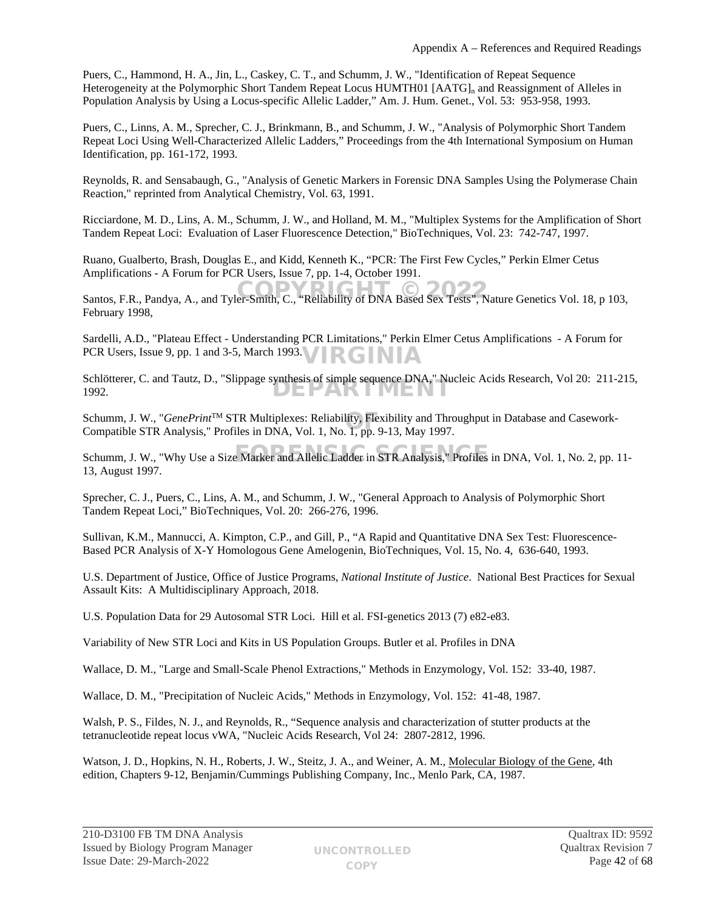Puers, C., Hammond, H. A., Jin, L., Caskey, C. T., and Schumm, J. W., "Identification of Repeat Sequence Heterogeneity at the Polymorphic Short Tandem Repeat Locus HUMTH01  $[AATG]_n$  and Reassignment of Alleles in Population Analysis by Using a Locus-specific Allelic Ladder," Am. J. Hum. Genet., Vol. 53: 953-958, 1993.

Puers, C., Linns, A. M., Sprecher, C. J., Brinkmann, B., and Schumm, J. W., "Analysis of Polymorphic Short Tandem Repeat Loci Using Well-Characterized Allelic Ladders," Proceedings from the 4th International Symposium on Human Identification, pp. 161-172, 1993.

Reynolds, R. and Sensabaugh, G., "Analysis of Genetic Markers in Forensic DNA Samples Using the Polymerase Chain Reaction," reprinted from Analytical Chemistry, Vol. 63, 1991.

Ricciardone, M. D., Lins, A. M., Schumm, J. W., and Holland, M. M., "Multiplex Systems for the Amplification of Short Tandem Repeat Loci: Evaluation of Laser Fluorescence Detection," BioTechniques, Vol. 23: 742-747, 1997.

Ruano, Gualberto, Brash, Douglas E., and Kidd, Kenneth K., "PCR: The First Few Cycles," Perkin Elmer Cetus Amplifications - A Forum for PCR Users, Issue 7, pp. 1-4, October 1991.

Santos, F.R., Pandya, A., and Tyler-Smith, C., "Reliability of DNA Based Sex Tests", Nature Genetics Vol. 18, p 103, February 1998,

Sardelli, A.D., "Plateau Effect - Understanding PCR Limitations," Perkin Elmer Cetus Amplifications - A Forum for PCR Users, Issue 9, pp. 1 and 3-5, March 1993. **RGINIA** 

Schlötterer, C. and Tautz, D., "Slippage synthesis of simple sequence DNA," Nucleic Acids Research, Vol 20: 211-215, 1992. DEPARTMENT

Schumm, J. W., "*GenePrint*™ STR Multiplexes: Reliability, Flexibility and Throughput in Database and Casework-<br>Compatible STR Analysis." Profiles in DNA. Vol. 1. No. 1. pp. 9-13. May 1997. Compatible STR Analysis," Profiles in DNA, Vol. 1, No. 1, pp. 9-13, May 1997.

Schumm, J. W., "Why Use a Size Marker and Allelic Ladder in STR Analysis," Profiles in DNA, Vol. 1, No. 2, pp. 11-13, August 1997.

Sprecher, C. J., Puers, C., Lins, A. M., and Schumm, J. W., "General Approach to Analysis of Polymorphic Short Tandem Repeat Loci," BioTechniques, Vol. 20: 266-276, 1996.

Sullivan, K.M., Mannucci, A. Kimpton, C.P., and Gill, P., "A Rapid and Quantitative DNA Sex Test: Fluorescence-Based PCR Analysis of X-Y Homologous Gene Amelogenin, BioTechniques, Vol. 15, No. 4, 636-640, 1993.

U.S. Department of Justice, Office of Justice Programs, *National Institute of Justice*. National Best Practices for Sexual Assault Kits: A Multidisciplinary Approach, 2018.

U.S. Population Data for 29 Autosomal STR Loci. Hill et al. FSI-genetics 2013 (7) e82-e83.

Variability of New STR Loci and Kits in US Population Groups. Butler et al. Profiles in DNA

Wallace, D. M., "Large and Small-Scale Phenol Extractions," Methods in Enzymology, Vol. 152: 33-40, 1987.

Wallace, D. M., "Precipitation of Nucleic Acids," Methods in Enzymology, Vol. 152: 41-48, 1987.

Walsh, P. S., Fildes, N. J., and Reynolds, R., "Sequence analysis and characterization of stutter products at the tetranucleotide repeat locus vWA, "Nucleic Acids Research, Vol 24: 2807-2812, 1996.

Watson, J. D., Hopkins, N. H., Roberts, J. W., Steitz, J. A., and Weiner, A. M., Molecular Biology of the Gene, 4th edition, Chapters 9-12, Benjamin/Cummings Publishing Company, Inc., Menlo Park, CA, 1987.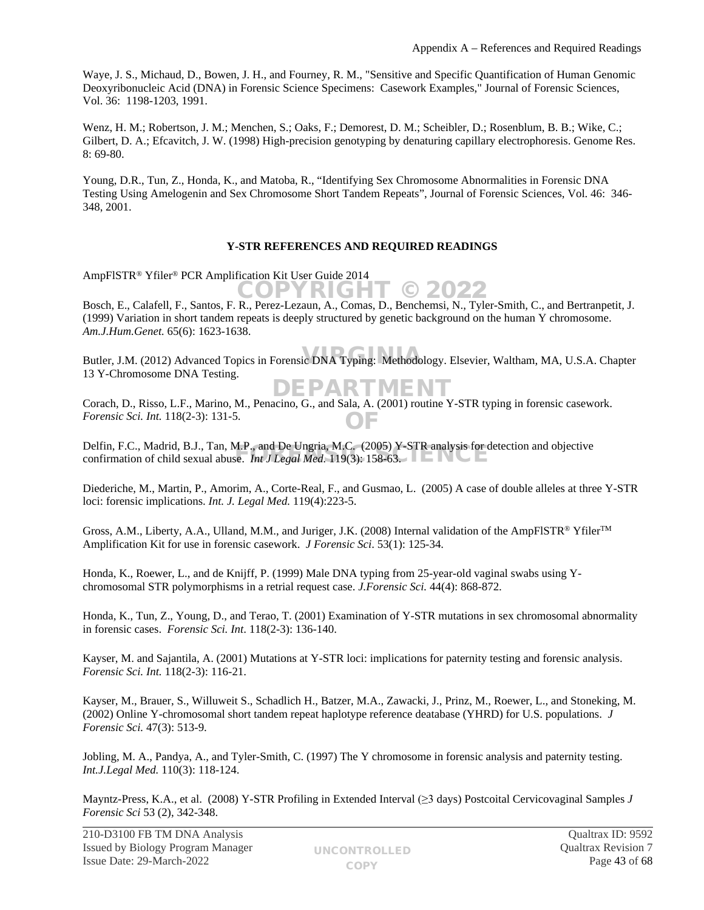Waye, J. S., Michaud, D., Bowen, J. H., and Fourney, R. M., "Sensitive and Specific Quantification of Human Genomic Deoxyribonucleic Acid (DNA) in Forensic Science Specimens: Casework Examples," Journal of Forensic Sciences, Vol. 36: 1198-1203, 1991.

Wenz, H. M.; Robertson, J. M.; Menchen, S.; Oaks, F.; Demorest, D. M.; Scheibler, D.; Rosenblum, B. B.; Wike, C.; Gilbert, D. A.; Efcavitch, J. W. (1998) High-precision genotyping by denaturing capillary electrophoresis. Genome Res. 8: 69-80.

Young, D.R., Tun, Z., Honda, K., and Matoba, R., "Identifying Sex Chromosome Abnormalities in Forensic DNA Testing Using Amelogenin and Sex Chromosome Short Tandem Repeats", Journal of Forensic Sciences, Vol. 46: 346- 348, 2001.

# **Y-STR REFERENCES AND REQUIRED READINGS**

AmpFlSTR® Yfiler® PCR Amplification Kit User Guide 2014

Bosch, E., Calafell, F., Santos, F. R., Perez-Lezaun, A., Comas, D., Benchemsi, N., Tyler-Smith, C., and Bertranpetit, J. (1999) Variation in short tandem repeats is deeply structured by genetic background on the human Y chromosome. *Am.J.Hum.Genet.* 65(6): 1623-1638. COPYRIGHT © 202

Butler, J.M. (2012) Advanced Topics in Forensic DNA Typing: Methodology. Elsevier, Waltham, MA, U.S.A. Chapter 13 Y-Chromosome DNA Testing. FPAR

Corach, D., Risso, L.F., Marino, M., Penacino, G., and Sala, A. (2001) routine Y-STR typing in forensic casework. *Forensic Sci. Int.* 118(2-3): 131-5. OF

Delfin, F.C., Madrid, B.J., Tan, M.P., and De Ungria, M.C. (2005) Y-STR analysis for detection and objective Delfin, F.C., Madrid, B.J., 1an, M.P., and De Ungria, M.C. (2005)  $\chi$ -S1R analysis for Confirmation of child sexual abuse. *Int J Legal Med.* 119(3): 158-63.

Diederiche, M., Martin, P., Amorim, A., Corte-Real, F., and Gusmao, L. (2005) A case of double alleles at three Y-STR loci: forensic implications. *Int. J. Legal Med.* 119(4):223-5.

Gross, A.M., Liberty, A.A., Ulland, M.M., and Juriger, J.K. (2008) Internal validation of the AmpFlSTR® Yfiler<sup>TM</sup> Amplification Kit for use in forensic casework. *J Forensic Sci*. 53(1): 125-34.

Honda, K., Roewer, L., and de Knijff, P. (1999) Male DNA typing from 25-year-old vaginal swabs using Ychromosomal STR polymorphisms in a retrial request case. *J.Forensic Sci.* 44(4): 868-872.

Honda, K., Tun, Z., Young, D., and Terao, T. (2001) Examination of Y-STR mutations in sex chromosomal abnormality in forensic cases. *Forensic Sci. Int*. 118(2-3): 136-140.

Kayser, M. and Sajantila, A. (2001) Mutations at Y-STR loci: implications for paternity testing and forensic analysis. *Forensic Sci. Int.* 118(2-3): 116-21.

Kayser, M., Brauer, S., Willuweit S., Schadlich H., Batzer, M.A., Zawacki, J., Prinz, M., Roewer, L., and Stoneking, M. (2002) Online Y-chromosomal short tandem repeat haplotype reference deatabase (YHRD) for U.S. populations. *J Forensic Sci.* 47(3): 513-9.

Jobling, M. A., Pandya, A., and Tyler-Smith, C. (1997) The Y chromosome in forensic analysis and paternity testing. *Int.J.Legal Med.* 110(3): 118-124.

Mayntz-Press, K.A., et al. (2008) Y-STR Profiling in Extended Interval (≥3 days) Postcoital Cervicovaginal Samples *J Forensic Sci* 53 (2), 342-348.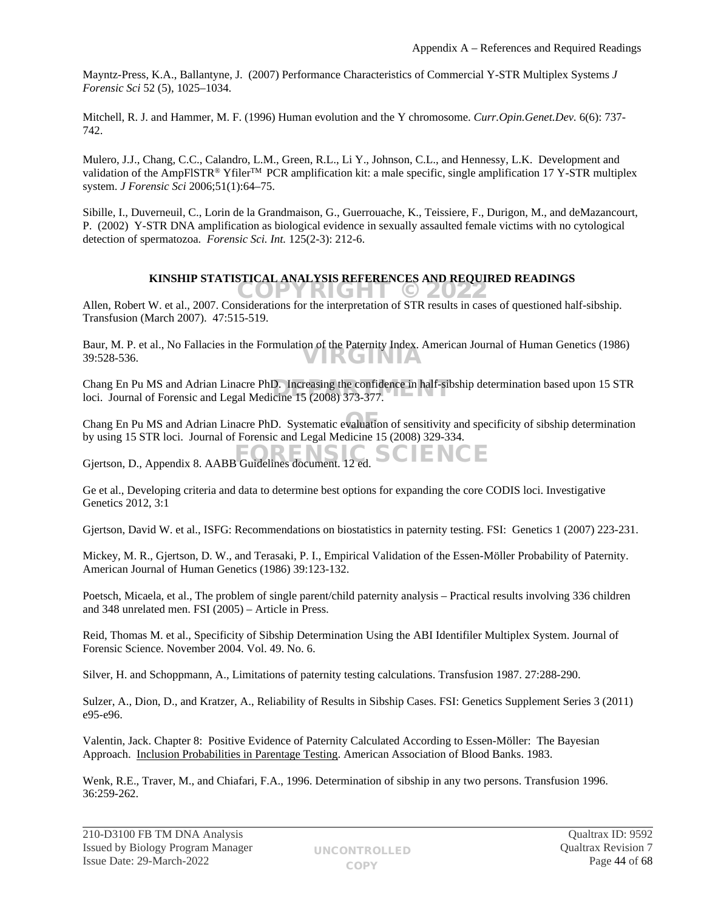Mayntz-Press, K.A., Ballantyne, J. (2007) Performance Characteristics of Commercial Y-STR Multiplex Systems *J Forensic Sci* 52 (5), 1025–1034.

Mitchell, R. J. and Hammer, M. F. (1996) Human evolution and the Y chromosome. *Curr.Opin.Genet.Dev.* 6(6): 737- 742.

Mulero, J.J., Chang, C.C., Calandro, L.M., Green, R.L., Li Y., Johnson, C.L., and Hennessy, L.K. Development and validation of the AmpFlSTR® Yfiler<sup>TM</sup> PCR amplification kit: a male specific, single amplification 17 Y-STR multiplex system. *J Forensic Sci* 2006;51(1):64–75.

Sibille, I., Duverneuil, C., Lorin de la Grandmaison, G., Guerrouache, K., Teissiere, F., Durigon, M., and deMazancourt, P. (2002) Y-STR DNA amplification as biological evidence in sexually assaulted female victims with no cytological detection of spermatozoa. *Forensic Sci. Int.* 125(2-3): 212-6.

# **KINSHIP STATISTICAL ANALYSIS REFERENCES AND REQUIRED READINGS**

Allen, Robert W. et al., 2007. Considerations for the interpretation of STR results in cases of questioned half-sibship. Transfusion (March 2007). 47:515-519.

Baur, M. P. et al., No Fallacies in the Formulation of the Paternity Index. American Journal of Human Genetics (1986) 39:528-536. VIRGINIA

Chang En Pu MS and Adrian Linacre PhD. Increasing the confidence in half-sibship determination based upon 15 STR<br>loci. Journal of Forensic and Legal Medicine 15 (2008) 373-377. loci. Journal of Forensic and Legal Medicine 15 (2008) 373-377.

Chang En Pu MS and Adrian Linacre PhD. Systematic evaluation of sensitivity and specificity of sibship determination OF by using 15 STR loci. Journal of Forensic and Legal Medicine 15 (2008) 329-334.

Gjertson, D., Appendix 8. AABB Guidelines document. 12 ed. SCIENCE

Ge et al., Developing criteria and data to determine best options for expanding the core CODIS loci. Investigative Genetics 2012, 3:1

Gjertson, David W. et al., ISFG: Recommendations on biostatistics in paternity testing. FSI: Genetics 1 (2007) 223-231.

Mickey, M. R., Gjertson, D. W., and Terasaki, P. I., Empirical Validation of the Essen-Möller Probability of Paternity. American Journal of Human Genetics (1986) 39:123-132.

Poetsch, Micaela, et al., The problem of single parent/child paternity analysis – Practical results involving 336 children and 348 unrelated men. FSI (2005) – Article in Press.

Reid, Thomas M. et al., Specificity of Sibship Determination Using the ABI Identifiler Multiplex System. Journal of Forensic Science. November 2004. Vol. 49. No. 6.

Silver, H. and Schoppmann, A., Limitations of paternity testing calculations. Transfusion 1987. 27:288-290.

Sulzer, A., Dion, D., and Kratzer, A., Reliability of Results in Sibship Cases. FSI: Genetics Supplement Series 3 (2011) e95-e96.

Valentin, Jack. Chapter 8: Positive Evidence of Paternity Calculated According to Essen-Möller: The Bayesian Approach. Inclusion Probabilities in Parentage Testing. American Association of Blood Banks. 1983.

Wenk, R.E., Traver, M., and Chiafari, F.A., 1996. Determination of sibship in any two persons. Transfusion 1996. 36:259-262.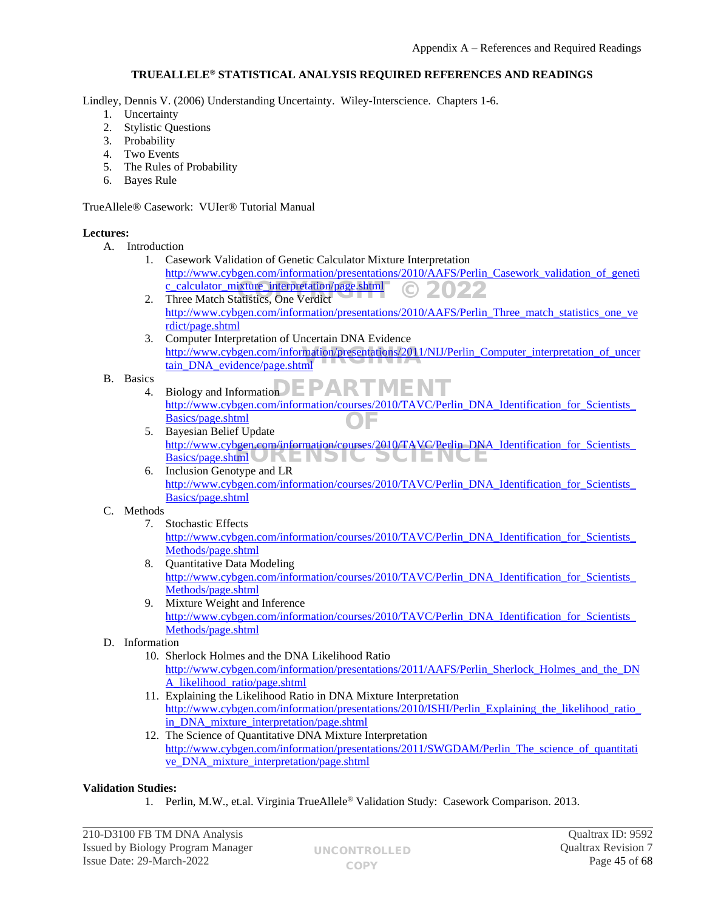# **TRUEALLELE® STATISTICAL ANALYSIS REQUIRED REFERENCES AND READINGS**

Lindley, Dennis V. (2006) Understanding Uncertainty. Wiley-Interscience. Chapters 1-6.

- 1. Uncertainty
- 2. Stylistic Questions
- 3. Probability
- 4. Two Events
- 5. The Rules of Probability
- 6. Bayes Rule

TrueAllele® Casework: VUIer® Tutorial Manual

# **Lectures:**

- A. Introduction
	- 1. Casework Validation of Genetic Calculator Mixture Interpretation [http://www.cybgen.com/information/presentations/2010/AAFS/Perlin\\_Casework\\_validation\\_of\\_geneti](http://www.cybgen.com/information/presentations/2010/AAFS/Perlin_Casework_validation_of_genetic_calculator_mixture_interpretation/page.shtml) [c\\_calculator\\_mixture\\_interpretation/page.shtml](http://www.cybgen.com/information/presentations/2010/AAFS/Perlin_Casework_validation_of_genetic_calculator_mixture_interpretation/page.shtml) COPYRIGHT © 2022
	- 2. Three Match Statistics, One Verdict [http://www.cybgen.com/information/presentations/2010/AAFS/Perlin\\_Three\\_match\\_statistics\\_one\\_ve](http://www.cybgen.com/information/presentations/2010/AAFS/Perlin_Three_match_statistics_one_verdict/page.shtml) [rdict/page.shtml](http://www.cybgen.com/information/presentations/2010/AAFS/Perlin_Three_match_statistics_one_verdict/page.shtml)
	- 3. Computer Interpretation of Uncertain DNA Evidence [http://www.cybgen.com/information/presentations/2011/NIJ/Perlin\\_Computer\\_interpretation\\_of\\_uncer](http://www.cybgen.com/information/presentations/2011/NIJ/Perlin_Computer_interpretation_of_uncertain_DNA_evidence/page.shtml)<br>tain\_DNA\_evidence/page.shtml [tain\\_DNA\\_evidence/page.shtml](http://www.cybgen.com/information/presentations/2011/NIJ/Perlin_Computer_interpretation_of_uncertain_DNA_evidence/page.shtml)
- B. Basics
	- $^{4.}$  Biology and Information **DEPARTMENT** 
		- [http://www.cybgen.com/information/courses/2010/TAVC/Perlin\\_DNA\\_Identification\\_for\\_Scientists\\_](http://www.cybgen.com/information/courses/2010/TAVC/Perlin_DNA_Identification_for_Scientists_Basics/page.shtml) [Basics/page.shtml](http://www.cybgen.com/information/courses/2010/TAVC/Perlin_DNA_Identification_for_Scientists_Basics/page.shtml) OF
	- 5. Bayesian Belief Update [http://www.cybgen.com/information/courses/2010/TAVC/Perlin\\_DNA\\_Identification\\_for\\_Scientists\\_](http://www.cybgen.com/information/courses/2010/TAVC/Perlin_DNA_Identification_for_Scientists_Basics/page.shtml) <u>[Basics/page.shtml](http://www.cybgen.com/information/courses/2010/TAVC/Perlin_DNA_Identification_for_Scientists_Basics/page.shtml)</u>  $\bigcup_{k \in \mathbb{N}}$   $k \in \mathbb{N}$
	- 6. Inclusion Genotype and LR http://www.cybgen.com/information/courses/2010/TAVC/Perlin\_DNA\_Identification\_for\_Scientists [Basics/page.shtml](http://www.cybgen.com/information/courses/2010/TAVC/Perlin_DNA_Identification_for_Scientists_Basics/page.shtml)

# C. Methods

- 7. Stochastic Effects [http://www.cybgen.com/information/courses/2010/TAVC/Perlin\\_DNA\\_Identification\\_for\\_Scientists\\_](http://www.cybgen.com/information/courses/2010/TAVC/Perlin_DNA_Identification_for_Scientists_Methods/page.shtml) [Methods/page.shtml](http://www.cybgen.com/information/courses/2010/TAVC/Perlin_DNA_Identification_for_Scientists_Methods/page.shtml)
- 8. Quantitative Data Modeling [http://www.cybgen.com/information/courses/2010/TAVC/Perlin\\_DNA\\_Identification\\_for\\_Scientists\\_](http://www.cybgen.com/information/courses/2010/TAVC/Perlin_DNA_Identification_for_Scientists_Methods/page.shtml) [Methods/page.shtml](http://www.cybgen.com/information/courses/2010/TAVC/Perlin_DNA_Identification_for_Scientists_Methods/page.shtml)
- 9. Mixture Weight and Inference http://www.cybgen.com/information/courses/2010/TAVC/Perlin\_DNA\_Identification\_for\_Scientists [Methods/page.shtml](http://www.cybgen.com/information/courses/2010/TAVC/Perlin_DNA_Identification_for_Scientists_Methods/page.shtml)
- D. Information
	- 10. Sherlock Holmes and the DNA Likelihood Ratio [http://www.cybgen.com/information/presentations/2011/AAFS/Perlin\\_Sherlock\\_Holmes\\_and\\_the\\_DN](http://www.cybgen.com/information/presentations/2011/AAFS/Perlin_Sherlock_Holmes_and_the_DNA_likelihood_ratio/page.shtml) [A\\_likelihood\\_ratio/page.shtml](http://www.cybgen.com/information/presentations/2011/AAFS/Perlin_Sherlock_Holmes_and_the_DNA_likelihood_ratio/page.shtml)
	- 11. Explaining the Likelihood Ratio in DNA Mixture Interpretation http://www.cybgen.com/information/presentations/2010/ISHI/Perlin\_Explaining\_the\_likelihood\_ratio in DNA mixture interpretation/page.shtml
	- 12. The Science of Quantitative DNA Mixture Interpretation [http://www.cybgen.com/information/presentations/2011/SWGDAM/Perlin\\_The\\_science\\_of\\_quantitati](http://www.cybgen.com/information/presentations/2011/SWGDAM/Perlin_The_science_of_quantitative_DNA_mixture_interpretation/page.shtml) [ve\\_DNA\\_mixture\\_interpretation/page.shtml](http://www.cybgen.com/information/presentations/2011/SWGDAM/Perlin_The_science_of_quantitative_DNA_mixture_interpretation/page.shtml)

# **Validation Studies:**

1. Perlin, M.W., et.al. Virginia TrueAllele® Validation Study: Casework Comparison. 2013.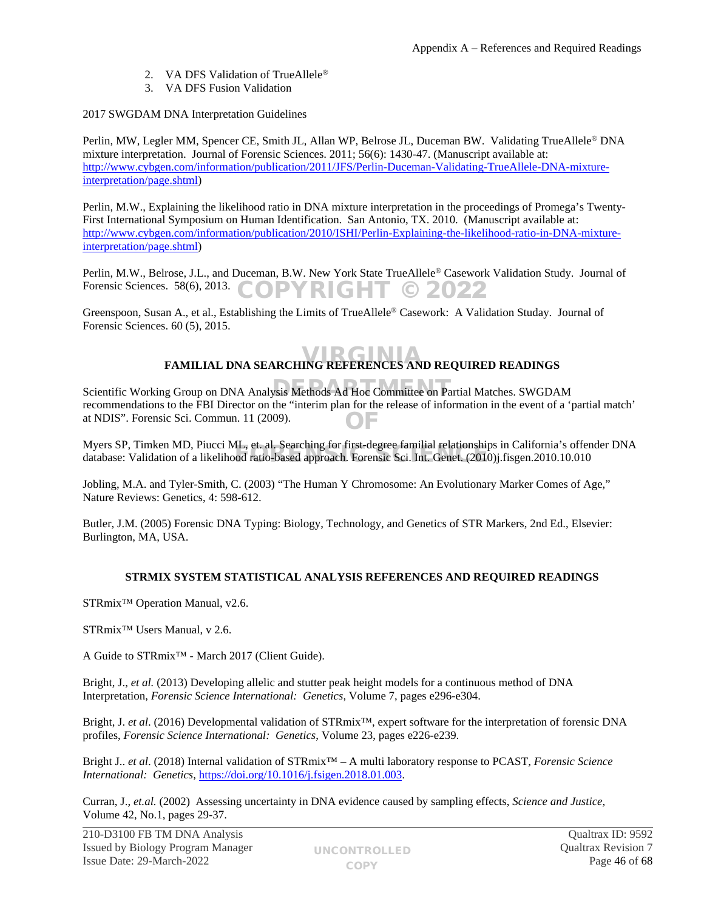- 2. VA DFS Validation of TrueAllele®
- 3. VA DFS Fusion Validation

# 2017 SWGDAM DNA Interpretation Guidelines

Perlin, MW, Legler MM, Spencer CE, Smith JL, Allan WP, Belrose JL, Duceman BW. Validating TrueAllele® DNA mixture interpretation. Journal of Forensic Sciences. 2011; 56(6): 1430-47. (Manuscript available at: [http://www.cybgen.com/information/publication/2011/JFS/Perlin-Duceman-Validating-TrueAllele-DNA-mixture](http://www.cybgen.com/information/publication/2011/JFS/Perlin-Duceman-Validating-TrueAllele-DNA-mixture-interpretation/page.shtml)[interpretation/page.shtml](http://www.cybgen.com/information/publication/2011/JFS/Perlin-Duceman-Validating-TrueAllele-DNA-mixture-interpretation/page.shtml))

Perlin, M.W., Explaining the likelihood ratio in DNA mixture interpretation in the proceedings of Promega's Twenty-First International Symposium on Human Identification. San Antonio, TX. 2010. (Manuscript available at: [http://www.cybgen.com/information/publication/2010/ISHI/Perlin-Explaining-the-likelihood-ratio-in-DNA-mixture](http://www.cybgen.com/information/publication/2010/ISHI/Perlin-Explaining-the-likelihood-ratio-in-DNA-mixture-interpretation/page.shtml)[interpretation/page.shtml](http://www.cybgen.com/information/publication/2010/ISHI/Perlin-Explaining-the-likelihood-ratio-in-DNA-mixture-interpretation/page.shtml))

Perlin, M.W., Belrose, J.L., and Duceman, B.W. New York State TrueAllele® Casework Validation Study. Journal of Forensic Sciences. 58(6), 2013. COPYRIGHT © 2022

Greenspoon, Susan A., et al., Establishing the Limits of TrueAllele® Casework: A Validation Studay. Journal of Forensic Sciences. 60 (5), 2015.

# **FAMILIAL DNA SEARCHING REFERENCES AND REQUIRED READINGS**

Scientific Working Group on DNA Analysis Methods Ad Hoc Committee on Partial Matches. SWGDAM recommendations to the FBI Director on the "interim plan for the release of information in the event of a 'partial match' at NDIS". Forensic Sci. Commun. 11 (2009). OF

Myers SP, Timken MD, Piucci ML, et. al. Searching for first-degree familial relationships in California's offender DNA Myers SP, Timken MD, Plucci ML, et. al. Searching for first-degree familial relationships in California 8 offer<br>database: Validation of a likelihood ratio-based approach. Forensic Sci. Int. Genet. (2010)j.fisgen.2010.10.01

Jobling, M.A. and Tyler-Smith, C. (2003) "The Human Y Chromosome: An Evolutionary Marker Comes of Age," Nature Reviews: Genetics, 4: 598-612.

Butler, J.M. (2005) Forensic DNA Typing: Biology, Technology, and Genetics of STR Markers, 2nd Ed., Elsevier: Burlington, MA, USA.

# **STRMIX SYSTEM STATISTICAL ANALYSIS REFERENCES AND REQUIRED READINGS**

STRmix™ Operation Manual, v2.6.

STRmix™ Users Manual, v 2.6.

A Guide to STRmix™ - March 2017 (Client Guide).

Bright, J., *et al.* (2013) Developing allelic and stutter peak height models for a continuous method of DNA Interpretation, *Forensic Science International: Genetics*, Volume 7, pages e296-e304.

Bright, J. *et al*. (2016) Developmental validation of STRmix™, expert software for the interpretation of forensic DNA profiles, *Forensic Science International: Genetics*, Volume 23, pages e226-e239.

Bright J.. *et al*. (2018) Internal validation of STRmix™ – A multi laboratory response to PCAST, *Forensic Science International: Genetics,* [https://doi.org/10.1016/j.fsigen.2018.01.003.](https://doi.org/10.1016/j.fsigen.2018.01.003)

Curran, J., *et.al.* (2002) Assessing uncertainty in DNA evidence caused by sampling effects, *Science and Justice,*  Volume 42, No.1, pages 29-37.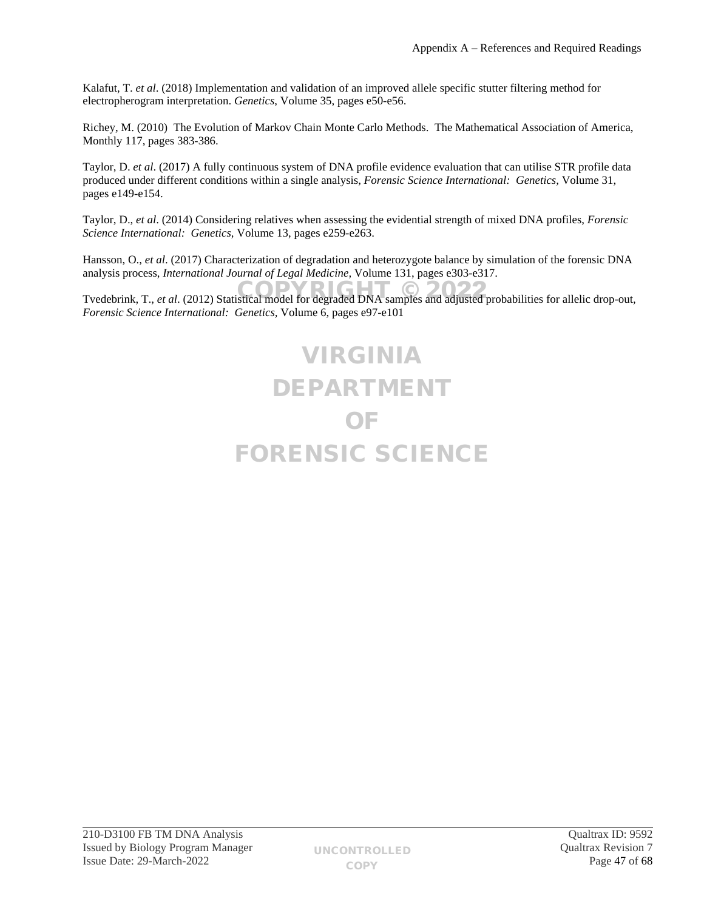Kalafut, T. *et al*. (2018) Implementation and validation of an improved allele specific stutter filtering method for electropherogram interpretation. *Genetics*, Volume 35, pages e50-e56.

Richey, M. (2010) The Evolution of Markov Chain Monte Carlo Methods. The Mathematical Association of America, Monthly 117, pages 383-386.

Taylor, D. *et al*. (2017) A fully continuous system of DNA profile evidence evaluation that can utilise STR profile data produced under different conditions within a single analysis, *Forensic Science International: Genetics,* Volume 31, pages e149-e154.

Taylor, D., *et al*. (2014) Considering relatives when assessing the evidential strength of mixed DNA profiles, *Forensic Science International: Genetics,* Volume 13, pages e259-e263.

Hansson, O., *et al*. (2017) Characterization of degradation and heterozygote balance by simulation of the forensic DNA analysis process, *International Journal of Legal Medicine,* Volume 131, pages e303-e317.

Tvedebrink, T., *et al.* (2012) Statistical model for degraded DNA samples and adjusted probabilities for allelic drop-out, *Forensic Science International: Genetics,* Volume 6, pages e97-e101

# VIRGINIA DEPARTMENT OF FORENSIC SCIENCE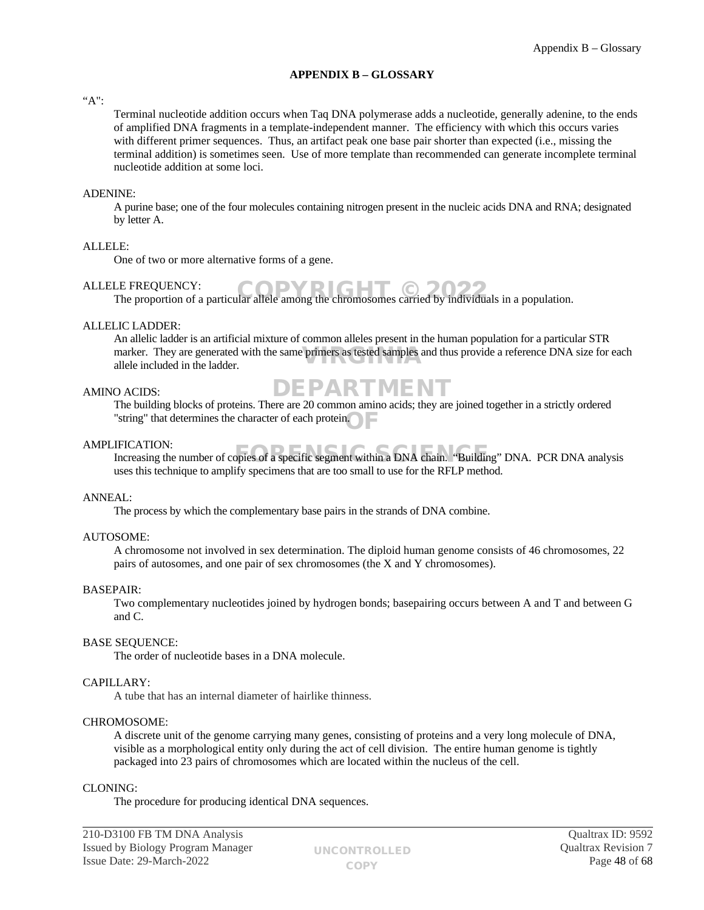# <span id="page-47-0"></span>**APPENDIX B – GLOSSARY**

# "A":

Terminal nucleotide addition occurs when Taq DNA polymerase adds a nucleotide, generally adenine, to the ends of amplified DNA fragments in a template-independent manner. The efficiency with which this occurs varies with different primer sequences. Thus, an artifact peak one base pair shorter than expected (i.e., missing the terminal addition) is sometimes seen. Use of more template than recommended can generate incomplete terminal nucleotide addition at some loci.

## ADENINE:

A purine base; one of the four molecules containing nitrogen present in the nucleic acids DNA and RNA; designated by letter A.

## ALLELE:

One of two or more alternative forms of a gene.

## ALLELE FREQUENCY:

LE FREQUENCY:<br>The proportion of a particular allele among the chromosomes carried by individuals in a population.

# ALLELIC LADDER:

An allelic ladder is an artificial mixture of common alleles present in the human population for a particular STR marker. They are generated with the same primers as tested samples and thus provide a reference DNA size for each allele included in the ladder. allele included in the ladder.

# AMINO ACIDS:

# DEPARTMENT

The building blocks of proteins. There are 20 common amino acids; they are joined together in a strictly ordered "string" that determines the character of each protein. OF

## AMPLIFICATION:

IFICATION:<br>Increasing the number of copies of a specific segment within a DNA chain. "Building" DNA. PCR DNA analysis uses this technique to amplify specimens that are too small to use for the RFLP method.

## ANNEAL:

The process by which the complementary base pairs in the strands of DNA combine.

## AUTOSOME:

A chromosome not involved in sex determination. The diploid human genome consists of 46 chromosomes, 22 pairs of autosomes, and one pair of sex chromosomes (the X and Y chromosomes).

## BASEPAIR:

Two complementary nucleotides joined by hydrogen bonds; basepairing occurs between A and T and between G and C.

## BASE SEQUENCE:

The order of nucleotide bases in a DNA molecule.

# CAPILLARY:

A tube that has an internal diameter of hairlike thinness.

## CHROMOSOME:

A discrete unit of the genome carrying many genes, consisting of proteins and a very long molecule of DNA, visible as a morphological entity only during the act of cell division. The entire human genome is tightly packaged into 23 pairs of chromosomes which are located within the nucleus of the cell.

## CLONING:

The procedure for producing identical DNA sequences.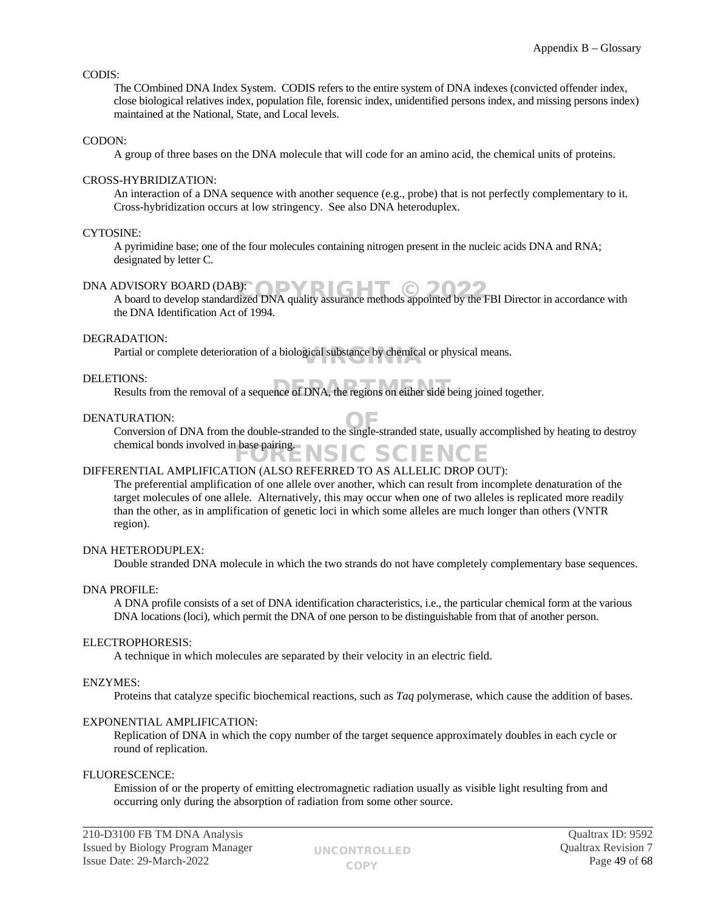## CODIS:

The COmbined DNA Index System. CODIS refers to the entire system of DNA indexes (convicted offender index, close biological relatives index, population file, forensic index, unidentified persons index, and missing persons index) maintained at the National, State, and Local levels.

#### CODON:

A group of three bases on the DNA molecule that will code for an amino acid, the chemical units of proteins.

# CROSS-HYBRIDIZATION:

An interaction of a DNA sequence with another sequence (e.g., probe) that is not perfectly complementary to it. Cross-hybridization occurs at low stringency. See also DNA heteroduplex.

#### CYTOSINE:

A pyrimidine base; one of the four molecules containing nitrogen present in the nucleic acids DNA and RNA; designated by letter C.

# DNA ADVISORY BOARD (DAB): ODVRIGHT

A board to develop standardized DNA quality assurance methods appointed by the FBI Director in accordance with  $\sim$  A board to develop standardized DNA quality assurance methods appointed by the FBI Director in accordance the DNA Identification Act of 1994.

#### DEGRADATION:

Partial or complete deterioration of a biological substance by chemical or physical means.

#### DELETIONS:

riorys.<br>Results from the removal of a sequence of DNA, the regions on either side being joined together.

#### DENATURATION:

TURATION:<br>Conversion of DNA from the double-stranded to the single-stranded state, usually accomplished by heating to destroy chemical bonds involved in base pairing. **ENSIC SCIENCE** 

## DIFFERENTIAL AMPLIFICATION (ALSO REFERRED TO AS ALLELIC DROP OUT):

The preferential amplification of one allele over another, which can result from incomplete denaturation of the target molecules of one allele. Alternatively, this may occur when one of two alleles is replicated more readily than the other, as in amplification of genetic loci in which some alleles are much longer than others (VNTR region).

## DNA HETERODUPLEX:

Double stranded DNA molecule in which the two strands do not have completely complementary base sequences.

## DNA PROFILE:

A DNA profile consists of a set of DNA identification characteristics, i.e., the particular chemical form at the various DNA locations (loci), which permit the DNA of one person to be distinguishable from that of another person.

#### ELECTROPHORESIS:

A technique in which molecules are separated by their velocity in an electric field.

## ENZYMES:

Proteins that catalyze specific biochemical reactions, such as *Taq* polymerase, which cause the addition of bases.

## EXPONENTIAL AMPLIFICATION:

Replication of DNA in which the copy number of the target sequence approximately doubles in each cycle or round of replication.

#### FLUORESCENCE:

Emission of or the property of emitting electromagnetic radiation usually as visible light resulting from and occurring only during the absorption of radiation from some other source.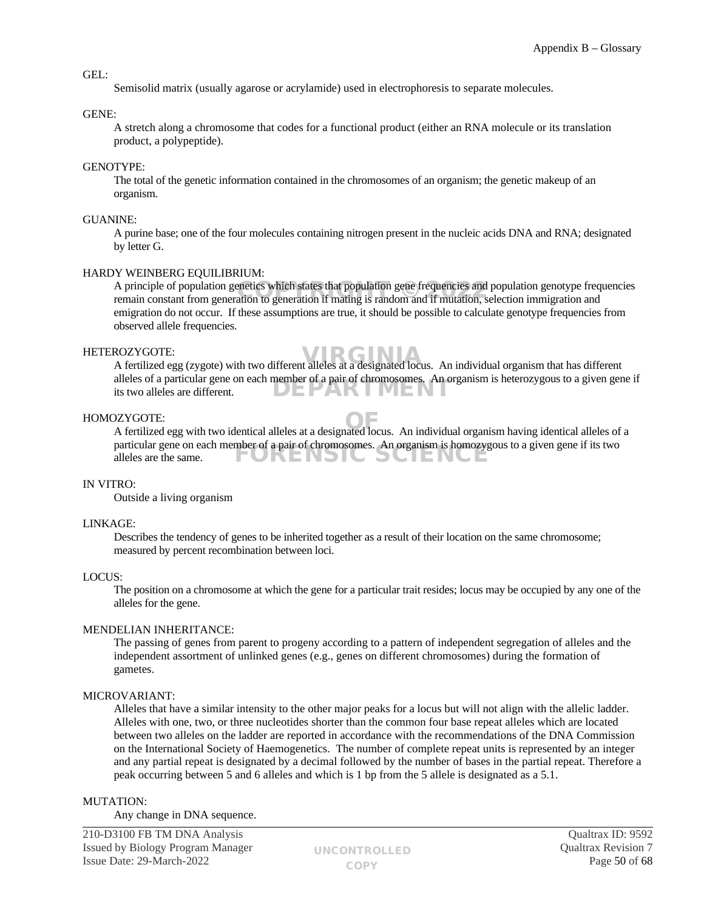#### GEL:

Semisolid matrix (usually agarose or acrylamide) used in electrophoresis to separate molecules.

#### GENE:

A stretch along a chromosome that codes for a functional product (either an RNA molecule or its translation product, a polypeptide).

#### GENOTYPE:

The total of the genetic information contained in the chromosomes of an organism; the genetic makeup of an organism.

#### GUANINE:

A purine base; one of the four molecules containing nitrogen present in the nucleic acids DNA and RNA; designated by letter G.

#### HARDY WEINBERG EQUILIBRIUM:

A principle of population genetics which states that population gene frequencies and population genotype frequencies A principle of population genetics which states that population gene frequencies and population genotype freq<br>remain constant from generation to generation if mating is random and if mutation, selection immigration and emigration do not occur. If these assumptions are true, it should be possible to calculate genotype frequencies from observed allele frequencies.

#### HETEROZYGOTE:

ROZYGOTE:<br>A fertilized egg (zygote) with two different alleles at a designated locus. An individual organism that has different alleles of a particular gene on each member of a pair of chromosomes. An organism is heterozygous to a given gene if its two alleles are different. DEPARTMEN

#### HOMOZYGOTE:

A fertilized egg with two identical alleles at a designated locus. An individual organism having identical alleles of a OF particular gene on each member of a pair of chromosomes. An organism is homozygous to a given gene if its two alleles are the same. FORENSIC SCIENCE

#### IN VITRO:

Outside a living organism

#### LINKAGE:

Describes the tendency of genes to be inherited together as a result of their location on the same chromosome; measured by percent recombination between loci.

## LOCUS:

The position on a chromosome at which the gene for a particular trait resides; locus may be occupied by any one of the alleles for the gene.

#### MENDELIAN INHERITANCE:

The passing of genes from parent to progeny according to a pattern of independent segregation of alleles and the independent assortment of unlinked genes (e.g., genes on different chromosomes) during the formation of gametes.

## MICROVARIANT:

Alleles that have a similar intensity to the other major peaks for a locus but will not align with the allelic ladder. Alleles with one, two, or three nucleotides shorter than the common four base repeat alleles which are located between two alleles on the ladder are reported in accordance with the recommendations of the DNA Commission on the International Society of Haemogenetics. The number of complete repeat units is represented by an integer and any partial repeat is designated by a decimal followed by the number of bases in the partial repeat. Therefore a peak occurring between 5 and 6 alleles and which is 1 bp from the 5 allele is designated as a 5.1.

#### MUTATION:

Any change in DNA sequence.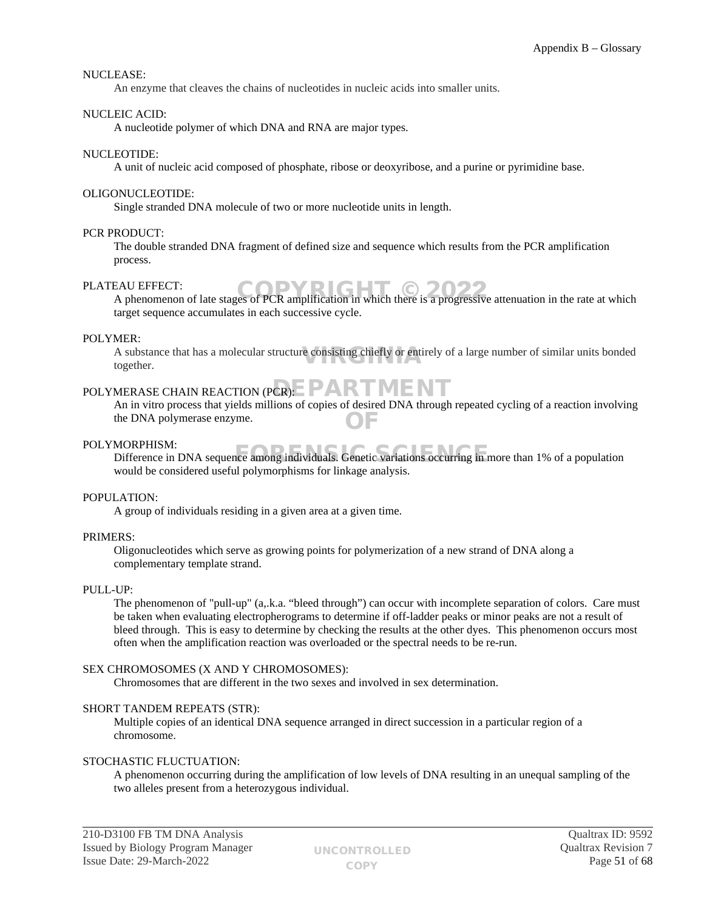## NUCLEASE:

An enzyme that cleaves the chains of nucleotides in nucleic acids into smaller units.

#### NUCLEIC ACID:

A nucleotide polymer of which DNA and RNA are major types.

#### NUCLEOTIDE:

A unit of nucleic acid composed of phosphate, ribose or deoxyribose, and a purine or pyrimidine base.

#### OLIGONUCLEOTIDE:

Single stranded DNA molecule of two or more nucleotide units in length.

#### PCR PRODUCT:

The double stranded DNA fragment of defined size and sequence which results from the PCR amplification process.

#### PLATEAU EFFECT:

EAU EFFECT:<br>A phenomenon of late stages of PCR amplification in which there is a progressive attenuation in the rate at which target sequence accumulates in each successive cycle.

#### POLYMER:

A substance that has a molecular structure consisting chiefly or entirely of a large number of similar units bonded<br>together. together.

# POLYMERASE CHAIN REACTION (PCR): PARTMENT

An in vitro process that yields millions of copies of desired DNA through repeated cycling of a reaction involving the DNA polymerase enzyme. OF

#### POLYMORPHISM:

MORPHISM:<br>Difference in DNA sequence among individuals. Genetic variations occurring in more than 1% of a population would be considered useful polymorphisms for linkage analysis.

#### POPULATION:

A group of individuals residing in a given area at a given time.

#### PRIMERS:

Oligonucleotides which serve as growing points for polymerization of a new strand of DNA along a complementary template strand.

## PULL-UP:

The phenomenon of "pull-up" (a,.k.a. "bleed through") can occur with incomplete separation of colors. Care must be taken when evaluating electropherograms to determine if off-ladder peaks or minor peaks are not a result of bleed through. This is easy to determine by checking the results at the other dyes. This phenomenon occurs most often when the amplification reaction was overloaded or the spectral needs to be re-run.

#### SEX CHROMOSOMES (X AND Y CHROMOSOMES):

Chromosomes that are different in the two sexes and involved in sex determination.

#### SHORT TANDEM REPEATS (STR):

Multiple copies of an identical DNA sequence arranged in direct succession in a particular region of a chromosome.

## STOCHASTIC FLUCTUATION:

A phenomenon occurring during the amplification of low levels of DNA resulting in an unequal sampling of the two alleles present from a heterozygous individual.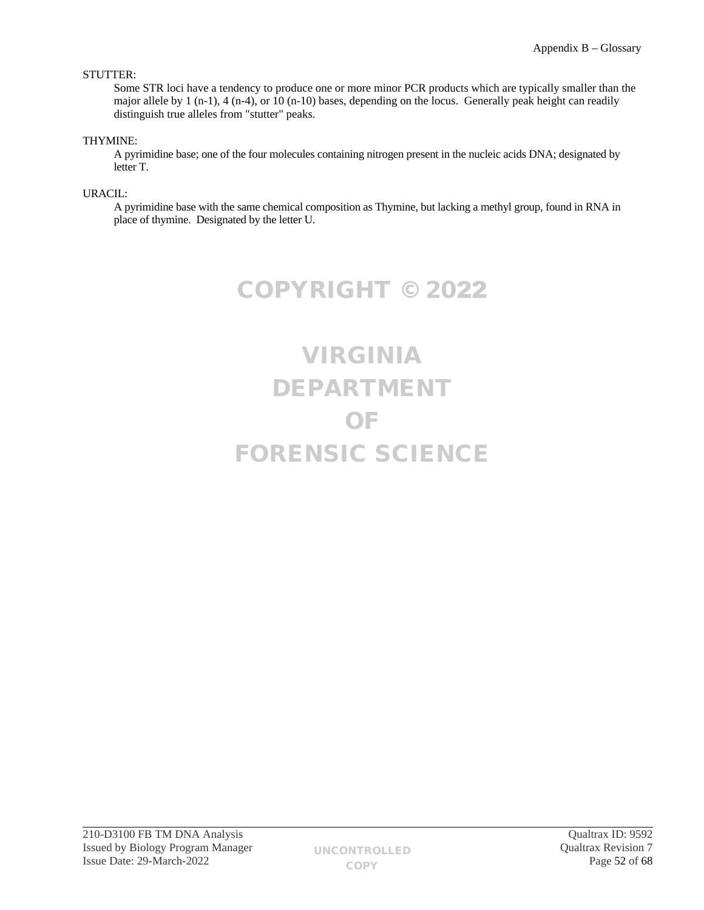# STUTTER:

Some STR loci have a tendency to produce one or more minor PCR products which are typically smaller than the major allele by 1 (n-1), 4 (n-4), or 10 (n-10) bases, depending on the locus. Generally peak height can readily distinguish true alleles from "stutter" peaks.

# THYMINE:

A pyrimidine base; one of the four molecules containing nitrogen present in the nucleic acids DNA; designated by letter T.

URACIL:

A pyrimidine base with the same chemical composition as Thymine, but lacking a methyl group, found in RNA in place of thymine. Designated by the letter U.

COPYRIGHT © 2022

# VIRGINIA DEPARTMENT OF FORENSIC SCIENCE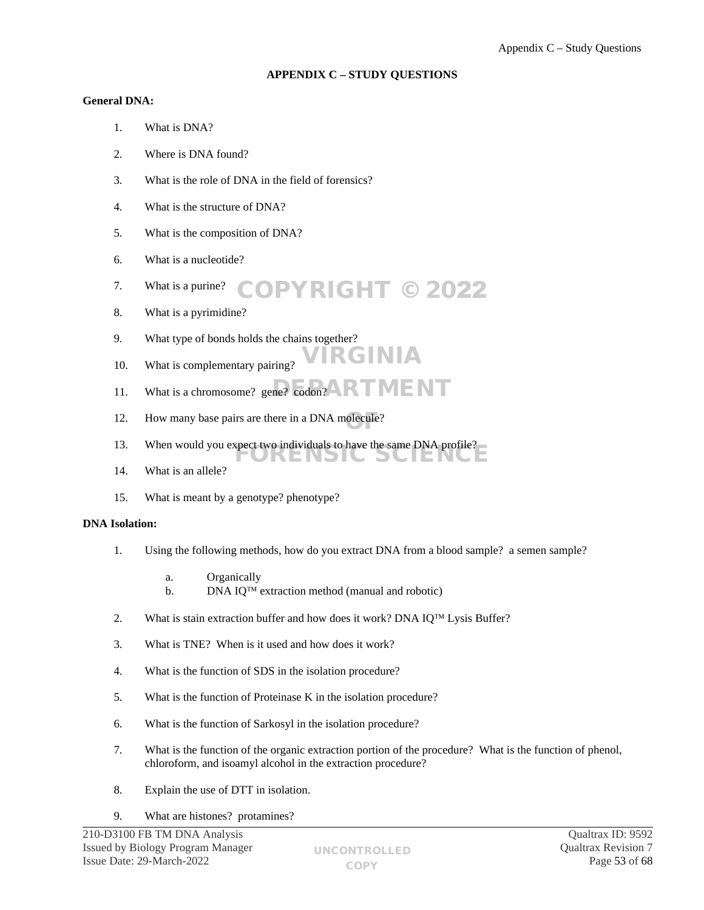# <span id="page-52-0"></span>**APPENDIX C – STUDY QUESTIONS**

# **General DNA:**

- 1. What is DNA?
- 2. Where is DNA found?
- 3. What is the role of DNA in the field of forensics?
- 4. What is the structure of DNA?
- 5. What is the composition of DNA?
- 6. What is a nucleotide?
- 7. What is a purine? COPYRIGHT © 2022
- 8. What is a pyrimidine?
- 9. What type of bonds holds the chains together?
- 10. What is complementary pairing?
- 11. What is a chromosome? gene?  $\overline{\text{codom2}}$  **RTMENT**
- 12. How many base pairs are there in a DNA molecule?
- 13. When would you expect two individuals to have the same DNA profile? FORENSIC SCIENCE
- 14. What is an allele?
- 15. What is meant by a genotype? phenotype?

## **DNA Isolation:**

1. Using the following methods, how do you extract DNA from a blood sample? a semen sample?

VIRGINIA

- a. Organically
- b. DNA IQ<sup>TM</sup> extraction method (manual and robotic)
- 2. What is stain extraction buffer and how does it work? DNA IQ<sup>TM</sup> Lysis Buffer?
- 3. What is TNE? When is it used and how does it work?
- 4. What is the function of SDS in the isolation procedure?
- 5. What is the function of Proteinase K in the isolation procedure?
- 6. What is the function of Sarkosyl in the isolation procedure?
- 7. What is the function of the organic extraction portion of the procedure? What is the function of phenol, chloroform, and isoamyl alcohol in the extraction procedure?
- 8. Explain the use of DTT in isolation.
- 9. What are histones? protamines?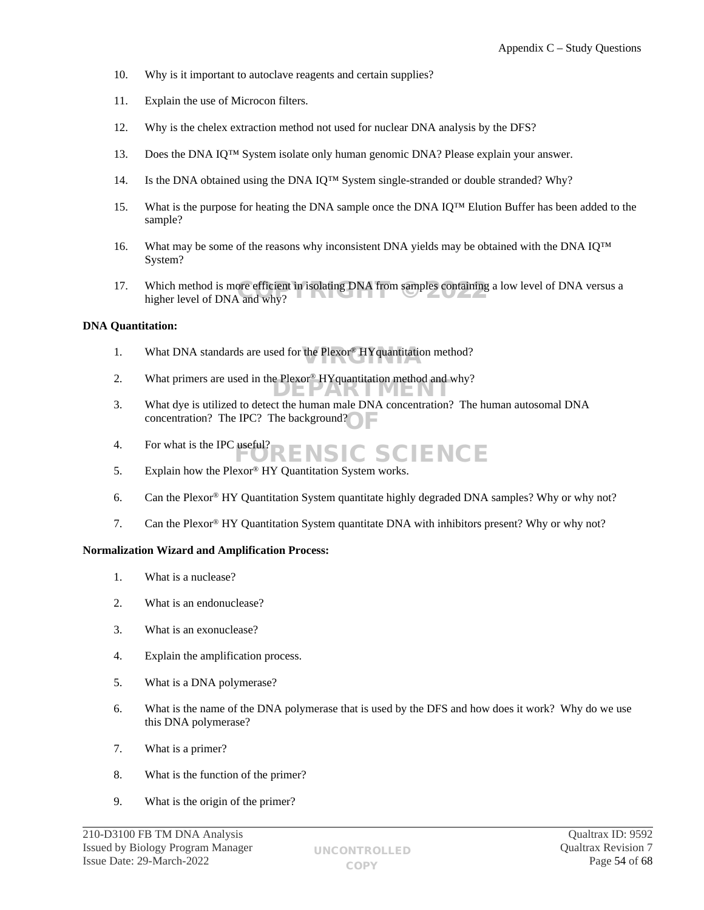- 10. Why is it important to autoclave reagents and certain supplies?
- 11. Explain the use of Microcon filters.
- 12. Why is the chelex extraction method not used for nuclear DNA analysis by the DFS?
- 13. Does the DNA IQ™ System isolate only human genomic DNA? Please explain your answer.
- 14. Is the DNA obtained using the DNA IQ™ System single-stranded or double stranded? Why?
- 15. What is the purpose for heating the DNA sample once the DNA IQ™ Elution Buffer has been added to the sample?
- 16. What may be some of the reasons why inconsistent DNA yields may be obtained with the DNA IQ™ System?
- 17. Which method is more efficient in isolating DNA from samples containing a low level of DNA versus a higher level of DNA and why? higher level of DNA and why?

# **DNA Quantitation:**

- 1. What DNA standards are used for the  $Plexor^{\circ} HY$  quantitation method?
- 2. What primers are used in the Plexor<sup>®</sup> HYquantitation method and why?
- 3. What dye is utilized to detect the human male DNA concentration? The human autosomal DNA concentration? The IPC? The background?
- 4. For what is the IPC useful? RENSIC SCIENCE
- 5. Explain how the Plexor® HY Quantitation System works.
- 6. Can the Plexor® HY Quantitation System quantitate highly degraded DNA samples? Why or why not?
- 7. Can the Plexor® HY Quantitation System quantitate DNA with inhibitors present? Why or why not?

## **Normalization Wizard and Amplification Process:**

- 1. What is a nuclease?
- 2. What is an endonuclease?
- 3. What is an exonuclease?
- 4. Explain the amplification process.
- 5. What is a DNA polymerase?
- 6. What is the name of the DNA polymerase that is used by the DFS and how does it work? Why do we use this DNA polymerase?
- 7. What is a primer?
- 8. What is the function of the primer?
- 9. What is the origin of the primer?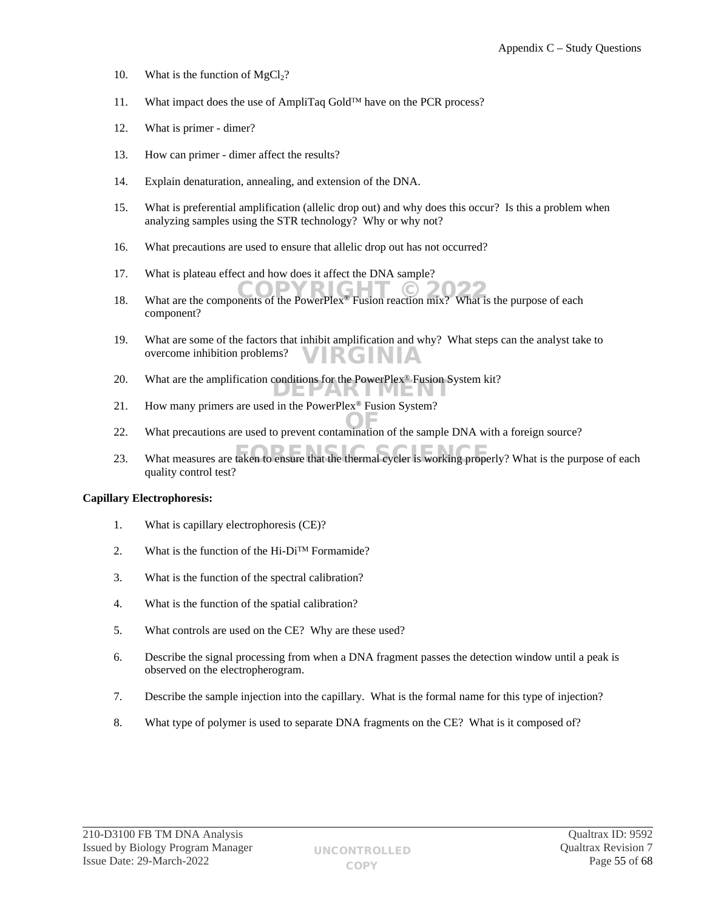- 10. What is the function of  $MgCl<sub>2</sub>$ ?
- 11. What impact does the use of AmpliTaq Gold<sup>TM</sup> have on the PCR process?
- 12. What is primer dimer?
- 13. How can primer dimer affect the results?
- 14. Explain denaturation, annealing, and extension of the DNA.
- 15. What is preferential amplification (allelic drop out) and why does this occur? Is this a problem when analyzing samples using the STR technology? Why or why not?
- 16. What precautions are used to ensure that allelic drop out has not occurred?
- 17. What is plateau effect and how does it affect the DNA sample?
- 18. What are the components of the PowerPlex® Fusion reaction mix? What is the purpose of each component?
- 19. What are some of the factors that inhibit amplification and why? What steps can the analyst take to overcome inhibition problems? VIRGINIA
- 20. What are the amplification conditions for the PowerPlex<sup>®</sup> Fusion System kit?
- 21. How many primers are used in the PowerPlex® Fusion System?
- 22. What precautions are used to prevent contamination of the sample DNA with a foreign source?
- 23. What measures are taken to ensure that the thermal cycler is working properly? What is the purpose of each quality control test?

#### **Capillary Electrophoresis:**

- 1. What is capillary electrophoresis (CE)?
- 2. What is the function of the Hi-Di<sup>TM</sup> Formamide?
- 3. What is the function of the spectral calibration?
- 4. What is the function of the spatial calibration?
- 5. What controls are used on the CE? Why are these used?
- 6. Describe the signal processing from when a DNA fragment passes the detection window until a peak is observed on the electropherogram.
- 7. Describe the sample injection into the capillary. What is the formal name for this type of injection?
- 8. What type of polymer is used to separate DNA fragments on the CE? What is it composed of?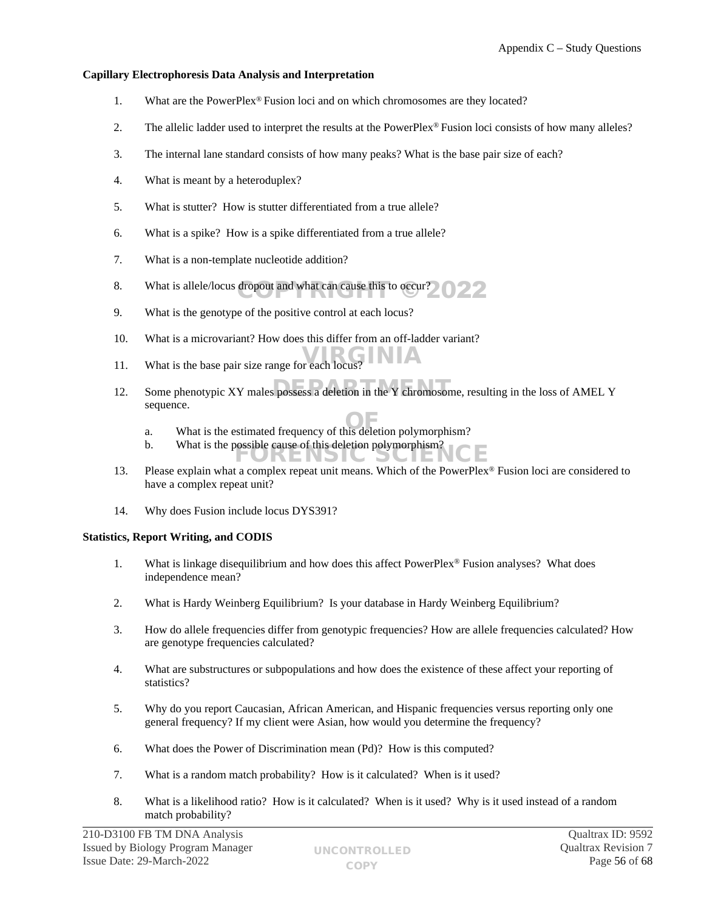# **Capillary Electrophoresis Data Analysis and Interpretation**

- 1. What are the PowerPlex® Fusion loci and on which chromosomes are they located?
- 2. The allelic ladder used to interpret the results at the PowerPlex® Fusion loci consists of how many alleles?
- 3. The internal lane standard consists of how many peaks? What is the base pair size of each?
- 4. What is meant by a heteroduplex?
- 5. What is stutter? How is stutter differentiated from a true allele?
- 6. What is a spike? How is a spike differentiated from a true allele?
- 7. What is a non-template nucleotide addition?
- 8. What is allele/locus dropout and what can cause this to  $\alpha$  cur?
- 9. What is the genotype of the positive control at each locus?
- 10. What is a microvariant? How does this differ from an off-ladder variant?
- 11. What is the base pair size range for each locus?
- 12. Some phenotypic XY males possess a deletion in the Y chromosome, resulting in the loss of AMEL Y sequence.
	- a. What is the estimated frequency of this deletion polymorphism?
	- b. What is the possible cause of this deletion polymorphism? JKENSIC SCIEI
- 13. Please explain what a complex repeat unit means. Which of the PowerPlex® Fusion loci are considered to have a complex repeat unit?
- 14. Why does Fusion include locus DYS391?

## **Statistics, Report Writing, and CODIS**

- 1. What is linkage disequilibrium and how does this affect PowerPlex® Fusion analyses? What does independence mean?
- 2. What is Hardy Weinberg Equilibrium? Is your database in Hardy Weinberg Equilibrium?
- 3. How do allele frequencies differ from genotypic frequencies? How are allele frequencies calculated? How are genotype frequencies calculated?
- 4. What are substructures or subpopulations and how does the existence of these affect your reporting of statistics?
- 5. Why do you report Caucasian, African American, and Hispanic frequencies versus reporting only one general frequency? If my client were Asian, how would you determine the frequency?
- 6. What does the Power of Discrimination mean (Pd)? How is this computed?
- 7. What is a random match probability? How is it calculated? When is it used?
- 8. What is a likelihood ratio? How is it calculated? When is it used? Why is it used instead of a random match probability?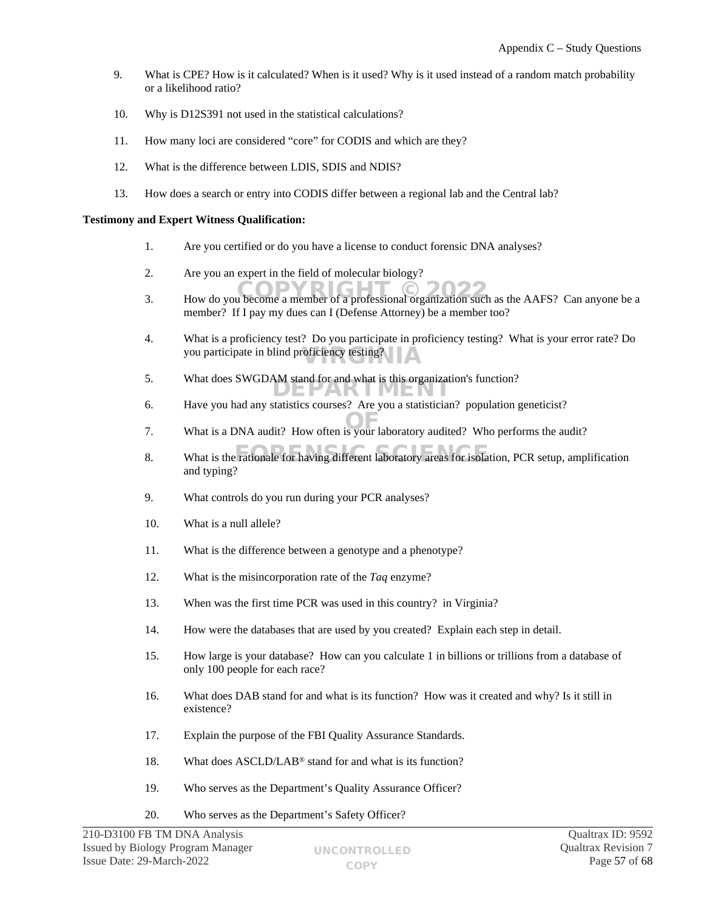- 9. What is CPE? How is it calculated? When is it used? Why is it used instead of a random match probability or a likelihood ratio?
- 10. Why is D12S391 not used in the statistical calculations?
- 11. How many loci are considered "core" for CODIS and which are they?
- 12. What is the difference between LDIS, SDIS and NDIS?
- 13. How does a search or entry into CODIS differ between a regional lab and the Central lab?

#### **Testimony and Expert Witness Qualification:**

- 1. Are you certified or do you have a license to conduct forensic DNA analyses?
- 2. Are you an expert in the field of molecular biology?
- 3. How do you become a member of a professional organization such as the AAFS? Can anyone be a member? If I pay my dues can I (Defense Attorney) be a member too?
- 4. What is a proficiency test? Do you participate in proficiency testing? What is your error rate? Do you participate in blind proficiency testing?
- 5. What does SWGDAM stand for and what is this organization's function?
- 6. Have you had any statistics courses? Are you a statistician? population geneticist?
- 7. What is a DNA audit? How often is your laboratory audited? Who performs the audit?
- 8. What is the rationale for having different laboratory areas for isolation, PCR setup, amplification and typing?
- 9. What controls do you run during your PCR analyses?
- 10. What is a null allele?
- 11. What is the difference between a genotype and a phenotype?
- 12. What is the misincorporation rate of the *Taq* enzyme?
- 13. When was the first time PCR was used in this country? in Virginia?
- 14. How were the databases that are used by you created? Explain each step in detail.
- 15. How large is your database? How can you calculate 1 in billions or trillions from a database of only 100 people for each race?
- 16. What does DAB stand for and what is its function? How was it created and why? Is it still in existence?
- 17. Explain the purpose of the FBI Quality Assurance Standards.
- 18. What does ASCLD/LAB® stand for and what is its function?
- 19. Who serves as the Department's Quality Assurance Officer?
- 20. Who serves as the Department's Safety Officer?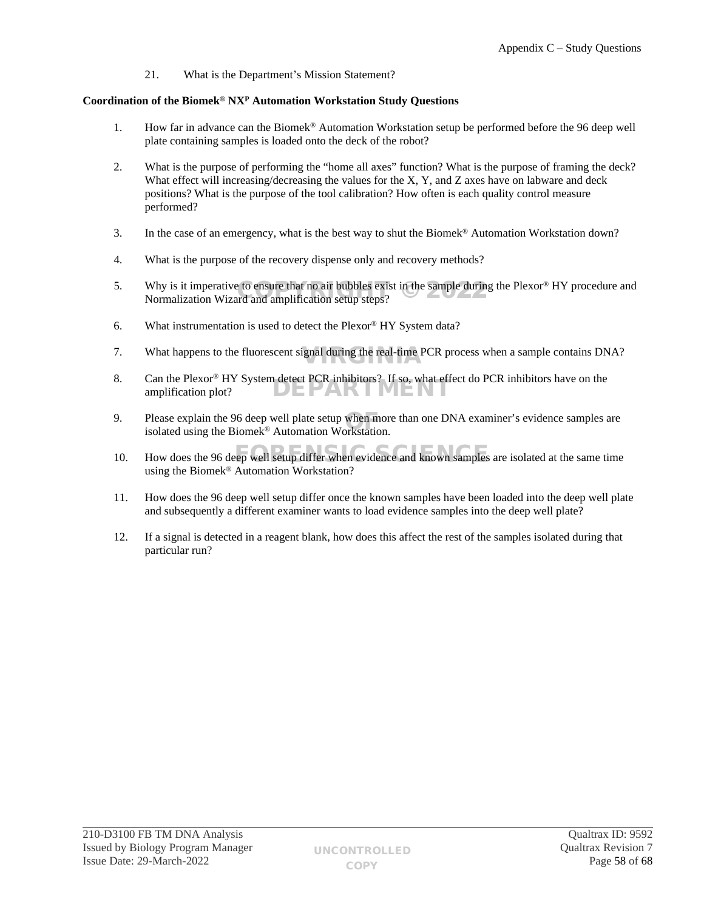21. What is the Department's Mission Statement?

# **Coordination of the Biomek® NX<sup>P</sup> Automation Workstation Study Questions**

- 1. How far in advance can the Biomek® Automation Workstation setup be performed before the 96 deep well plate containing samples is loaded onto the deck of the robot?
- 2. What is the purpose of performing the "home all axes" function? What is the purpose of framing the deck? What effect will increasing/decreasing the values for the  $X$ ,  $Y$ , and  $Z$  axes have on labware and deck positions? What is the purpose of the tool calibration? How often is each quality control measure performed?
- 3. In the case of an emergency, what is the best way to shut the Biomek® Automation Workstation down?
- 4. What is the purpose of the recovery dispense only and recovery methods?
- 5. Why is it imperative to ensure that no air bubbles exist in the sample during the Plexor® HY procedure and Normalization Wizard and amplification setup steps? Normalization Wizard and amplification setup steps?
- 6. What instrumentation is used to detect the Plexor® HY System data?
- 7. What happens to the fluorescent signal during the real-time PCR process when a sample contains DNA?
- 8. Can the Plexor® HY System detect PCR inhibitors? If so, what effect do PCR inhibitors have on the amplification plot? DEPARTMENT
- 9. Please explain the 96 deep well plate setup when more than one DNA examiner's evidence samples are isolated using the Biomek<sup>®</sup> Automation Workstation. isolated using the Biomek® Automation Workstation.
- 10. How does the 96 deep well setup differ when evidence and known samples are isolated at the same time using the Biomek® Automation Workstation?
- 11. How does the 96 deep well setup differ once the known samples have been loaded into the deep well plate and subsequently a different examiner wants to load evidence samples into the deep well plate?
- 12. If a signal is detected in a reagent blank, how does this affect the rest of the samples isolated during that particular run?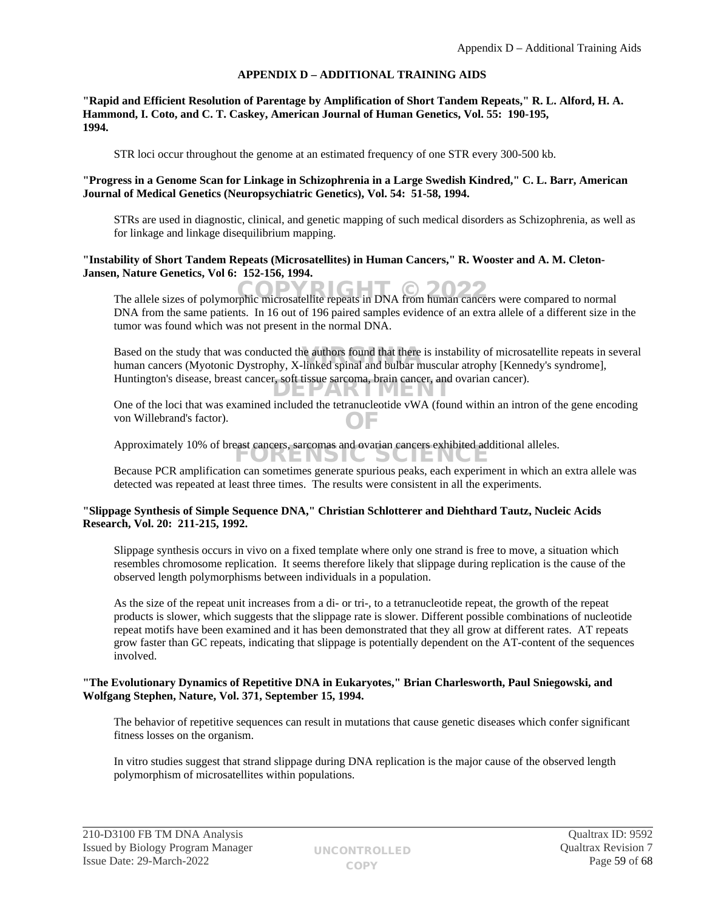# <span id="page-58-0"></span>**APPENDIX D – ADDITIONAL TRAINING AIDS**

#### **"Rapid and Efficient Resolution of Parentage by Amplification of Short Tandem Repeats," R. L. Alford, H. A. Hammond, I. Coto, and C. T. Caskey, American Journal of Human Genetics, Vol. 55: 190-195, 1994.**

STR loci occur throughout the genome at an estimated frequency of one STR every 300-500 kb.

## **"Progress in a Genome Scan for Linkage in Schizophrenia in a Large Swedish Kindred," C. L. Barr, American Journal of Medical Genetics (Neuropsychiatric Genetics), Vol. 54: 51-58, 1994.**

STRs are used in diagnostic, clinical, and genetic mapping of such medical disorders as Schizophrenia, as well as for linkage and linkage disequilibrium mapping.

#### **"Instability of Short Tandem Repeats (Microsatellites) in Human Cancers," R. Wooster and A. M. Cleton-Jansen, Nature Genetics, Vol 6: 152-156, 1994.**

The allele sizes of polymorphic microsatellite repeats in DNA from human cancers were compared to normal DNA from the same patients. In 16 out of 196 paired samples evidence of an extra allele of a different size in the tumor was found which was not present in the normal DNA.

Based on the study that was conducted the authors found that there is instability of microsatellite repeats in several human cancers (Myotonic Dystrophy, X-linked spinal and bulbar muscular atrophy [Kennedy's syndrome]. human cancers (Myotonic Dystrophy, X-linked spinal and bulbar muscular atrophy [Kennedy's syndrome], Huntington's disease, breast cancer, soft tissue sarcoma, brain cancer, and ovarian cancer). ZAR I MEN

One of the loci that was examined included the tetranucleotide vWA (found within an intron of the gene encoding von Willebrand's factor). OF

Approximately 10% of breast cancers, sarcomas and ovarian cancers exhibited additional alleles. UKENSIL SLIENLE

Because PCR amplification can sometimes generate spurious peaks, each experiment in which an extra allele was detected was repeated at least three times. The results were consistent in all the experiments.

#### **"Slippage Synthesis of Simple Sequence DNA," Christian Schlotterer and Diehthard Tautz, Nucleic Acids Research, Vol. 20: 211-215, 1992.**

Slippage synthesis occurs in vivo on a fixed template where only one strand is free to move, a situation which resembles chromosome replication. It seems therefore likely that slippage during replication is the cause of the observed length polymorphisms between individuals in a population.

As the size of the repeat unit increases from a di- or tri-, to a tetranucleotide repeat, the growth of the repeat products is slower, which suggests that the slippage rate is slower. Different possible combinations of nucleotide repeat motifs have been examined and it has been demonstrated that they all grow at different rates. AT repeats grow faster than GC repeats, indicating that slippage is potentially dependent on the AT-content of the sequences involved.

## **"The Evolutionary Dynamics of Repetitive DNA in Eukaryotes," Brian Charlesworth, Paul Sniegowski, and Wolfgang Stephen, Nature, Vol. 371, September 15, 1994.**

The behavior of repetitive sequences can result in mutations that cause genetic diseases which confer significant fitness losses on the organism.

In vitro studies suggest that strand slippage during DNA replication is the major cause of the observed length polymorphism of microsatellites within populations.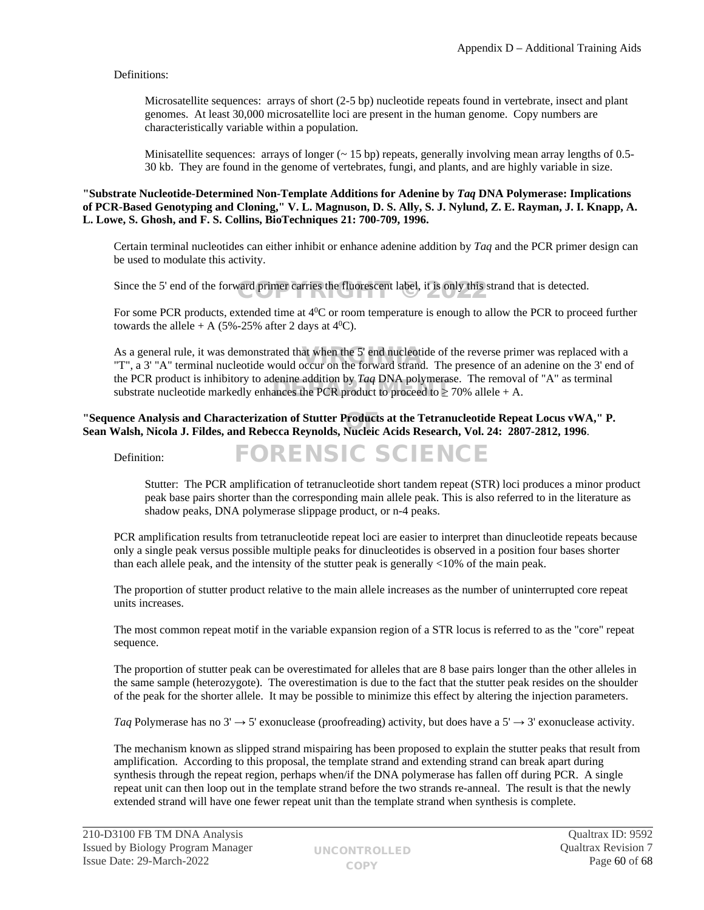# Definitions:

Microsatellite sequences: arrays of short (2-5 bp) nucleotide repeats found in vertebrate, insect and plant genomes. At least 30,000 microsatellite loci are present in the human genome. Copy numbers are characteristically variable within a population.

Minisatellite sequences: arrays of longer  $({\sim} 15 \text{ bp})$  repeats, generally involving mean array lengths of 0.5-30 kb. They are found in the genome of vertebrates, fungi, and plants, and are highly variable in size.

#### **"Substrate Nucleotide-Determined Non-Template Additions for Adenine by** *Taq* **DNA Polymerase: Implications of PCR-Based Genotyping and Cloning," V. L. Magnuson, D. S. Ally, S. J. Nylund, Z. E. Rayman, J. I. Knapp, A. L. Lowe, S. Ghosh, and F. S. Collins, BioTechniques 21: 700-709, 1996.**

Certain terminal nucleotides can either inhibit or enhance adenine addition by *Taq* and the PCR primer design can be used to modulate this activity.

Since the 5' end of the forward primer carries the fluorescent label, it is only this strand that is detected.

For some PCR products, extended time at 4<sup>0</sup>C or room temperature is enough to allow the PCR to proceed further towards the allele + A (5%-25% after 2 days at  $4^{\circ}$ C).

As a general rule, it was demonstrated that when the 5' end nucleotide of the reverse primer was replaced with a As a general rule, it was demonstrated that when the 5' end nucleotide of the reverse primer was replaced with a<br>"T", a 3' "A" terminal nucleotide would occur on the forward strand. The presence of an adenine on the 3' end the PCR product is inhibitory to adenine addition by *Taq* DNA polymerase. The removal of "A" as terminal substrate nucleotide markedly enhances the PCR product to proceed to  $\geq$  70% allele + A.

## "Sequence Analysis and Characterization of Stutter Products at the Tetranucleotide Repeat Locus vWA," P.<br>Sean Walsh, Nicola J. Fildes, and Rebecca Reynolds, Nucleic Acids Research, Vol. 24: 2807-2812, 1996. **Sean Walsh, Nicola J. Fildes, and Rebecca Reynolds, Nucleic Acids Research, Vol. 24: 2807-2812, 1996**.

FORENSIC SCIENCE

Definition:

Stutter: The PCR amplification of tetranucleotide short tandem repeat (STR) loci produces a minor product peak base pairs shorter than the corresponding main allele peak. This is also referred to in the literature as shadow peaks, DNA polymerase slippage product, or n-4 peaks.

PCR amplification results from tetranucleotide repeat loci are easier to interpret than dinucleotide repeats because only a single peak versus possible multiple peaks for dinucleotides is observed in a position four bases shorter than each allele peak, and the intensity of the stutter peak is generally <10% of the main peak.

The proportion of stutter product relative to the main allele increases as the number of uninterrupted core repeat units increases.

The most common repeat motif in the variable expansion region of a STR locus is referred to as the "core" repeat sequence.

The proportion of stutter peak can be overestimated for alleles that are 8 base pairs longer than the other alleles in the same sample (heterozygote). The overestimation is due to the fact that the stutter peak resides on the shoulder of the peak for the shorter allele. It may be possible to minimize this effect by altering the injection parameters.

*Taq* Polymerase has no  $3' \rightarrow 5'$  exonuclease (proofreading) activity, but does have a  $5' \rightarrow 3'$  exonuclease activity.

The mechanism known as slipped strand mispairing has been proposed to explain the stutter peaks that result from amplification. According to this proposal, the template strand and extending strand can break apart during synthesis through the repeat region, perhaps when/if the DNA polymerase has fallen off during PCR. A single repeat unit can then loop out in the template strand before the two strands re-anneal. The result is that the newly extended strand will have one fewer repeat unit than the template strand when synthesis is complete.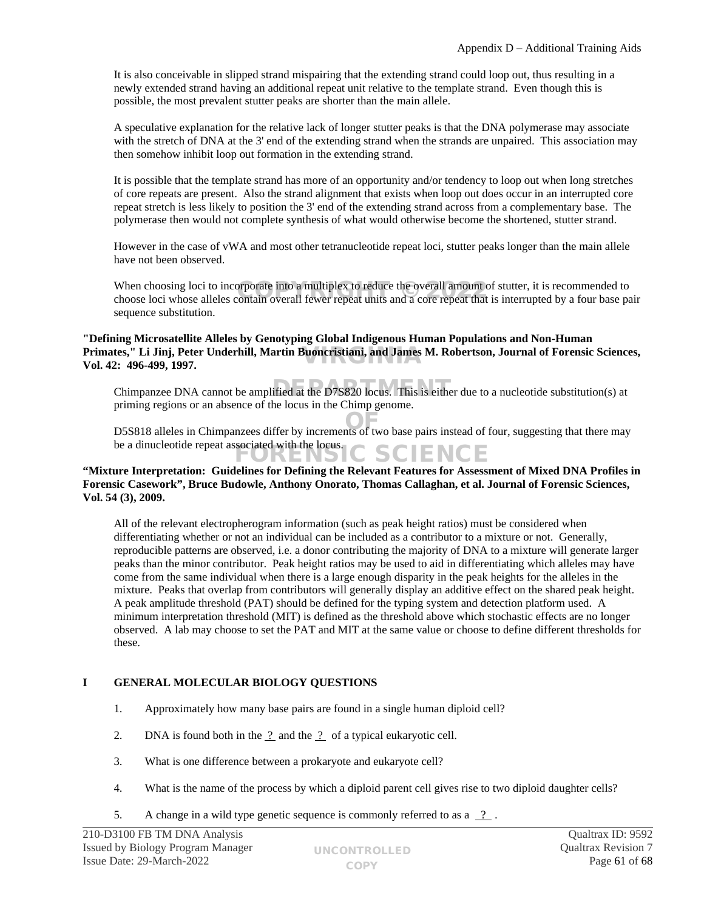It is also conceivable in slipped strand mispairing that the extending strand could loop out, thus resulting in a newly extended strand having an additional repeat unit relative to the template strand. Even though this is possible, the most prevalent stutter peaks are shorter than the main allele.

A speculative explanation for the relative lack of longer stutter peaks is that the DNA polymerase may associate with the stretch of DNA at the 3' end of the extending strand when the strands are unpaired. This association may then somehow inhibit loop out formation in the extending strand.

It is possible that the template strand has more of an opportunity and/or tendency to loop out when long stretches of core repeats are present. Also the strand alignment that exists when loop out does occur in an interrupted core repeat stretch is less likely to position the 3' end of the extending strand across from a complementary base. The polymerase then would not complete synthesis of what would otherwise become the shortened, stutter strand.

However in the case of vWA and most other tetranucleotide repeat loci, stutter peaks longer than the main allele have not been observed.

When choosing loci to incorporate into a multiplex to reduce the overall amount of stutter, it is recommended to When choosing loci to incorporate into a multiplex to reduce the overall amount of stutter, it is recommended to<br>choose loci whose alleles contain overall fewer repeat units and a core repeat that is interrupted by a four sequence substitution.

## **"Defining Microsatellite Alleles by Genotyping Global Indigenous Human Populations and Non-Human**  Primates,'' Li Jinj, Peter Underhill, Martin Buoncristiani, and James M. Robertson, Journal of Forensic Sciences,<br>Vol. 42: 496-499. 1997. **Vol. 42: 496-499, 1997.**

Chimpanzee DNA cannot be amplified at the D7S820 locus. This is either due to a nucleotide substitution(s) at priming regions or an absence of the locus in the Chimp genome.

D5S818 alleles in Chimpanzees differ by increments of two base pairs instead of four, suggesting that there may OF be a dinucleotide repeat associated with the locus. C SCIENCE

# **"Mixture Interpretation: Guidelines for Defining the Relevant Features for Assessment of Mixed DNA Profiles in Forensic Casework", Bruce Budowle, Anthony Onorato, Thomas Callaghan, et al. Journal of Forensic Sciences, Vol. 54 (3), 2009.**

All of the relevant electropherogram information (such as peak height ratios) must be considered when differentiating whether or not an individual can be included as a contributor to a mixture or not. Generally, reproducible patterns are observed, i.e. a donor contributing the majority of DNA to a mixture will generate larger peaks than the minor contributor. Peak height ratios may be used to aid in differentiating which alleles may have come from the same individual when there is a large enough disparity in the peak heights for the alleles in the mixture. Peaks that overlap from contributors will generally display an additive effect on the shared peak height. A peak amplitude threshold (PAT) should be defined for the typing system and detection platform used. A minimum interpretation threshold (MIT) is defined as the threshold above which stochastic effects are no longer observed. A lab may choose to set the PAT and MIT at the same value or choose to define different thresholds for these.

# **I GENERAL MOLECULAR BIOLOGY QUESTIONS**

- 1. Approximately how many base pairs are found in a single human diploid cell?
- 2. DNA is found both in the  $\frac{?}{ }$  and the  $\frac{?}{ }$  of a typical eukaryotic cell.
- 3. What is one difference between a prokaryote and eukaryote cell?
- 4. What is the name of the process by which a diploid parent cell gives rise to two diploid daughter cells?
- 5. A change in a wild type genetic sequence is commonly referred to as a  $\frac{?}{?}$ .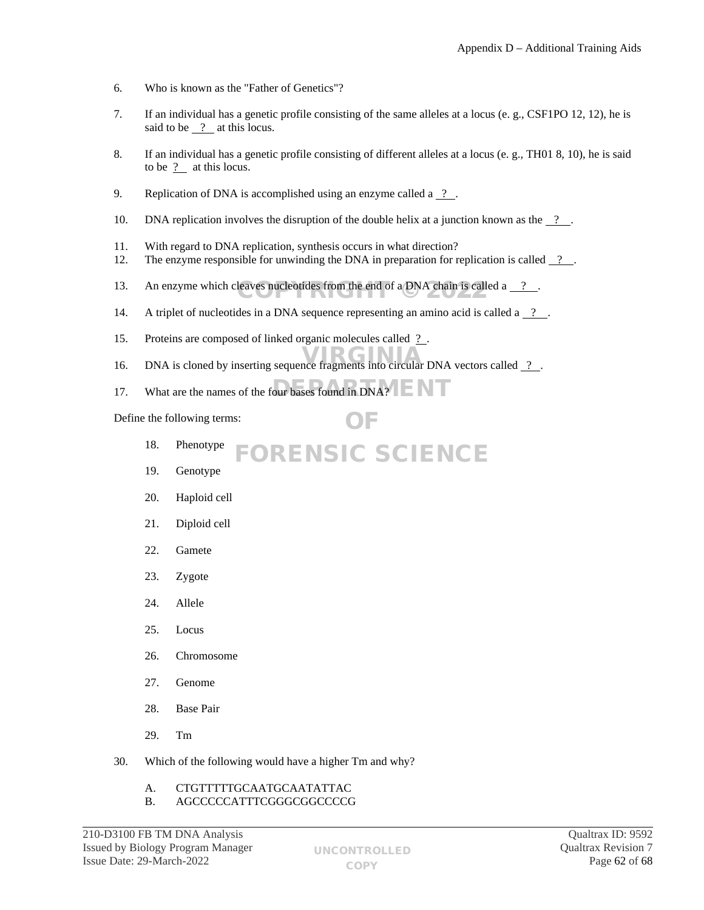- 6. Who is known as the "Father of Genetics"?
- 7. If an individual has a genetic profile consisting of the same alleles at a locus (e. g., CSF1PO 12, 12), he is said to be  $\frac{1}{2}$  at this locus.
- 8. If an individual has a genetic profile consisting of different alleles at a locus (e. g., TH01 8, 10), he is said to be ? at this locus.
- 9. Replication of DNA is accomplished using an enzyme called a  $\frac{9}{2}$ .
- 10. DNA replication involves the disruption of the double helix at a junction known as the  $\frac{1}{2}$ .
- 11. With regard to DNA replication, synthesis occurs in what direction?
- 12. The enzyme responsible for unwinding the DNA in preparation for replication is called  $\frac{?}{?}$ .
- 13. An enzyme which cleaves nucleotides from the end of a DNA chain is called a  $\frac{?}{?}$ .
- 14. A triplet of nucleotides in a DNA sequence representing an amino acid is called a  $\frac{2}{\cdot}$ .
- 15. Proteins are composed of linked organic molecules called ? .
- 16. DNA is cloned by inserting sequence fragments into circular DNA vectors called <u>?</u>

OF

17. What are the names of the four bases found in DNA?

Define the following terms:

- 18. Phenotype FORENSIC SCIENCE
- 19. Genotype
- 20. Haploid cell
- 21. Diploid cell
- 22. Gamete
- 23. Zygote
- 24. Allele
- 25. Locus
- 26. Chromosome
- 27. Genome
- 28. Base Pair
- 29. Tm
- 30. Which of the following would have a higher Tm and why?
	- A. CTGTTTTTGCAATGCAATATTAC
	- B. AGCCCCCATTTCGGGCGGCCCCG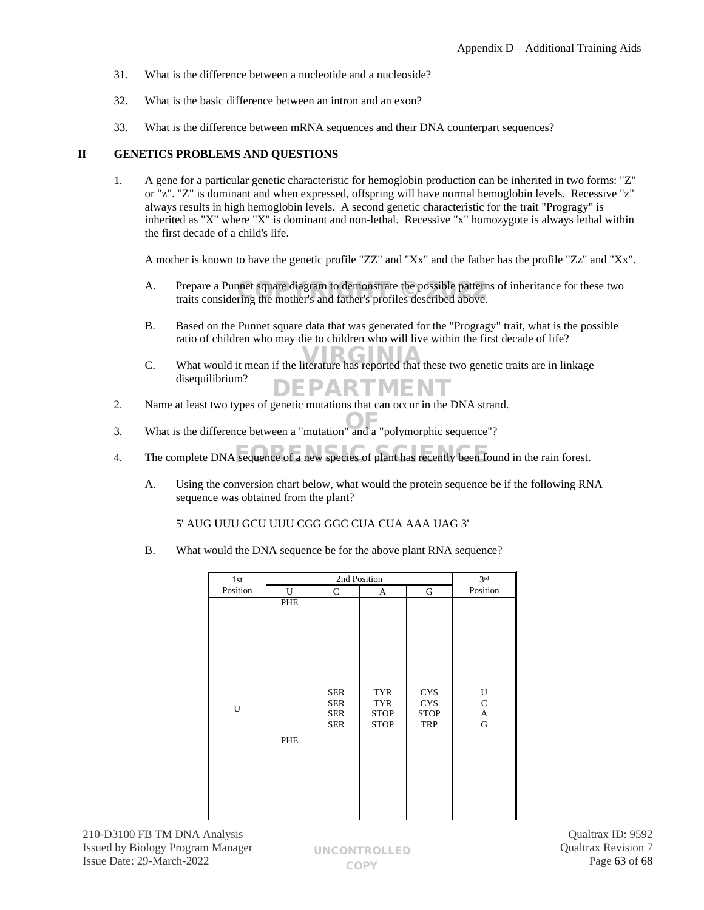- 31. What is the difference between a nucleotide and a nucleoside?
- 32. What is the basic difference between an intron and an exon?
- 33. What is the difference between mRNA sequences and their DNA counterpart sequences?

## **II GENETICS PROBLEMS AND QUESTIONS**

1. A gene for a particular genetic characteristic for hemoglobin production can be inherited in two forms: "Z" or "z". "Z" is dominant and when expressed, offspring will have normal hemoglobin levels. Recessive "z" always results in high hemoglobin levels. A second genetic characteristic for the trait "Progragy" is inherited as "X" where "X" is dominant and non-lethal. Recessive "x" homozygote is always lethal within the first decade of a child's life.

A mother is known to have the genetic profile "ZZ" and "Xx" and the father has the profile "Zz" and "Xx".

- A. Prepare a Punnet square diagram to demonstrate the possible patterns of inheritance for these two traits considering the mother's and father's profiles described above. traits considering the mother's and father's profiles described above.
- B. Based on the Punnet square data that was generated for the "Progragy" trait, what is the possible ratio of children who may die to children who will live within the first decade of life?
- C. What would it mean if the literature has reported that these two genetic traits are in linkage disequilibrium? EPARTMEN
- 2. Name at least two types of genetic mutations that can occur in the DNA strand.
- 3. What is the difference between a "mutation" and a "polymorphic sequence"? OF
- 4. The complete DNA sequence of a new species of plant has recently been found in the rain forest.
	- A. Using the conversion chart below, what would the protein sequence be if the following RNA sequence was obtained from the plant?

5' AUG UUU GCU UUU CGG GGC CUA CUA AAA UAG 3'

B. What would the DNA sequence be for the above plant RNA sequence?

| 1st      |            | 3 <sup>rd</sup>                                      |                                                        |                                                       |                                                          |
|----------|------------|------------------------------------------------------|--------------------------------------------------------|-------------------------------------------------------|----------------------------------------------------------|
| Position | U          | $\mathsf{C}$                                         | A                                                      | ${\bf G}$                                             | Position                                                 |
| U        | PHE<br>PHE | <b>SER</b><br><b>SER</b><br><b>SER</b><br><b>SER</b> | <b>TYR</b><br><b>TYR</b><br><b>STOP</b><br><b>STOP</b> | <b>CYS</b><br><b>CYS</b><br><b>STOP</b><br><b>TRP</b> | U<br>${\bf C}$<br>$\boldsymbol{\mathsf{A}}$<br>${\bf G}$ |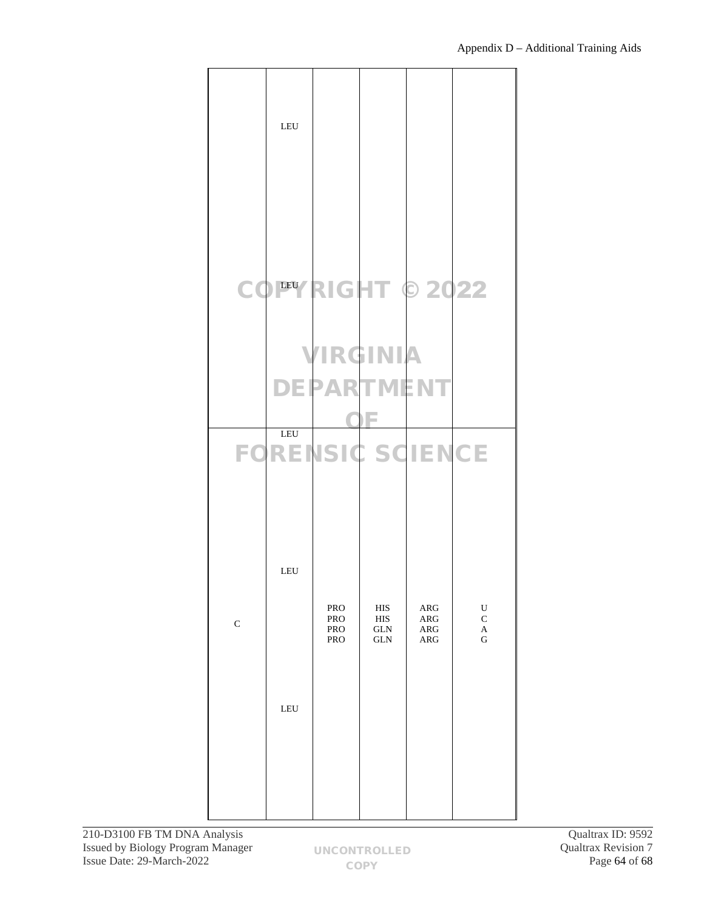|             | LEU |                          |                                                          |                                          |                                                          |
|-------------|-----|--------------------------|----------------------------------------------------------|------------------------------------------|----------------------------------------------------------|
|             |     |                          |                                                          | COPYRIGHT © 2022                         |                                                          |
|             | LEU | VIRGINIA<br>DEPARTMENT   |                                                          | <b>FORENSIC SCIENCE</b>                  |                                                          |
|             | LEU |                          |                                                          |                                          |                                                          |
| $\mathbf C$ | LEU | PRO<br>PRO<br>PRO<br>PRO | $_{\rm HIS}$<br>$_{\rm HIS}$<br><b>GLN</b><br><b>GLN</b> | ARG<br>ARG<br>${\sf ARG}$<br>${\sf ARG}$ | $\mathbf U$<br>$\mathbf C$<br>$\mathbf A$<br>$\mathbf G$ |
|             |     |                          |                                                          |                                          |                                                          |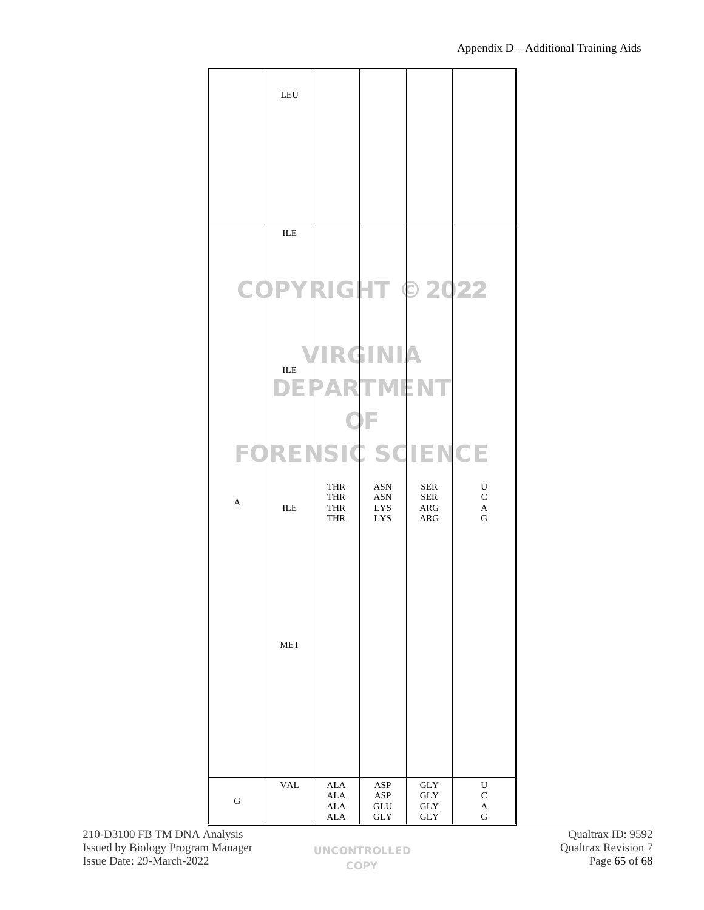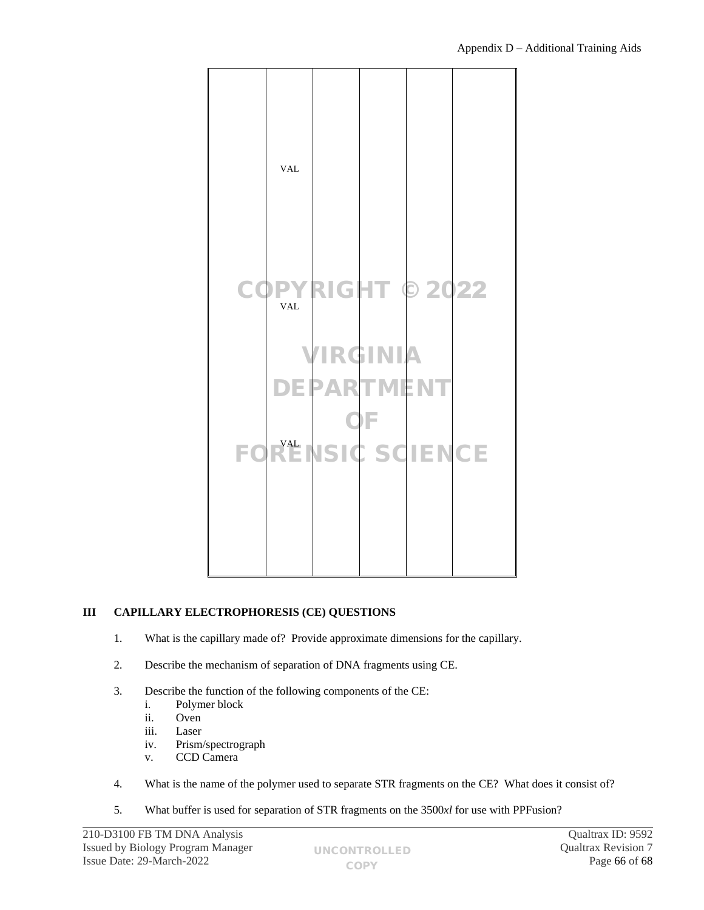

# **III CAPILLARY ELECTROPHORESIS (CE) QUESTIONS**

- 1. What is the capillary made of? Provide approximate dimensions for the capillary.
- 2. Describe the mechanism of separation of DNA fragments using CE.
- 3. Describe the function of the following components of the CE:
	- i. Polymer block
	- ii. Oven
	- iii. Laser
	- iv. Prism/spectrograph
	- v. CCD Camera
- 4. What is the name of the polymer used to separate STR fragments on the CE? What does it consist of?
- 5. What buffer is used for separation of STR fragments on the 3500*xl* for use with PPFusion?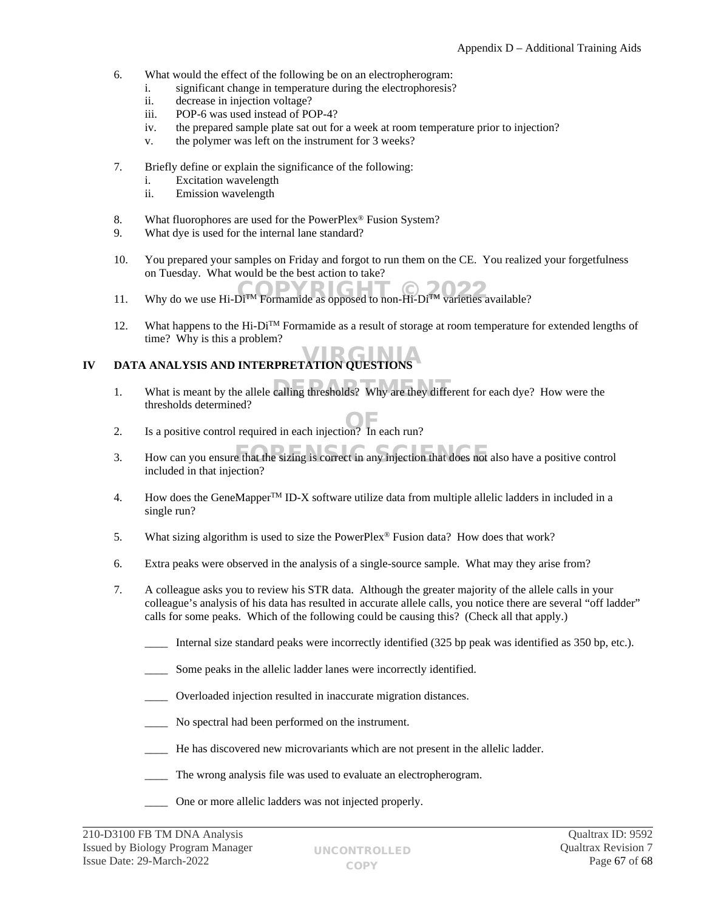- 6. What would the effect of the following be on an electropherogram:
	- i. significant change in temperature during the electrophoresis?
		- ii. decrease in injection voltage?
		- iii. POP-6 was used instead of POP-4?
		- iv. the prepared sample plate sat out for a week at room temperature prior to injection?
	- v. the polymer was left on the instrument for 3 weeks?
- 7. Briefly define or explain the significance of the following:
	- i. Excitation wavelength
	- ii. Emission wavelength
- 8. What fluorophores are used for the PowerPlex<sup>®</sup> Fusion System?
- 9. What dye is used for the internal lane standard?
- 10. You prepared your samples on Friday and forgot to run them on the CE. You realized your forgetfulness on Tuesday. What would be the best action to take?
- 11. Why do we use Hi-Di<sup>TM</sup> Formamide as opposed to non-Hi-Di<sup>TM</sup> varieties available?
- 12. What happens to the Hi-Di<sup>TM</sup> Formamide as a result of storage at room temperature for extended lengths of time? Why is this a problem?

# **IV DATA ANALYSIS AND INTERPRETATION QUESTIONS**

- 1. What is meant by the allele calling thresholds? Why are they different for each dye? How were the thresholds determined?
- 2. Is a positive control required in each injection? In each run?
- 3. How can you ensure that the sizing is correct in any injection that does not also have a positive control included in that injection?
- 4. How does the GeneMapperTM ID-X software utilize data from multiple allelic ladders in included in a single run?
- 5. What sizing algorithm is used to size the PowerPlex® Fusion data? How does that work?
- 6. Extra peaks were observed in the analysis of a single-source sample. What may they arise from?
- 7. A colleague asks you to review his STR data. Although the greater majority of the allele calls in your colleague's analysis of his data has resulted in accurate allele calls, you notice there are several "off ladder" calls for some peaks. Which of the following could be causing this? (Check all that apply.)
	- Internal size standard peaks were incorrectly identified (325 bp peak was identified as 350 bp, etc.).
	- Some peaks in the allelic ladder lanes were incorrectly identified.
	- Overloaded injection resulted in inaccurate migration distances.
	- No spectral had been performed on the instrument.
	- He has discovered new microvariants which are not present in the allelic ladder.
	- The wrong analysis file was used to evaluate an electropherogram.
	- One or more allelic ladders was not injected properly.